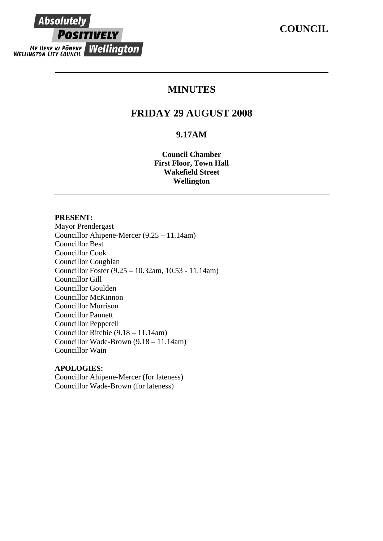# **COUNCIL**

# **Absolutely POSITIVELY ME HEKE KI PÖNEKE Wellington**

# **MINUTES**

# **FRIDAY 29 AUGUST 2008**

# **9.17AM**

**Council Chamber First Floor, Town Hall Wakefield Street Wellington** 

# **PRESENT:**

Mayor Prendergast Councillor Ahipene-Mercer (9.25 – 11.14am) Councillor Best Councillor Cook Councillor Coughlan Councillor Foster (9.25 – 10.32am, 10.53 - 11.14am) Councillor Gill Councillor Goulden Councillor McKinnon Councillor Morrison Councillor Pannett Councillor Pepperell Councillor Ritchie (9.18 – 11.14am) Councillor Wade-Brown (9.18 – 11.14am) Councillor Wain

# **APOLOGIES:**

Councillor Ahipene-Mercer (for lateness) Councillor Wade-Brown (for lateness)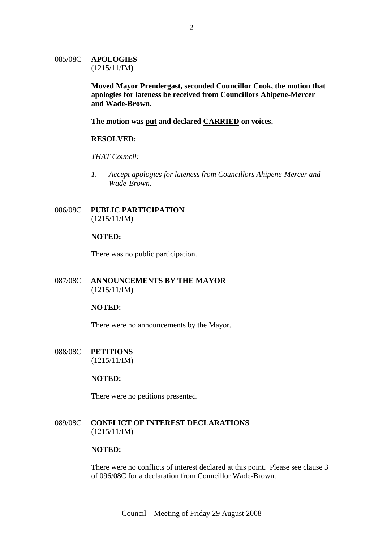# 085/08C **APOLOGIES** (1215/11/IM)

**Moved Mayor Prendergast, seconded Councillor Cook, the motion that apologies for lateness be received from Councillors Ahipene-Mercer and Wade-Brown.** 

**The motion was put and declared CARRIED on voices.**

### **RESOLVED:**

### *THAT Council:*

*1. Accept apologies for lateness from Councillors Ahipene-Mercer and Wade-Brown.* 

## 086/08C **PUBLIC PARTICIPATION** (1215/11/IM)

### **NOTED:**

There was no public participation.

# 087/08C **ANNOUNCEMENTS BY THE MAYOR** (1215/11/IM)

### **NOTED:**

There were no announcements by the Mayor.

088/08C **PETITIONS** (1215/11/IM)

# **NOTED:**

There were no petitions presented.

089/08C **CONFLICT OF INTEREST DECLARATIONS** (1215/11/IM)

### **NOTED:**

There were no conflicts of interest declared at this point. Please see clause 3 of 096/08C for a declaration from Councillor Wade-Brown.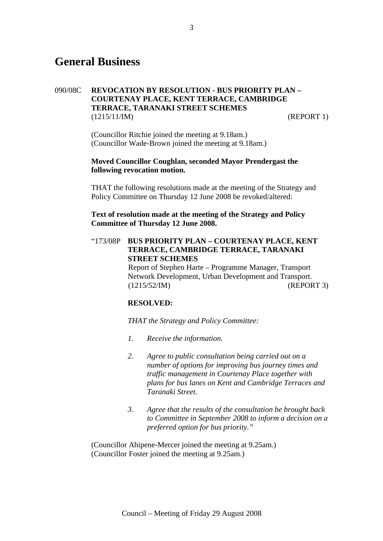# **General Business**

# 090/08C **REVOCATION BY RESOLUTION - BUS PRIORITY PLAN – COURTENAY PLACE, KENT TERRACE, CAMBRIDGE TERRACE, TARANAKI STREET SCHEMES**  (1215/11/IM) (REPORT 1)

(Councillor Ritchie joined the meeting at 9.18am.) (Councillor Wade-Brown joined the meeting at 9.18am.)

### **Moved Councillor Coughlan, seconded Mayor Prendergast the following revocation motion.**

THAT the following resolutions made at the meeting of the Strategy and Policy Committee on Thursday 12 June 2008 be revoked/altered:

# **Text of resolution made at the meeting of the Strategy and Policy Committee of Thursday 12 June 2008.**

"173/08P **BUS PRIORITY PLAN – COURTENAY PLACE, KENT TERRACE, CAMBRIDGE TERRACE, TARANAKI STREET SCHEMES**  Report of Stephen Harte – Programme Manager, Transport Network Development, Urban Development and Transport. (1215/52/IM) (REPORT 3)

# **RESOLVED:**

*THAT the Strategy and Policy Committee:* 

- *1. Receive the information.*
- *2. Agree to public consultation being carried out on a number of options for improving bus journey times and traffic management in Courtenay Place together with plans for bus lanes on Kent and Cambridge Terraces and Taranaki Street.*
- *3. Agree that the results of the consultation be brought back to Committee in September 2008 to inform a decision on a preferred option for bus priority."*

(Councillor Ahipene-Mercer joined the meeting at 9.25am.) (Councillor Foster joined the meeting at 9.25am.)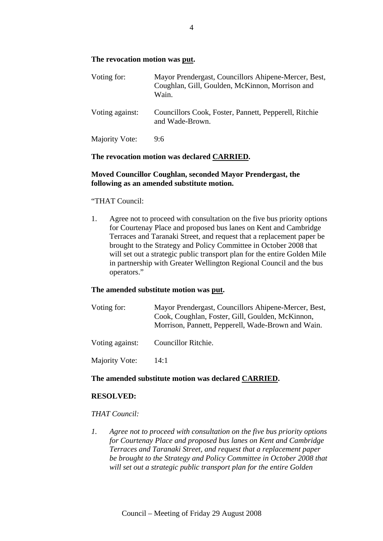# **The revocation motion was put.**

| Voting for:     | Mayor Prendergast, Councillors Ahipene-Mercer, Best,<br>Coughlan, Gill, Goulden, McKinnon, Morrison and<br>Wain. |
|-----------------|------------------------------------------------------------------------------------------------------------------|
| Voting against: | Councillors Cook, Foster, Pannett, Pepperell, Ritchie<br>and Wade-Brown.                                         |
| Majority Vote:  | 9:6                                                                                                              |

# **The revocation motion was declared CARRIED.**

# **Moved Councillor Coughlan, seconded Mayor Prendergast, the following as an amended substitute motion.**

### "THAT Council:

1. Agree not to proceed with consultation on the five bus priority options for Courtenay Place and proposed bus lanes on Kent and Cambridge Terraces and Taranaki Street, and request that a replacement paper be brought to the Strategy and Policy Committee in October 2008 that will set out a strategic public transport plan for the entire Golden Mile in partnership with Greater Wellington Regional Council and the bus operators."

# **The amended substitute motion was put.**

| Voting for:     | Mayor Prendergast, Councillors Ahipene-Mercer, Best,<br>Cook, Coughlan, Foster, Gill, Goulden, McKinnon,<br>Morrison, Pannett, Pepperell, Wade-Brown and Wain. |
|-----------------|----------------------------------------------------------------------------------------------------------------------------------------------------------------|
| Voting against: | Councillor Ritchie.                                                                                                                                            |
| Majority Vote:  | 14:1                                                                                                                                                           |

### **The amended substitute motion was declared CARRIED.**

### **RESOLVED:**

# *THAT Council:*

*1. Agree not to proceed with consultation on the five bus priority options for Courtenay Place and proposed bus lanes on Kent and Cambridge Terraces and Taranaki Street, and request that a replacement paper be brought to the Strategy and Policy Committee in October 2008 that will set out a strategic public transport plan for the entire Golden*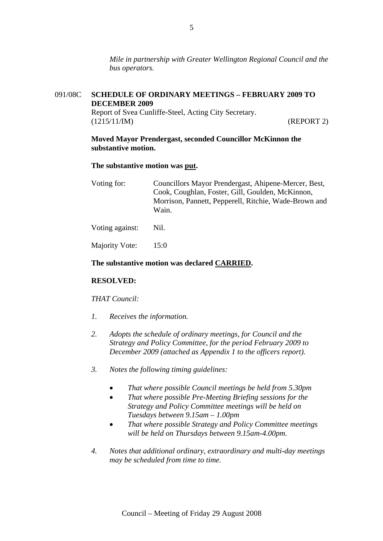*Mile in partnership with Greater Wellington Regional Council and the bus operators.* 

# 091/08C **SCHEDULE OF ORDINARY MEETINGS – FEBRUARY 2009 TO DECEMBER 2009**

Report of Svea Cunliffe-Steel, Acting City Secretary. (1215/11/IM) (REPORT 2)

## **Moved Mayor Prendergast, seconded Councillor McKinnon the substantive motion.**

## **The substantive motion was put.**

| Councillors Mayor Prendergast, Ahipene-Mercer, Best,  |
|-------------------------------------------------------|
| Cook, Coughlan, Foster, Gill, Goulden, McKinnon,      |
| Morrison, Pannett, Pepperell, Ritchie, Wade-Brown and |
| Wain.                                                 |
|                                                       |

Voting against: Nil.

Majority Vote: 15:0

# **The substantive motion was declared CARRIED.**

# **RESOLVED:**

# *THAT Council:*

- *1. Receives the information.*
- *2. Adopts the schedule of ordinary meetings, for Council and the Strategy and Policy Committee, for the period February 2009 to December 2009 (attached as Appendix 1 to the officers report).*
- *3. Notes the following timing guidelines:* 
	- *That where possible Council meetings be held from 5.30pm*
	- *That where possible Pre-Meeting Briefing sessions for the Strategy and Policy Committee meetings will be held on Tuesdays between 9.15am – 1.00pm*
	- *That where possible Strategy and Policy Committee meetings will be held on Thursdays between 9.15am-4.00pm.*
- *4. Notes that additional ordinary, extraordinary and multi-day meetings may be scheduled from time to time.*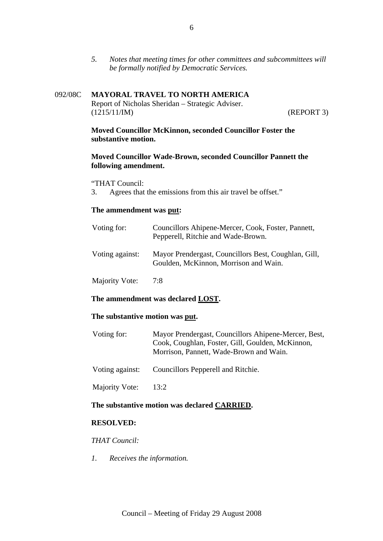*5. Notes that meeting times for other committees and subcommittees will be formally notified by Democratic Services.* 

# 092/08C **MAYORAL TRAVEL TO NORTH AMERICA** Report of Nicholas Sheridan – Strategic Adviser. (1215/11/IM) (REPORT 3)

# **Moved Councillor McKinnon, seconded Councillor Foster the substantive motion.**

### **Moved Councillor Wade-Brown, seconded Councillor Pannett the following amendment.**

"THAT Council:

3. Agrees that the emissions from this air travel be offset."

### **The ammendment was put:**

| Voting for:     | Councillors Ahipene-Mercer, Cook, Foster, Pannett,<br>Pepperell, Ritchie and Wade-Brown.      |
|-----------------|-----------------------------------------------------------------------------------------------|
| Voting against: | Mayor Prendergast, Councillors Best, Coughlan, Gill,<br>Goulden, McKinnon, Morrison and Wain. |
| Majority Vote:  | 7:8                                                                                           |

### **The ammendment was declared LOST.**

### **The substantive motion was put.**

| Voting for: | Mayor Prendergast, Councillors Ahipene-Mercer, Best, |
|-------------|------------------------------------------------------|
|             | Cook, Coughlan, Foster, Gill, Goulden, McKinnon,     |
|             | Morrison, Pannett, Wade-Brown and Wain.              |

Voting against: Councillors Pepperell and Ritchie.

Majority Vote: 13:2

# **The substantive motion was declared CARRIED.**

## **RESOLVED:**

*THAT Council:* 

*1. Receives the information.*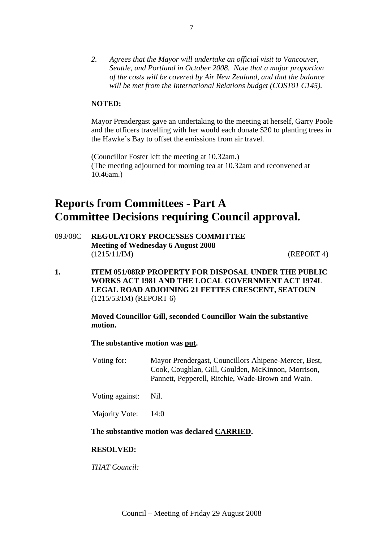*2. Agrees that the Mayor will undertake an official visit to Vancouver, Seattle, and Portland in October 2008. Note that a major proportion of the costs will be covered by Air New Zealand, and that the balance will be met from the International Relations budget (COST01 C145).* 

# **NOTED:**

Mayor Prendergast gave an undertaking to the meeting at herself, Garry Poole and the officers travelling with her would each donate \$20 to planting trees in the Hawke's Bay to offset the emissions from air travel.

(Councillor Foster left the meeting at 10.32am.) (The meeting adjourned for morning tea at 10.32am and reconvened at 10.46am.)

# **Reports from Committees - Part A Committee Decisions requiring Council approval.**

093/08C **REGULATORY PROCESSES COMMITTEE Meeting of Wednesday 6 August 2008**  (1215/11/IM) (REPORT 4)

**1. ITEM 051/08RP PROPERTY FOR DISPOSAL UNDER THE PUBLIC WORKS ACT 1981 AND THE LOCAL GOVERNMENT ACT 1974L LEGAL ROAD ADJOINING 21 FETTES CRESCENT, SEATOUN** (1215/53/IM) (REPORT 6)

> **Moved Councillor Gill, seconded Councillor Wain the substantive motion.**

**The substantive motion was put.** 

- Voting for: Mayor Prendergast, Councillors Ahipene-Mercer, Best, Cook, Coughlan, Gill, Goulden, McKinnon, Morrison, Pannett, Pepperell, Ritchie, Wade-Brown and Wain.
- Voting against: Nil.

Majority Vote: 14:0

### **The substantive motion was declared CARRIED.**

### **RESOLVED:**

*THAT Council:*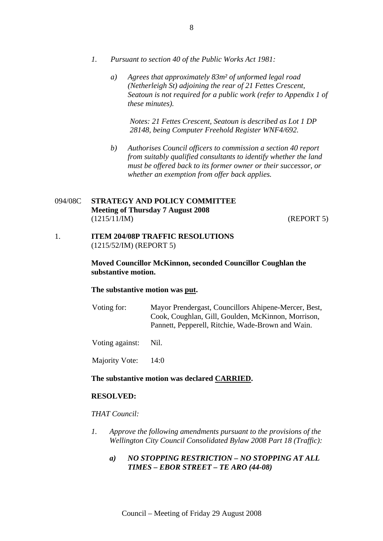- *1. Pursuant to section 40 of the Public Works Act 1981:* 
	- *a) Agrees that approximately 83m² of unformed legal road (Netherleigh St) adjoining the rear of 21 Fettes Crescent, Seatoun is not required for a public work (refer to Appendix 1 of these minutes).*

*Notes: 21 Fettes Crescent, Seatoun is described as Lot 1 DP 28148, being Computer Freehold Register WNF4/692.* 

*b) Authorises Council officers to commission a section 40 report from suitably qualified consultants to identify whether the land must be offered back to its former owner or their successor, or whether an exemption from offer back applies.* 

# 094/08C **STRATEGY AND POLICY COMMITTEE Meeting of Thursday 7 August 2008**  (1215/11/IM) (REPORT 5)

1. **ITEM 204/08P TRAFFIC RESOLUTIONS** (1215/52/IM) (REPORT 5)

# **Moved Councillor McKinnon, seconded Councillor Coughlan the substantive motion.**

### **The substantive motion was put.**

Voting for: Mayor Prendergast, Councillors Ahipene-Mercer, Best, Cook, Coughlan, Gill, Goulden, McKinnon, Morrison, Pannett, Pepperell, Ritchie, Wade-Brown and Wain.

Voting against: Nil.

Majority Vote: 14:0

# **The substantive motion was declared CARRIED.**

### **RESOLVED:**

# *THAT Council:*

- *1. Approve the following amendments pursuant to the provisions of the Wellington City Council Consolidated Bylaw 2008 Part 18 (Traffic):* 
	- *a) NO STOPPING RESTRICTION NO STOPPING AT ALL TIMES – EBOR STREET – TE ARO (44-08)*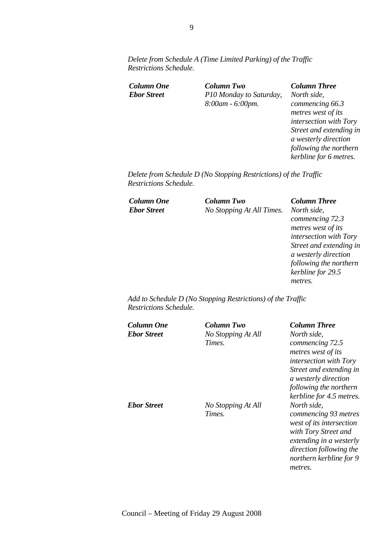*Delete from Schedule A (Time Limited Parking) of the Traffic Restrictions Schedule.* 

| <b>Column One</b>  |  |
|--------------------|--|
| <b>Ebor Street</b> |  |

*Column One Column Two Column Three Ebor Street P10 Monday to Saturday, 8:00am - 6:00pm.* 

*North side, commencing 66.3 metres west of its intersection with Tory Street and extending in a westerly direction following the northern kerbline for 6 metres.* 

*Delete from Schedule D (No Stopping Restrictions) of the Traffic Restrictions Schedule.* 

| <b>Column One</b>  | <b>Column Two</b>         | <b>Column Three</b>     |
|--------------------|---------------------------|-------------------------|
| <b>Ebor Street</b> | No Stopping At All Times. | North side,             |
|                    |                           | commencing 72.3         |
|                    |                           | metres west of its      |
|                    |                           | intersection with Tory  |
|                    |                           | Street and extending in |
|                    |                           | a westerly direction    |
|                    |                           | following the northern  |
|                    |                           | kerbline for 29.5       |
|                    |                           | metres.                 |
|                    |                           |                         |

*Add to Schedule D (No Stopping Restrictions) of the Traffic Restrictions Schedule.* 

| Column One<br><b>Ebor Street</b> | Column Two<br>No Stopping At All<br>Times. | <b>Column Three</b><br>North side.<br>commencing 72.5<br>metres west of its<br><i>intersection with Tory</i><br>Street and extending in<br>a westerly direction<br>following the northern<br>kerbline for 4.5 metres. |
|----------------------------------|--------------------------------------------|-----------------------------------------------------------------------------------------------------------------------------------------------------------------------------------------------------------------------|
| <b>Ebor Street</b>               | No Stopping At All<br>Times.               | North side,<br>commencing 93 metres<br>west of its intersection<br>with Tory Street and<br>extending in a westerly<br>direction following the<br>northern kerbline for 9<br>metres.                                   |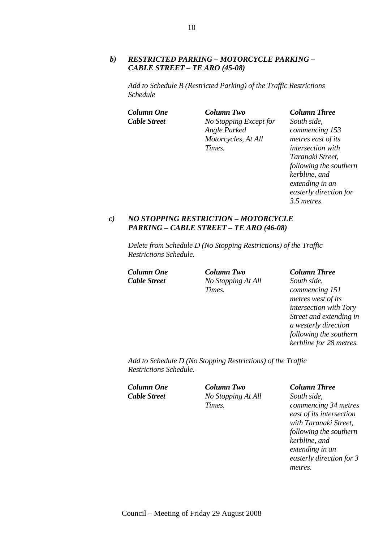# *b) RESTRICTED PARKING – MOTORCYCLE PARKING – CABLE STREET – TE ARO (45-08)*

*Add to Schedule B (Restricted Parking) of the Traffic Restrictions Schedule* 

*Column One Column Two Column Three Cable Street No Stopping Except for Angle Parked Motorcycles, At All Times.* 

*South side, commencing 153 metres east of its intersection with Taranaki Street, following the southern kerbline, and extending in an easterly direction for 3.5 metres.* 

### *c) NO STOPPING RESTRICTION – MOTORCYCLE PARKING – CABLE STREET – TE ARO (46-08)*

*Delete from Schedule D (No Stopping Restrictions) of the Traffic Restrictions Schedule.* 

*Column One Column Two Column Three Cable Street No Stopping At All Times.* 

*South side, commencing 151 metres west of its intersection with Tory Street and extending in a westerly direction following the southern kerbline for 28 metres.* 

*Add to Schedule D (No Stopping Restrictions) of the Traffic Restrictions Schedule.* 

*Column One Column Two Column Three*

*Cable Street No Stopping At All Times.* 

*South side, commencing 34 metres east of its intersection with Taranaki Street, following the southern kerbline, and extending in an easterly direction for 3 metres.*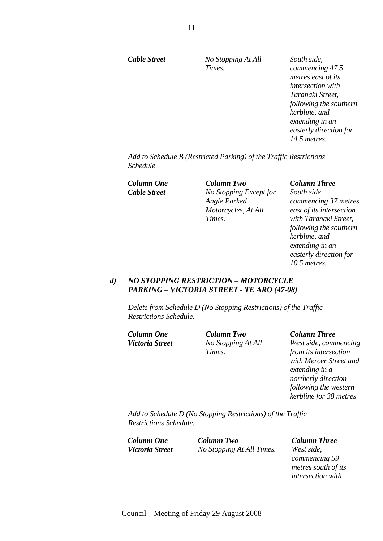*Cable Street No Stopping At All Times.* 

*South side, commencing 47.5 metres east of its intersection with Taranaki Street, following the southern kerbline, and extending in an easterly direction for 14.5 metres.* 

*Add to Schedule B (Restricted Parking) of the Traffic Restrictions Schedule* 

*Column One Column Two Column Three Cable Street No Stopping Except for Angle Parked Motorcycles, At All Times.* 

*South side, commencing 37 metres east of its intersection with Taranaki Street, following the southern kerbline, and extending in an easterly direction for 10.5 metres.* 

# *d) NO STOPPING RESTRICTION – MOTORCYCLE PARKING – VICTORIA STREET - TE ARO (47-08)*

*Delete from Schedule D (No Stopping Restrictions) of the Traffic Restrictions Schedule.* 

*Column One Column Two Column Three*

*Victoria Street No Stopping At All Times.* 

*West side, commencing from its intersection with Mercer Street and extending in a northerly direction following the western kerbline for 38 metres* 

*Add to Schedule D (No Stopping Restrictions) of the Traffic Restrictions Schedule.* 

*Column One Column Two Column Three Victoria Street No Stopping At All Times. West side,* 

*commencing 59 metres south of its intersection with*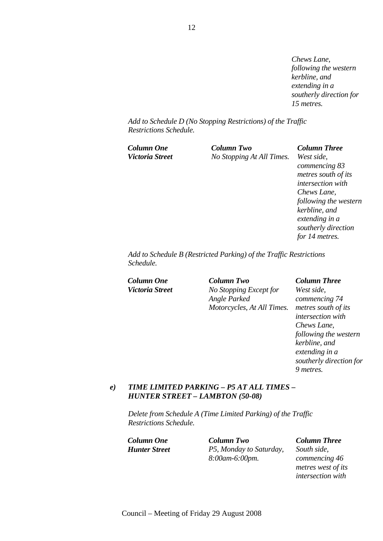*Chews Lane, following the western kerbline, and extending in a southerly direction for 15 metres.* 

*Add to Schedule D (No Stopping Restrictions) of the Traffic Restrictions Schedule.* 

| Column One      | Column Two                | <b>Column Three</b>   |
|-----------------|---------------------------|-----------------------|
| Victoria Street | No Stopping At All Times. | West side,            |
|                 |                           | commencing 83         |
|                 |                           | metres south of its   |
|                 |                           | intersection with     |
|                 |                           | Chews Lane,           |
|                 |                           | following the western |
|                 |                           | kerbline, and         |

*Add to Schedule B (Restricted Parking) of the Traffic Restrictions Schedule.* 

*Column One Column Two Column Three Victoria Street No Stopping Except for Angle Parked Motorcycles, At All Times.* 

*extending in a southerly direction for 14 metres.* 

*West side, commencing 74 metres south of its intersection with Chews Lane, following the western kerbline, and extending in a southerly direction for 9 metres.* 

# *e) TIME LIMITED PARKING – P5 AT ALL TIMES – HUNTER STREET – LAMBTON (50-08)*

*Delete from Schedule A (Time Limited Parking) of the Traffic Restrictions Schedule.* 

*Column One Column Two Column Three Hunter Street P5, Monday to Saturday, 8:00am-6:00pm.* 

*South side, commencing 46 metres west of its intersection with*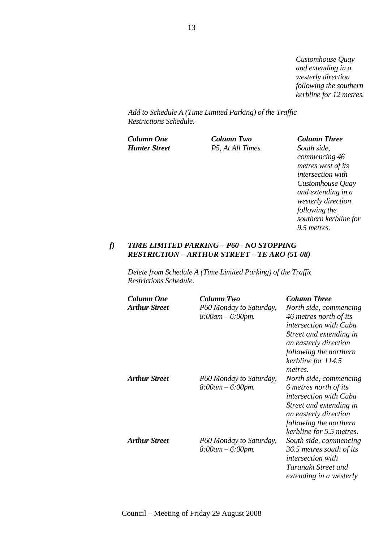*Customhouse Quay and extending in a westerly direction following the southern kerbline for 12 metres.*

*Add to Schedule A (Time Limited Parking) of the Traffic Restrictions Schedule.* 

*Column One Column Two Column Three Hunter Street P5, At All Times. South side,* 

*commencing 46 metres west of its intersection with Customhouse Quay and extending in a westerly direction following the southern kerbline for 9.5 metres.* 

# *f) TIME LIMITED PARKING – P60 - NO STOPPING RESTRICTION – ARTHUR STREET – TE ARO (51-08)*

*Delete from Schedule A (Time Limited Parking) of the Traffic Restrictions Schedule.* 

| Column One<br><b>Arthur Street</b> | Column Two<br>P60 Monday to Saturday,<br>$8:00$ am $-6:00$ pm. | <b>Column Three</b><br>North side, commencing<br>46 metres north of its<br><i>intersection with Cuba</i><br>Street and extending in<br>an easterly direction<br>following the northern<br>kerbline for 114.5<br>metres. |
|------------------------------------|----------------------------------------------------------------|-------------------------------------------------------------------------------------------------------------------------------------------------------------------------------------------------------------------------|
| <b>Arthur Street</b>               | P60 Monday to Saturday,<br>$8:00$ am $-6:00$ pm.               | North side, commencing<br>6 metres north of its<br><i>intersection with Cuba</i><br>Street and extending in<br>an easterly direction<br>following the northern<br>kerbline for 5.5 metres.                              |
| <b>Arthur Street</b>               | P60 Monday to Saturday,<br>$8:00$ am $-6:00$ pm.               | South side, commencing<br>36.5 metres south of its<br><i>intersection with</i><br>Taranaki Street and<br>extending in a westerly                                                                                        |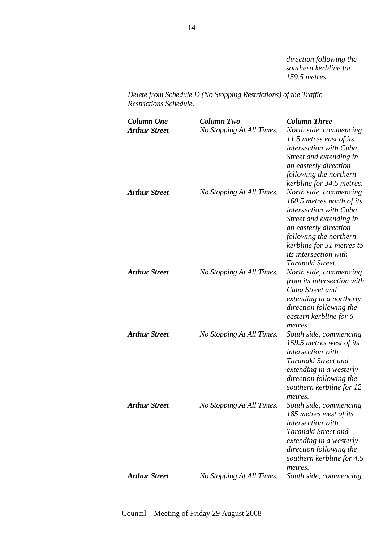*direction following the southern kerbline for 159.5 metres.* 

*Delete from Schedule D (No Stopping Restrictions) of the Traffic Restrictions Schedule.* 

| Column One<br><b>Arthur Street</b> | <b>Column Two</b><br>No Stopping At All Times. | <b>Column Three</b><br>North side, commencing<br>11.5 metres east of its<br>intersection with Cuba<br>Street and extending in<br>an easterly direction<br>following the northern<br>kerbline for 34.5 metres.                                |
|------------------------------------|------------------------------------------------|----------------------------------------------------------------------------------------------------------------------------------------------------------------------------------------------------------------------------------------------|
| <b>Arthur Street</b>               | No Stopping At All Times.                      | North side, commencing<br>160.5 metres north of its<br>intersection with Cuba<br>Street and extending in<br>an easterly direction<br>following the northern<br>kerbline for 31 metres to<br><i>its intersection with</i><br>Taranaki Street. |
| <b>Arthur Street</b>               | No Stopping At All Times.                      | North side, commencing<br>from its intersection with<br>Cuba Street and<br>extending in a northerly<br>direction following the<br>eastern kerbline for 6<br>metres.                                                                          |
| <b>Arthur Street</b>               | No Stopping At All Times.                      | South side, commencing<br>159.5 metres west of its<br>intersection with<br>Taranaki Street and<br>extending in a westerly<br>direction following the<br>southern kerbline for 12<br>metres.                                                  |
| <b>Arthur Street</b>               | No Stopping At All Times.                      | South side, commencing<br>185 metres west of its<br>intersection with<br>Taranaki Street and<br>extending in a westerly<br>direction following the<br>southern kerbline for 4.5<br>metres.                                                   |
| <b>Arthur Street</b>               | No Stopping At All Times.                      | South side, commencing                                                                                                                                                                                                                       |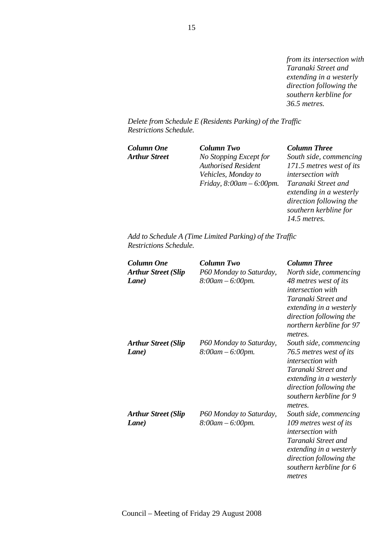*from its intersection with Taranaki Street and extending in a westerly direction following the southern kerbline for 36.5 metres.* 

*Delete from Schedule E (Residents Parking) of the Traffic Restrictions Schedule.* 

*Column One Column Two Column Three*

*Arthur Street No Stopping Except for Authorised Resident Vehicles, Monday to Friday, 8:00am – 6:00pm.* 

*South side, commencing 171.5 metres west of its intersection with Taranaki Street and extending in a westerly direction following the southern kerbline for 14.5 metres.* 

*Add to Schedule A (Time Limited Parking) of the Traffic Restrictions Schedule.* 

| <b>Column One</b><br><b>Arthur Street (Slip</b><br>Lane) | Column Two<br>P60 Monday to Saturday,<br>$8:00$ am $-6:00$ pm. | <b>Column Three</b><br>North side, commencing<br>48 metres west of its<br><i>intersection with</i><br>Taranaki Street and<br>extending in a westerly<br>direction following the<br>northern kerbline for 97<br>metres. |
|----------------------------------------------------------|----------------------------------------------------------------|------------------------------------------------------------------------------------------------------------------------------------------------------------------------------------------------------------------------|
| <b>Arthur Street (Slip</b><br>Lane)                      | P60 Monday to Saturday,<br>$8:00$ am $-6:00$ pm.               | South side, commencing<br>76.5 metres west of its<br><i>intersection with</i><br>Taranaki Street and<br>extending in a westerly<br>direction following the<br>southern kerbline for 9<br>metres.                       |
| <b>Arthur Street (Slip</b><br>Lane)                      | P60 Monday to Saturday,<br>$8:00$ am $-6:00$ pm.               | South side, commencing<br>109 metres west of its<br><i>intersection with</i><br>Taranaki Street and<br>extending in a westerly<br>direction following the<br>southern kerbline for 6<br>metres                         |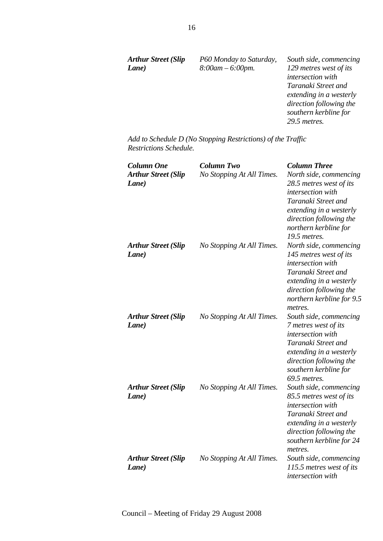| <b>Arthur Street (Slip</b> | P60 Monday to Saturday, | South side, commencing  |
|----------------------------|-------------------------|-------------------------|
| Lane)                      | $8:00$ am $-6:00$ pm.   | 129 metres west of its  |
|                            |                         | intersection with       |
|                            |                         | Taranaki Street and     |
|                            |                         | extending in a westerly |
|                            |                         | direction following the |
|                            |                         | southern kerbline for   |
|                            |                         | 29.5 metres.            |
|                            |                         |                         |

*Add to Schedule D (No Stopping Restrictions) of the Traffic Restrictions Schedule.* 

| <b>Column One</b><br><b>Arthur Street (Slip</b><br>Lane) | <b>Column Two</b><br>No Stopping At All Times. | <b>Column Three</b><br>North side, commencing<br>28.5 metres west of its<br>intersection with<br>Taranaki Street and<br>extending in a westerly<br>direction following the<br>northern kerbline for<br>19.5 metres. |
|----------------------------------------------------------|------------------------------------------------|---------------------------------------------------------------------------------------------------------------------------------------------------------------------------------------------------------------------|
| <b>Arthur Street (Slip</b><br>Lane)                      | No Stopping At All Times.                      | North side, commencing<br>145 metres west of its<br>intersection with<br>Taranaki Street and<br>extending in a westerly<br>direction following the<br>northern kerbline for 9.5<br>metres.                          |
| <b>Arthur Street (Slip</b><br>Lane)                      | No Stopping At All Times.                      | South side, commencing<br>7 metres west of its<br>intersection with<br>Taranaki Street and<br>extending in a westerly<br>direction following the<br>southern kerbline for<br>69.5 metres.                           |
| <b>Arthur Street (Slip</b><br>Lane)                      | No Stopping At All Times.                      | South side, commencing<br>85.5 metres west of its<br>intersection with<br>Taranaki Street and<br>extending in a westerly<br>direction following the<br>southern kerbline for 24<br>metres.                          |
| <b>Arthur Street (Slip</b><br>Lane)                      | No Stopping At All Times.                      | South side, commencing<br>115.5 metres west of its<br>intersection with                                                                                                                                             |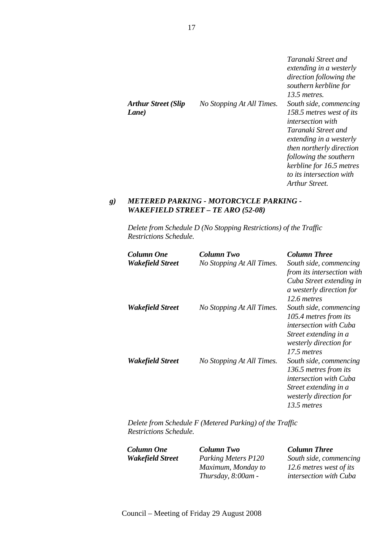| <b>Arthur Street (Slip</b><br>Lane) | No Stopping At All Times. | Taranaki Street and<br>extending in a westerly<br>direction following the<br>southern kerbline for<br>$13.5$ metres.<br>South side, commencing<br>158.5 metres west of its |
|-------------------------------------|---------------------------|----------------------------------------------------------------------------------------------------------------------------------------------------------------------------|
|                                     |                           | <i>intersection with</i><br>Taranaki Street and<br>extending in a westerly                                                                                                 |
|                                     |                           | then northerly direction<br>following the southern                                                                                                                         |
|                                     |                           | kerbline for 16.5 metres<br>to its intersection with<br>Arthur Street.                                                                                                     |

### *g) METERED PARKING - MOTORCYCLE PARKING - WAKEFIELD STREET – TE ARO (52-08)*

*Delete from Schedule D (No Stopping Restrictions) of the Traffic Restrictions Schedule.* 

| Column One       | Column Two                | <b>Column Three</b>                                  |
|------------------|---------------------------|------------------------------------------------------|
| Wakefield Street | No Stopping At All Times. | South side, commencing                               |
|                  |                           | from its intersection with                           |
|                  |                           | Cuba Street extending in<br>a westerly direction for |
|                  |                           | 12.6 metres                                          |
| Wakefield Street | No Stopping At All Times. | South side, commencing                               |
|                  |                           | 105.4 metres from its                                |
|                  |                           | <i>intersection with Cuba</i>                        |
|                  |                           | Street extending in a                                |
|                  |                           | westerly direction for                               |
|                  |                           | 17.5 metres                                          |
| Wakefield Street | No Stopping At All Times. | South side, commencing                               |
|                  |                           | 136.5 metres from its                                |
|                  |                           | intersection with Cuba                               |
|                  |                           | Street extending in a                                |
|                  |                           | westerly direction for                               |
|                  |                           | 13.5 metres                                          |

*Delete from Schedule F (Metered Parking) of the Traffic Restrictions Schedule.* 

*Column One Column Two Column Three Wakefield Street Parking Meters P120 Maximum, Monday to Thursday, 8:00am - South side, commencing 12.6 metres west of its intersection with Cuba*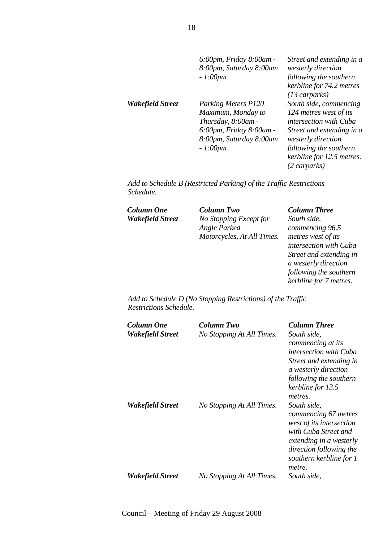|                  | 6:00pm, Friday 8:00am -<br>8:00pm, Saturday 8:00am<br>$-1:00pm$                                                                    | Street and extending in a<br>westerly direction<br>following the southern<br>kerbline for 74.2 metres<br>$(13 \text{ carparks)$                                                                      |
|------------------|------------------------------------------------------------------------------------------------------------------------------------|------------------------------------------------------------------------------------------------------------------------------------------------------------------------------------------------------|
| Wakefield Street | Parking Meters P120<br>Maximum, Monday to<br>Thursday, 8:00am -<br>6:00pm, Friday 8:00am -<br>8:00pm, Saturday 8:00am<br>$-1:00pm$ | South side, commencing<br>124 metres west of its<br>intersection with Cuba<br>Street and extending in a<br>westerly direction<br>following the southern<br>kerbline for 12.5 metres.<br>(2 carparks) |

*Add to Schedule B (Restricted Parking) of the Traffic Restrictions Schedule.* 

*Column One Column Two Column Three*

*Wakefield Street No Stopping Except for Angle Parked Motorcycles, At All Times.* 

*South side, commencing 96.5 metres west of its intersection with Cuba Street and extending in a westerly direction following the southern kerbline for 7 metres.* 

*Add to Schedule D (No Stopping Restrictions) of the Traffic Restrictions Schedule.* 

| Column One<br>Wakefield Street | Column Two<br>No Stopping At All Times. | <b>Column Three</b><br>South side,<br>commencing at its<br><i>intersection with Cuba</i><br>Street and extending in<br>a westerly direction<br>following the southern<br>kerbline for 13.5<br>metres. |
|--------------------------------|-----------------------------------------|-------------------------------------------------------------------------------------------------------------------------------------------------------------------------------------------------------|
| Wakefield Street               | No Stopping At All Times.               | South side,<br>commencing 67 metres<br>west of its intersection<br>with Cuba Street and<br>extending in a westerly<br>direction following the<br>southern kerbline for 1<br>metre.                    |
| Wakefield Street               | No Stopping At All Times.               | South side.                                                                                                                                                                                           |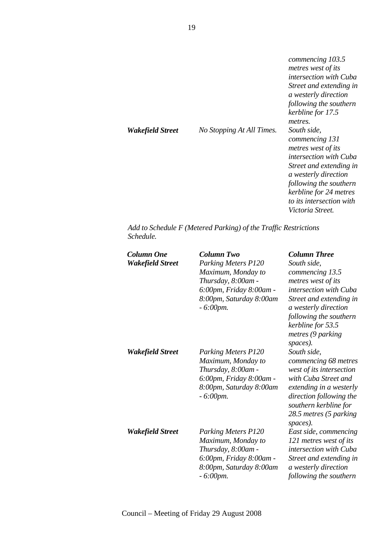| Wakefield Street | No Stopping At All Times. | commencing 103.5<br>metres west of its<br><i>intersection with Cuba</i><br>Street and extending in<br>a westerly direction<br>following the southern<br>kerbline for 17.5<br>metres.<br>South side,<br>commencing 131 |
|------------------|---------------------------|-----------------------------------------------------------------------------------------------------------------------------------------------------------------------------------------------------------------------|
|                  |                           | metres west of its<br><i>intersection with Cuba</i><br>Street and extending in                                                                                                                                        |
|                  |                           | a westerly direction<br>following the southern<br>kerbline for 24 metres<br>to its intersection with                                                                                                                  |
|                  |                           | <i>Victoria Street.</i>                                                                                                                                                                                               |

*Add to Schedule F (Metered Parking) of the Traffic Restrictions Schedule.* 

| Column One<br>Wakefield Street | <b>Column Two</b><br><b>Parking Meters P120</b><br>Maximum, Monday to<br>Thursday, 8:00am -<br>6:00pm, Friday 8:00am -<br>8:00pm, Saturday 8:00am<br>$-6:00$ pm. | <b>Column Three</b><br>South side,<br>commencing 13.5<br>metres west of its<br>intersection with Cuba<br>Street and extending in<br>a westerly direction<br>following the southern<br>kerbline for 53.5<br>metres (9 parking<br>spaces). |
|--------------------------------|------------------------------------------------------------------------------------------------------------------------------------------------------------------|------------------------------------------------------------------------------------------------------------------------------------------------------------------------------------------------------------------------------------------|
| Wakefield Street               | <b>Parking Meters P120</b><br>Maximum, Monday to<br>Thursday, 8:00am -<br>6:00pm, Friday 8:00am -<br>8:00pm, Saturday 8:00am<br>$-6:00$ pm.                      | South side,<br>commencing 68 metres<br>west of its intersection<br>with Cuba Street and<br>extending in a westerly<br>direction following the<br>southern kerbline for<br>28.5 metres (5 parking<br>spaces).                             |
| Wakefield Street               | <b>Parking Meters P120</b><br>Maximum, Monday to<br>Thursday, 8:00am -<br>6:00pm, Friday 8:00am -<br>8:00pm, Saturday 8:00am<br>$-6:00$ pm.                      | East side, commencing<br>121 metres west of its<br>intersection with Cuba<br>Street and extending in<br>a westerly direction<br>following the southern                                                                                   |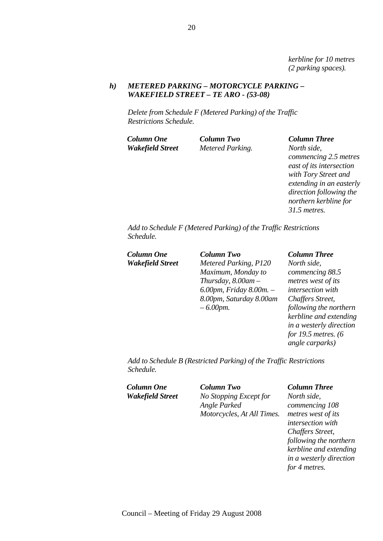*kerbline for 10 metres (2 parking spaces).* 

# *h) METERED PARKING – MOTORCYCLE PARKING – WAKEFIELD STREET – TE ARO - (53-08)*

*Delete from Schedule F (Metered Parking) of the Traffic Restrictions Schedule.* 

*Wakefield Street Metered Parking. North side,* 

*Column One Column Two Column Three commencing 2.5 metres east of its intersection with Tory Street and extending in an easterly direction following the northern kerbline for 31.5 metres.* 

*Add to Schedule F (Metered Parking) of the Traffic Restrictions Schedule.* 

*Column One Column Two Column Three*

*Wakefield Street Metered Parking, P120 Maximum, Monday to Thursday, 8.00am – 6.00pm, Friday 8.00m. – 8.00pm, Saturday 8.00am – 6.00pm.* 

*North side, commencing 88.5 metres west of its intersection with Chaffers Street, following the northern kerbline and extending in a westerly direction for 19.5 metres. (6 angle carparks)* 

*Add to Schedule B (Restricted Parking) of the Traffic Restrictions Schedule.* 

*Column One Column Two Column Three Wakefield Street No Stopping Except for Angle Parked Motorcycles, At All Times.* 

*North side, commencing 108 metres west of its intersection with Chaffers Street, following the northern kerbline and extending in a westerly direction for 4 metres.*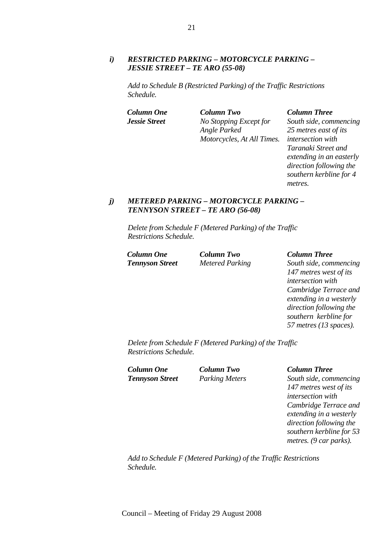# *i) RESTRICTED PARKING – MOTORCYCLE PARKING – JESSIE STREET – TE ARO (55-08)*

*Add to Schedule B (Restricted Parking) of the Traffic Restrictions Schedule.* 

*Column One Column Two Column Three Jessie Street No Stopping Except for Angle Parked Motorcycles, At All Times.* 

*South side, commencing 25 metres east of its intersection with Taranaki Street and extending in an easterly direction following the southern kerbline for 4 metres.* 

# *j) METERED PARKING – MOTORCYCLE PARKING – TENNYSON STREET – TE ARO (56-08)*

*Delete from Schedule F (Metered Parking) of the Traffic Restrictions Schedule.* 

*Column One Column Two Column Three*

*Tennyson Street Metered Parking South side, commencing 147 metres west of its intersection with Cambridge Terrace and extending in a westerly direction following the southern kerbline for 57 metres (13 spaces).* 

*Delete from Schedule F (Metered Parking) of the Traffic Restrictions Schedule.* 

*Column One Column Two Column Three*

*Tennyson Street Parking Meters South side, commencing 147 metres west of its intersection with Cambridge Terrace and extending in a westerly direction following the southern kerbline for 53 metres. (9 car parks).* 

*Add to Schedule F (Metered Parking) of the Traffic Restrictions Schedule.*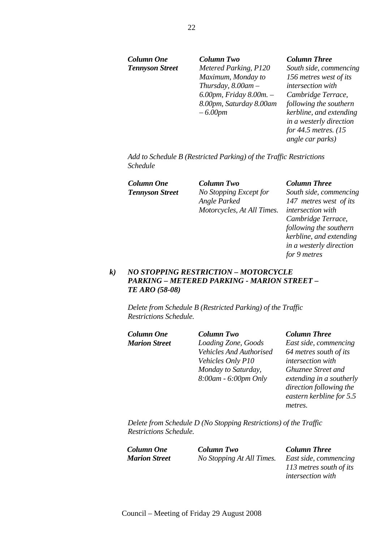*Column One Column Two Column Three Tennyson Street Metered Parking, P120 Maximum, Monday to Thursday, 8.00am – 6.00pm, Friday 8.00m. – 8.00pm, Saturday 8.00am – 6.00pm* 

*South side, commencing 156 metres west of its intersection with Cambridge Terrace, following the southern kerbline, and extending in a westerly direction for 44.5 metres. (15 angle car parks)* 

*Add to Schedule B (Restricted Parking) of the Traffic Restrictions Schedule* 

*Column One Column Two Column Three Tennyson Street No Stopping Except for Angle Parked Motorcycles, At All Times.* 

*South side, commencing 147 metres west of its intersection with Cambridge Terrace, following the southern kerbline, and extending in a westerly direction for 9 metres* 

# *k) NO STOPPING RESTRICTION – MOTORCYCLE PARKING – METERED PARKING - MARION STREET – TE ARO (58-08)*

*Delete from Schedule B (Restricted Parking) of the Traffic Restrictions Schedule.* 

| Column One           | <b>Column Two</b>       | <b>Column Three</b>   |
|----------------------|-------------------------|-----------------------|
| <b>Marion Street</b> | Loading Zone, Goods     | East side, comn       |
|                      | Vehicles And Authorised | 64 metres south       |
|                      | Vehicles Only P10       | intersection wit      |
|                      | Monday to Saturday,     | <b>Ghuznee Street</b> |
|                      | 8:00am - 6:00pm Only    | extending in a s      |
|                      |                         | direction follow      |

*East side, commencing 64 metres south of its intersection with Ghuznee Street and extending in a southerly direction following the eastern kerbline for 5.5 metres.* 

*Delete from Schedule D (No Stopping Restrictions) of the Traffic Restrictions Schedule.* 

*Column One Column Two Column Three Marion Street No Stopping At All Times. East side, commencing* 

*113 metres south of its intersection with*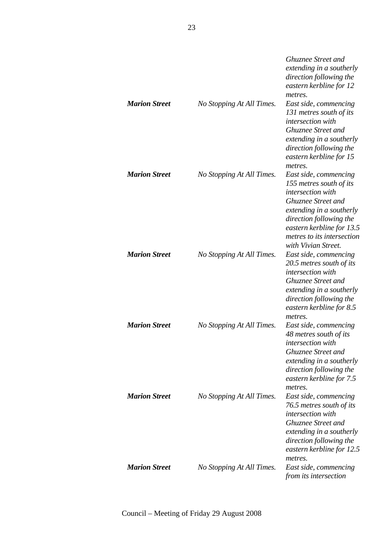| <b>Marion Street</b> | No Stopping At All Times. | <b>Ghuznee Street and</b><br>extending in a southerly<br>direction following the<br>eastern kerbline for 12<br>metres.<br>East side, commencing<br>131 metres south of its                                                                  |
|----------------------|---------------------------|---------------------------------------------------------------------------------------------------------------------------------------------------------------------------------------------------------------------------------------------|
|                      |                           | intersection with<br>Ghuznee Street and<br>extending in a southerly<br>direction following the<br>eastern kerbline for 15<br>metres.                                                                                                        |
| <b>Marion Street</b> | No Stopping At All Times. | East side, commencing<br>155 metres south of its<br>intersection with<br><b>Ghuznee Street and</b><br>extending in a southerly<br>direction following the<br>eastern kerbline for 13.5<br>metres to its intersection<br>with Vivian Street. |
| <b>Marion Street</b> | No Stopping At All Times. | East side, commencing<br>20.5 metres south of its<br>intersection with<br><b>Ghuznee Street and</b><br>extending in a southerly<br>direction following the<br>eastern kerbline for 8.5<br>metres.                                           |
| <b>Marion Street</b> | No Stopping At All Times. | East side, commencing<br>48 metres south of its<br><i>intersection with</i><br><b>Ghuznee Street and</b><br>extending in a southerly<br>direction following the<br>eastern kerbline for 7.5<br>metres.                                      |
| <b>Marion Street</b> | No Stopping At All Times. | East side, commencing<br>76.5 metres south of its<br>intersection with<br>Ghuznee Street and<br>extending in a southerly<br>direction following the<br>eastern kerbline for 12.5<br>metres.                                                 |
| <b>Marion Street</b> | No Stopping At All Times. | East side, commencing<br>from its intersection                                                                                                                                                                                              |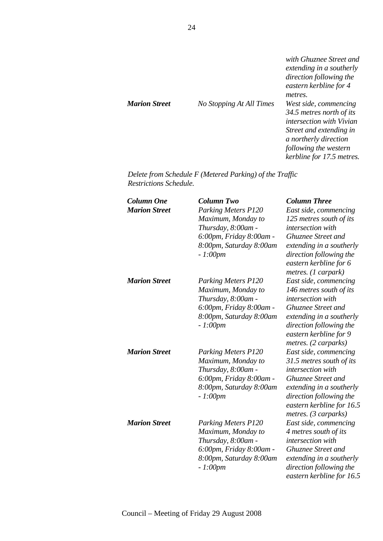| <b>Marion Street</b> | No Stopping At All Times | with Ghuznee Street and<br>extending in a southerly<br>direction following the<br>eastern kerbline for 4<br>metres.<br>West side, commencing<br>34.5 metres north of its<br><i>intersection with Vivian</i><br>Street and extending in<br>a northerly direction<br>following the western |
|----------------------|--------------------------|------------------------------------------------------------------------------------------------------------------------------------------------------------------------------------------------------------------------------------------------------------------------------------------|
|                      |                          | kerbline for 17.5 metres.                                                                                                                                                                                                                                                                |

*Delete from Schedule F (Metered Parking) of the Traffic Restrictions Schedule.* 

| <b>Column One</b><br><b>Marion Street</b> | <b>Column Two</b><br><b>Parking Meters P120</b><br>Maximum, Monday to<br>Thursday, 8:00am -<br>6:00pm, Friday 8:00am -<br>8:00pm, Saturday 8:00am<br>$-1:00pm$ | <b>Column Three</b><br>East side, commencing<br>125 metres south of its<br>intersection with<br>Ghuznee Street and<br>extending in a southerly<br>direction following the<br>eastern kerbline for 6<br>metres. (1 carpark) |
|-------------------------------------------|----------------------------------------------------------------------------------------------------------------------------------------------------------------|----------------------------------------------------------------------------------------------------------------------------------------------------------------------------------------------------------------------------|
| <b>Marion Street</b>                      | <b>Parking Meters P120</b><br>Maximum, Monday to<br>Thursday, 8:00am -<br>6:00pm, Friday 8:00am -<br>8:00pm, Saturday 8:00am<br>$-1:00pm$                      | East side, commencing<br>146 metres south of its<br>intersection with<br><b>Ghuznee Street and</b><br>extending in a southerly<br>direction following the<br>eastern kerbline for 9<br>metres. (2 carparks)                |
| <b>Marion Street</b>                      | <b>Parking Meters P120</b><br>Maximum, Monday to<br>Thursday, 8:00am -<br>6:00pm, Friday 8:00am -<br>8:00pm, Saturday 8:00am<br>$-1:00pm$                      | East side, commencing<br>31.5 metres south of its<br><i>intersection</i> with<br><b>Ghuznee Street and</b><br>extending in a southerly<br>direction following the<br>eastern kerbline for 16.5<br>metres. (3 carparks)     |
| <b>Marion Street</b>                      | <b>Parking Meters P120</b><br>Maximum, Monday to<br>Thursday, 8:00am -<br>6:00pm, Friday 8:00am -<br>8:00pm, Saturday 8:00am<br>$-1:00pm$                      | East side, commencing<br>4 metres south of its<br>intersection with<br><b>Ghuznee Street and</b><br>extending in a southerly<br>direction following the<br>eastern kerbline for 16.5                                       |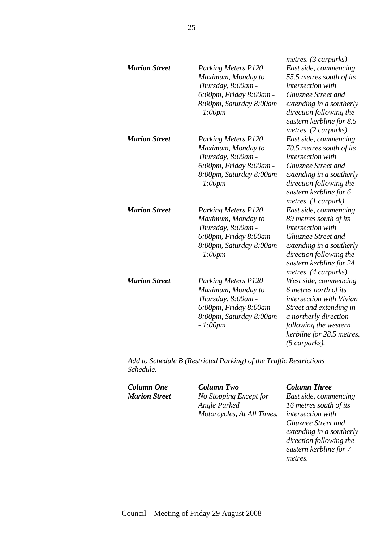| <b>Marion Street</b> | <b>Parking Meters P120</b><br>Maximum, Monday to<br>Thursday, 8:00am -<br>6:00pm, Friday 8:00am -<br>8:00pm, Saturday 8:00am<br>$-1:00pm$ | metres. (3 carparks)<br>East side, commencing<br>55.5 metres south of its<br>intersection with<br><b>Ghuznee Street and</b><br>extending in a southerly<br>direction following the<br>eastern kerbline for 8.5<br>metres. (2 carparks) |
|----------------------|-------------------------------------------------------------------------------------------------------------------------------------------|----------------------------------------------------------------------------------------------------------------------------------------------------------------------------------------------------------------------------------------|
| <b>Marion Street</b> | <b>Parking Meters P120</b><br>Maximum, Monday to<br>Thursday, 8:00am -<br>6:00pm, Friday 8:00am -<br>8:00pm, Saturday 8:00am<br>$-1:00pm$ | East side, commencing<br>70.5 metres south of its<br>intersection with<br><b>Ghuznee Street and</b><br>extending in a southerly<br>direction following the<br>eastern kerbline for 6<br>metres. (1 carpark)                            |
| <b>Marion Street</b> | <b>Parking Meters P120</b><br>Maximum, Monday to<br>Thursday, 8:00am -<br>6:00pm, Friday 8:00am -<br>8:00pm, Saturday 8:00am<br>$-1:00pm$ | East side, commencing<br>89 metres south of its<br>intersection with<br>Ghuznee Street and<br>extending in a southerly<br>direction following the<br>eastern kerbline for 24<br>metres. (4 carparks)                                   |
| <b>Marion Street</b> | <b>Parking Meters P120</b><br>Maximum, Monday to<br>Thursday, 8:00am -<br>6:00pm, Friday 8:00am -<br>8:00pm, Saturday 8:00am<br>$-1:00pm$ | West side, commencing<br>6 metres north of its<br>intersection with Vivian<br>Street and extending in<br>a northerly direction<br>following the western<br>kerbline for 28.5 metres.<br>(5 carparks).                                  |

*Add to Schedule B (Restricted Parking) of the Traffic Restrictions Schedule.* 

*Column One Column Two Column Three Marion Street No Stopping Except for Angle Parked Motorcycles, At All Times.* 

*East side, commencing 16 metres south of its intersection with Ghuznee Street and extending in a southerly direction following the eastern kerbline for 7 metres.*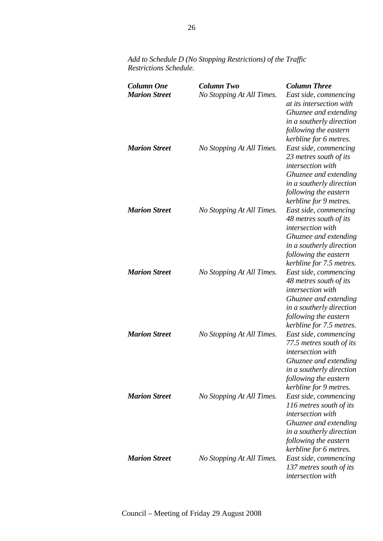| <b>Column One</b><br><b>Marion Street</b> | <b>Column Two</b><br>No Stopping At All Times. | <b>Column Three</b><br>East side, commencing<br>at its intersection with<br>Ghuznee and extending                                                                                                        |
|-------------------------------------------|------------------------------------------------|----------------------------------------------------------------------------------------------------------------------------------------------------------------------------------------------------------|
| <b>Marion Street</b>                      | No Stopping At All Times.                      | in a southerly direction<br>following the eastern<br>kerbline for 6 metres.<br>East side, commencing<br>23 metres south of its<br>intersection with<br>Ghuznee and extending<br>in a southerly direction |
| <b>Marion Street</b>                      | No Stopping At All Times.                      | following the eastern<br>kerbline for 9 metres.<br>East side, commencing<br>48 metres south of its<br>intersection with<br>Ghuznee and extending                                                         |
| <b>Marion Street</b>                      | No Stopping At All Times.                      | in a southerly direction<br>following the eastern<br>kerbline for 7.5 metres.<br>East side, commencing<br>48 metres south of its<br>intersection with<br>Ghuznee and extending                           |
| <b>Marion Street</b>                      | No Stopping At All Times.                      | in a southerly direction<br>following the eastern<br>kerbline for 7.5 metres.<br>East side, commencing<br>77.5 metres south of its<br><i>intersection</i> with<br>Ghuznee and extending                  |
| <b>Marion Street</b>                      | No Stopping At All Times.                      | in a southerly direction<br>following the eastern<br>kerbline for 9 metres.<br>East side, commencing<br>116 metres south of its<br><i>intersection</i> with<br>Ghuznee and extending                     |
| <b>Marion Street</b>                      | No Stopping At All Times.                      | in a southerly direction<br>following the eastern<br>kerbline for 6 metres.<br>East side, commencing<br>137 metres south of its<br>intersection with                                                     |

*Add to Schedule D (No Stopping Restrictions) of the Traffic Restrictions Schedule.*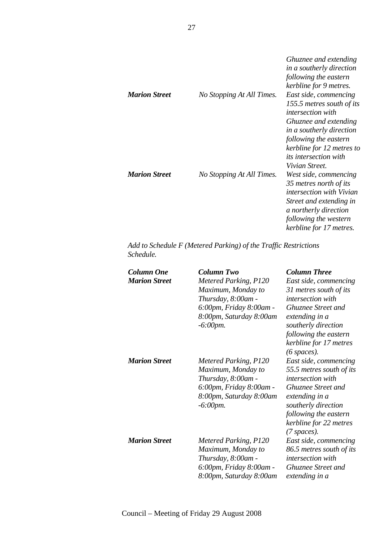| <b>Marion Street</b> | No Stopping At All Times. | Ghuznee and extending<br>in a southerly direction<br>following the eastern<br>kerbline for 9 metres.<br>East side, commencing<br>155.5 metres south of its<br><i>intersection with</i><br>Ghuznee and extending<br>in a southerly direction                                                        |
|----------------------|---------------------------|----------------------------------------------------------------------------------------------------------------------------------------------------------------------------------------------------------------------------------------------------------------------------------------------------|
| <b>Marion Street</b> | No Stopping At All Times. | following the eastern<br>kerbline for 12 metres to<br><i>its intersection with</i><br>Vivian Street.<br>West side, commencing<br>35 metres north of its<br><i>intersection with Vivian</i><br>Street and extending in<br>a northerly direction<br>following the western<br>kerbline for 17 metres. |

*Add to Schedule F (Metered Parking) of the Traffic Restrictions Schedule.* 

| Column One<br><b>Marion Street</b> | <b>Column Two</b><br>Metered Parking, P120<br>Maximum, Monday to<br>Thursday, 8:00am -<br>6:00pm, Friday 8:00am -<br>8:00pm, Saturday 8:00am<br>$-6:00$ pm. | <b>Column Three</b><br>East side, commencing<br>31 metres south of its<br><i>intersection</i> with<br><b>Ghuznee Street and</b><br>extending in a<br>southerly direction<br>following the eastern<br>kerbline for 17 metres<br>$(6 \text{ spaces}).$ |
|------------------------------------|-------------------------------------------------------------------------------------------------------------------------------------------------------------|------------------------------------------------------------------------------------------------------------------------------------------------------------------------------------------------------------------------------------------------------|
| <b>Marion Street</b>               | Metered Parking, P120<br>Maximum, Monday to<br>Thursday, 8:00am -<br>6:00pm, Friday 8:00am -<br>8:00pm, Saturday 8:00am<br>$-6:00$ pm.                      | East side, commencing<br>55.5 metres south of its<br>intersection with<br>Ghuznee Street and<br>extending in a<br>southerly direction<br>following the eastern<br>kerbline for 22 metres<br>$(7$ spaces).                                            |
| <b>Marion Street</b>               | Metered Parking, P120<br>Maximum, Monday to<br>Thursday, 8:00am -<br>6:00pm, Friday 8:00am -<br>8:00pm, Saturday 8:00am                                     | East side, commencing<br>86.5 metres south of its<br>intersection with<br><b>Ghuznee Street and</b><br>extending in a                                                                                                                                |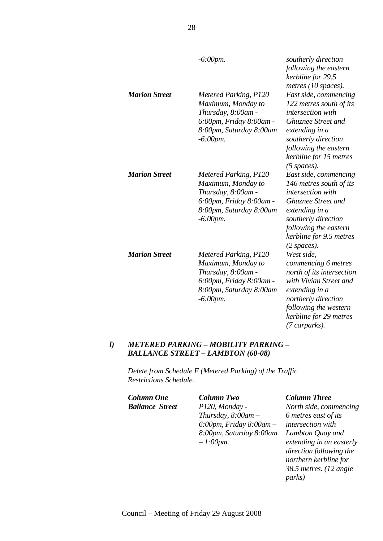|                      | $-6:00$ pm.                                                                                                                            | southerly direction<br>following the eastern<br>kerbline for 29.5<br>metres (10 spaces).                                                                                                                         |
|----------------------|----------------------------------------------------------------------------------------------------------------------------------------|------------------------------------------------------------------------------------------------------------------------------------------------------------------------------------------------------------------|
| <b>Marion Street</b> | Metered Parking, P120<br>Maximum, Monday to<br>Thursday, 8:00am -<br>6:00pm, Friday 8:00am -<br>8:00pm, Saturday 8:00am<br>$-6:00$ pm. | East side, commencing<br>122 metres south of its<br>intersection with<br>Ghuznee Street and<br>extending in a<br>southerly direction<br>following the eastern<br>kerbline for 15 metres<br>$(5$ spaces).         |
| <b>Marion Street</b> | Metered Parking, P120<br>Maximum, Monday to<br>Thursday, 8:00am -<br>6:00pm, Friday 8:00am -<br>8:00pm, Saturday 8:00am<br>$-6:00$ pm. | East side, commencing<br>146 metres south of its<br>intersection with<br><b>Ghuznee Street and</b><br>extending in a<br>southerly direction<br>following the eastern<br>kerbline for 9.5 metres<br>$(2$ spaces). |
| <b>Marion Street</b> | Metered Parking, P120<br>Maximum, Monday to<br>Thursday, 8:00am -<br>6:00pm, Friday 8:00am -<br>8:00pm, Saturday 8:00am<br>$-6:00$ pm. | West side,<br>commencing 6 metres<br>north of its intersection<br>with Vivian Street and<br>extending in a<br>northerly direction<br>following the western<br>kerbline for 29 metres<br>(7 carparks).            |

# *l) METERED PARKING – MOBILITY PARKING – BALLANCE STREET – LAMBTON (60-08)*

*Delete from Schedule F (Metered Parking) of the Traffic Restrictions Schedule.* 

*Column One Column Two Column Three Ballance Street P120, Monday -* 

*Thursday, 8:00am – 6:00pm, Friday 8:00am – 8:00pm, Saturday 8:00am – 1:00pm.* 

*North side, commencing 6 metres east of its intersection with Lambton Quay and extending in an easterly direction following the northern kerbline for 38.5 metres. (12 angle parks)*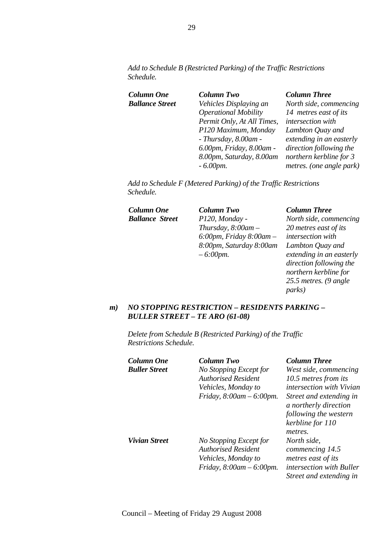*Add to Schedule B (Restricted Parking) of the Traffic Restrictions Schedule.* 

| Column One             | <b>Column Two</b>           | <b>Column Three</b>      |
|------------------------|-----------------------------|--------------------------|
| <b>Ballance Street</b> | Vehicles Displaying an      | North side, commencing   |
|                        | <b>Operational Mobility</b> | 14 metres east of its    |
|                        | Permit Only, At All Times,  | intersection with        |
|                        | P120 Maximum, Monday        | Lambton Quay and         |
|                        | $- Thursday, 8.00am -$      | extending in an easterly |
|                        | 6.00pm, Friday, 8.00am -    | direction following the  |
|                        | 8.00pm, Saturday, 8.00am    | northern kerbline for 3  |
|                        | $-6.00$ <i>pm</i> .         | metres. (one angle park) |
|                        |                             |                          |

*Add to Schedule F (Metered Parking) of the Traffic Restrictions Schedule.* 

*Column One Column Two Column Three*

*Ballance Street P120, Monday - Thursday, 8:00am – 6:00pm, Friday 8:00am – 8:00pm, Saturday 8:00am – 6:00pm.* 

*North side, commencing 20 metres east of its intersection with Lambton Quay and extending in an easterly direction following the northern kerbline for 25.5 metres. (9 angle parks)* 

# *m) NO STOPPING RESTRICTION – RESIDENTS PARKING – BULLER STREET – TE ARO (61-08)*

*Delete from Schedule B (Restricted Parking) of the Traffic Restrictions Schedule.* 

| Column One    | <b>Column Two</b>                                                                                          | <b>Column Three</b>                                                                                                |
|---------------|------------------------------------------------------------------------------------------------------------|--------------------------------------------------------------------------------------------------------------------|
| Buller Street | No Stopping Except for                                                                                     | West side, commencing                                                                                              |
|               | <b>Authorised Resident</b>                                                                                 | 10.5 metres from its                                                                                               |
|               | Vehicles, Monday to                                                                                        | <i>intersection with Vivian</i>                                                                                    |
|               | Friday, $8:00am - 6:00pm$ .                                                                                | Street and extending in<br>a northerly direction<br>following the western<br>kerbline for 110                      |
|               |                                                                                                            | metres.                                                                                                            |
| Vivian Street | No Stopping Except for<br><b>Authorised Resident</b><br>Vehicles, Monday to<br>Friday, $8:00am - 6:00pm$ . | North side,<br>commencing 14.5<br>metres east of its<br><i>intersection with Buller</i><br>Street and extending in |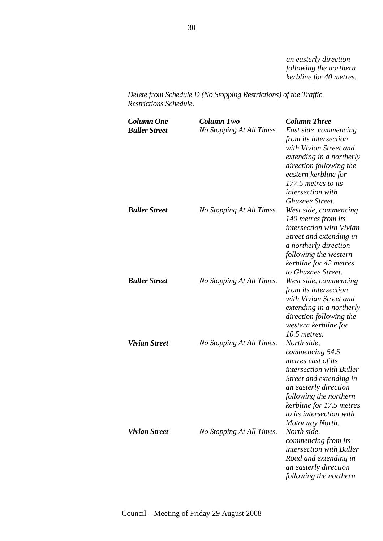*an easterly direction following the northern kerbline for 40 metres.* 

*Delete from Schedule D (No Stopping Restrictions) of the Traffic Restrictions Schedule.* 

| <b>Column One</b><br><b>Buller Street</b> | Column Two<br>No Stopping At All Times. | <b>Column Three</b><br>East side, commencing<br>from its intersection<br>with Vivian Street and<br>extending in a northerly<br>direction following the<br>eastern kerbline for<br>177.5 metres to its<br>intersection with<br>Ghuznee Street. |
|-------------------------------------------|-----------------------------------------|-----------------------------------------------------------------------------------------------------------------------------------------------------------------------------------------------------------------------------------------------|
| <b>Buller Street</b>                      | No Stopping At All Times.               | West side, commencing<br>140 metres from its<br>intersection with Vivian<br>Street and extending in<br>a northerly direction<br>following the western<br>kerbline for 42 metres<br>to Ghuznee Street.                                         |
| <b>Buller Street</b>                      | No Stopping At All Times.               | West side, commencing<br>from its intersection<br>with Vivian Street and<br>extending in a northerly<br>direction following the<br>western kerbline for<br>$10.5$ metres.                                                                     |
| <b>Vivian Street</b>                      | No Stopping At All Times.               | North side,<br>commencing 54.5<br>metres east of its<br>intersection with Buller<br>Street and extending in<br>an easterly direction<br>following the northern<br>kerbline for 17.5 metres<br>to its intersection with<br>Motorway North.     |
| <b>Vivian Street</b>                      | No Stopping At All Times.               | North side,<br>commencing from its<br><i>intersection with Buller</i><br>Road and extending in<br>an easterly direction<br>following the northern                                                                                             |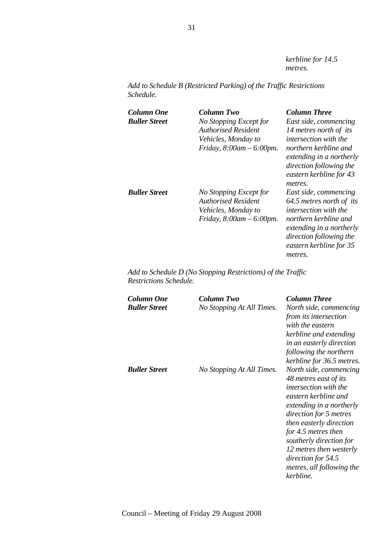*kerbline for 14.5 metres.* 

*Add to Schedule B (Restricted Parking) of the Traffic Restrictions Schedule.* 

| Column One<br><b>Buller Street</b> | Column Two<br>No Stopping Except for<br><b>Authorised Resident</b><br>Vehicles, Monday to<br>Friday, $8:00am - 6:00pm$ . | <b>Column Three</b><br>East side, commencing<br>14 metres north of its<br><i>intersection with the</i><br>northern kerbline and<br>extending in a northerly<br>direction following the<br>eastern kerbline for 43<br>metres. |
|------------------------------------|--------------------------------------------------------------------------------------------------------------------------|------------------------------------------------------------------------------------------------------------------------------------------------------------------------------------------------------------------------------|
| <b>Buller Street</b>               | No Stopping Except for<br><b>Authorised Resident</b><br>Vehicles, Monday to<br>Friday, $8:00am - 6:00pm$ .               | East side, commencing<br>64.5 metres north of its<br><i>intersection with the</i><br>northern kerbline and<br>extending in a northerly<br>direction following the<br>eastern kerbline for 35<br>metres.                      |

*Add to Schedule D (No Stopping Restrictions) of the Traffic Restrictions Schedule.* 

| Column One<br><b>Buller Street</b> | Column Two<br>No Stopping At All Times. | <b>Column Three</b><br>North side, commencing<br>from its intersection<br>with the eastern<br>kerbline and extending<br>in an easterly direction<br>following the northern<br>kerbline for 36.5 metres.                                                                                                                               |
|------------------------------------|-----------------------------------------|---------------------------------------------------------------------------------------------------------------------------------------------------------------------------------------------------------------------------------------------------------------------------------------------------------------------------------------|
| <b>Buller Street</b>               | No Stopping At All Times.               | North side, commencing<br>48 metres east of its<br><i>intersection with the</i><br>eastern kerbline and<br>extending in a northerly<br>direction for 5 metres<br>then easterly direction<br>for 4.5 metres then<br>southerly direction for<br>12 metres then westerly<br>direction for 54.5<br>metres, all following the<br>kerbline. |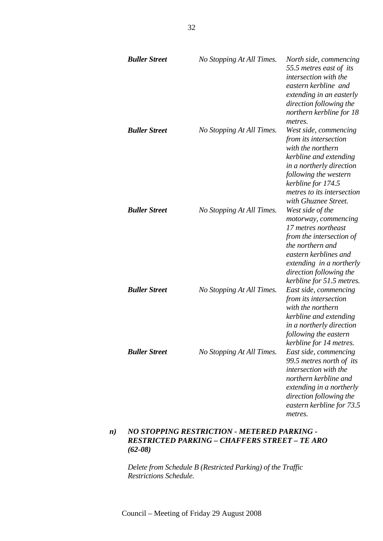| <b>Buller Street</b> | No Stopping At All Times. | North side, commencing<br>55.5 metres east of its<br>intersection with the<br>eastern kerbline and<br>extending in an easterly<br>direction following the<br>northern kerbline for 18<br>metres.                               |
|----------------------|---------------------------|--------------------------------------------------------------------------------------------------------------------------------------------------------------------------------------------------------------------------------|
| <b>Buller Street</b> | No Stopping At All Times. | West side, commencing<br>from its intersection<br>with the northern<br>kerbline and extending<br>in a northerly direction<br>following the western<br>kerbline for 174.5<br>metres to its intersection<br>with Ghuznee Street. |
| <b>Buller Street</b> | No Stopping At All Times. | West side of the<br>motorway, commencing<br>17 metres northeast<br>from the intersection of<br>the northern and<br>eastern kerblines and<br>extending in a northerly<br>direction following the<br>kerbline for 51.5 metres.   |
| <b>Buller Street</b> | No Stopping At All Times. | East side, commencing<br>from its intersection<br>with the northern<br>kerbline and extending<br>in a northerly direction<br>following the eastern<br>kerbline for 14 metres.                                                  |
| <b>Buller Street</b> | No Stopping At All Times. | East side, commencing<br>99.5 metres north of its<br>intersection with the<br>northern kerbline and<br>extending in a northerly<br>direction following the<br>eastern kerbline for 73.5<br>metres.                             |

# *n) NO STOPPING RESTRICTION - METERED PARKING - RESTRICTED PARKING – CHAFFERS STREET – TE ARO (62-08)*

*Delete from Schedule B (Restricted Parking) of the Traffic Restrictions Schedule.*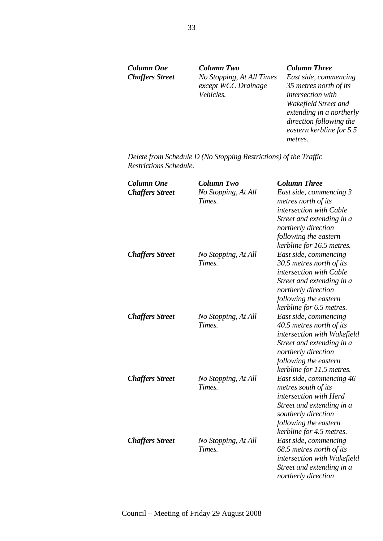*Column One Column Two Column Three Chaffers Street No Stopping, At All Times except WCC Drainage Vehicles.* 

*East side, commencing 35 metres north of its intersection with Wakefield Street and extending in a northerly direction following the eastern kerbline for 5.5 metres.* 

*Delete from Schedule D (No Stopping Restrictions) of the Traffic Restrictions Schedule.* 

| <b>Column One</b><br><b>Chaffers Street</b> | <b>Column Two</b><br>No Stopping, At All<br>Times. | <b>Column Three</b><br>East side, commencing 3<br>metres north of its<br>intersection with Cable<br>Street and extending in a<br>northerly direction                                                             |
|---------------------------------------------|----------------------------------------------------|------------------------------------------------------------------------------------------------------------------------------------------------------------------------------------------------------------------|
| <b>Chaffers Street</b>                      | No Stopping, At All<br>Times.                      | following the eastern<br>kerbline for 16.5 metres.<br>East side, commencing<br>30.5 metres north of its<br>intersection with Cable<br>Street and extending in a<br>northerly direction                           |
| <b>Chaffers Street</b>                      | No Stopping, At All<br>Times.                      | following the eastern<br>kerbline for 6.5 metres.<br>East side, commencing<br>40.5 metres north of its<br>intersection with Wakefield<br>Street and extending in a                                               |
| <b>Chaffers Street</b>                      | No Stopping, At All<br>Times.                      | northerly direction<br>following the eastern<br>kerbline for 11.5 metres.<br>East side, commencing 46<br>metres south of its<br>intersection with Herd<br>Street and extending in a                              |
| <b>Chaffers Street</b>                      | No Stopping, At All<br>Times.                      | southerly direction<br>following the eastern<br>kerbline for 4.5 metres.<br>East side, commencing<br>68.5 metres north of its<br>intersection with Wakefield<br>Street and extending in a<br>northerly direction |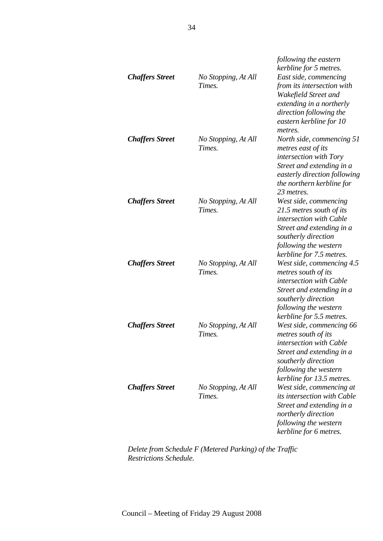| <b>Chaffers Street</b> | No Stopping, At All<br>Times. | following the eastern<br>kerbline for 5 metres.<br>East side, commencing<br>from its intersection with<br>Wakefield Street and<br>extending in a northerly<br>direction following the<br>eastern kerbline for 10 |
|------------------------|-------------------------------|------------------------------------------------------------------------------------------------------------------------------------------------------------------------------------------------------------------|
| <b>Chaffers Street</b> | No Stopping, At All<br>Times. | metres.<br>North side, commencing 51<br>metres east of its<br>intersection with Tory<br>Street and extending in a<br>easterly direction following<br>the northern kerbline for<br>23 metres.                     |
| <b>Chaffers Street</b> | No Stopping, At All<br>Times. | West side, commencing<br>21.5 metres south of its<br>intersection with Cable<br>Street and extending in a<br>southerly direction<br>following the western<br>kerbline for 7.5 metres.                            |
| <b>Chaffers Street</b> | No Stopping, At All<br>Times. | West side, commencing 4.5<br>metres south of its<br>intersection with Cable<br>Street and extending in a<br>southerly direction<br>following the western<br>kerbline for 5.5 metres.                             |
| <b>Chaffers Street</b> | No Stopping, At All<br>Times. | West side, commencing 66<br>metres south of its<br>intersection with Cable<br>Street and extending in a<br>southerly direction<br>following the western<br>kerbline for 13.5 metres.                             |
| <b>Chaffers Street</b> | No Stopping, At All<br>Times. | West side, commencing at<br>its intersection with Cable<br>Street and extending in a<br>northerly direction<br>following the western<br>kerbline for 6 metres.                                                   |

*Delete from Schedule F (Metered Parking) of the Traffic Restrictions Schedule.*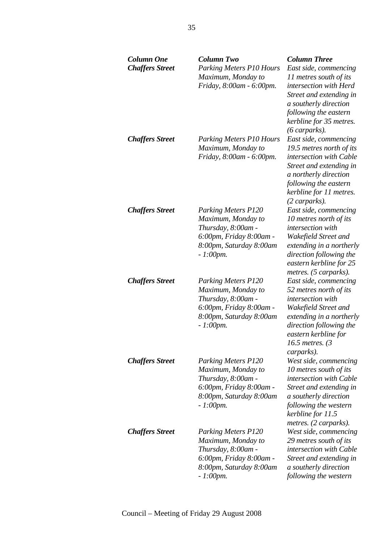| <b>Column One</b><br><b>Chaffers Street</b> | <b>Column Two</b><br><b>Parking Meters P10 Hours</b><br>Maximum, Monday to<br>Friday, 8:00am - 6:00pm.                                      | <b>Column Three</b><br>East side, commencing<br>11 metres south of its<br>intersection with Herd<br>Street and extending in<br>a southerly direction<br>following the eastern<br>kerbline for 35 metres.<br>$(6 \text{ carparks).$ |
|---------------------------------------------|---------------------------------------------------------------------------------------------------------------------------------------------|------------------------------------------------------------------------------------------------------------------------------------------------------------------------------------------------------------------------------------|
| <b>Chaffers Street</b>                      | <b>Parking Meters P10 Hours</b><br>Maximum, Monday to<br>Friday, 8:00am - 6:00pm.                                                           | East side, commencing<br>19.5 metres north of its<br>intersection with Cable<br>Street and extending in<br>a northerly direction<br>following the eastern<br>kerbline for 11 metres.<br>(2 carparks).                              |
| <b>Chaffers Street</b>                      | <b>Parking Meters P120</b><br>Maximum, Monday to<br>Thursday, 8:00am -<br>6:00pm, Friday 8:00am -<br>8:00pm, Saturday 8:00am<br>$-1:00$ pm. | East side, commencing<br>10 metres north of its<br>intersection with<br>Wakefield Street and<br>extending in a northerly<br>direction following the<br>eastern kerbline for 25<br>metres. (5 carparks).                            |
| <b>Chaffers Street</b>                      | <b>Parking Meters P120</b><br>Maximum, Monday to<br>Thursday, 8:00am -<br>6:00pm, Friday 8:00am -<br>8:00pm, Saturday 8:00am<br>$-1:00$ pm. | East side, commencing<br>52 metres north of its<br>intersection with<br>Wakefield Street and<br>extending in a northerly<br>direction following the<br>eastern kerbline for<br>16.5 metres. $(3)$<br>carparks).                    |
| <b>Chaffers Street</b>                      | <b>Parking Meters P120</b><br>Maximum, Monday to<br>Thursday, 8:00am -<br>6:00pm, Friday 8:00am -<br>8:00pm, Saturday 8:00am<br>$-1:00$ pm. | West side, commencing<br>10 metres south of its<br>intersection with Cable<br>Street and extending in<br>a southerly direction<br>following the western<br>kerbline for 11.5<br>metres. (2 carparks).                              |
| <b>Chaffers Street</b>                      | <b>Parking Meters P120</b><br>Maximum, Monday to<br>Thursday, 8:00am -<br>6:00pm, Friday 8:00am -<br>8:00pm, Saturday 8:00am<br>$-1:00$ pm. | West side, commencing<br>29 metres south of its<br>intersection with Cable<br>Street and extending in<br>a southerly direction<br>following the western                                                                            |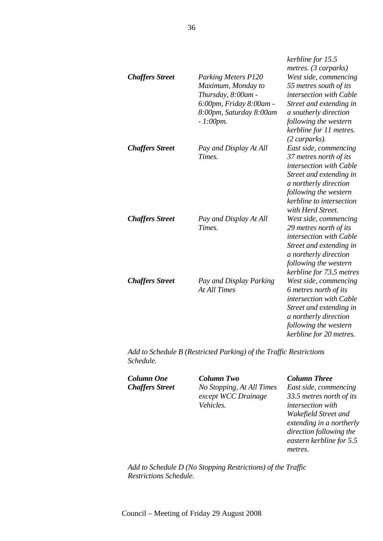| <b>Chaffers Street</b> | <b>Parking Meters P120</b><br>Maximum, Monday to<br>Thursday, 8:00am -<br>6:00pm, Friday 8:00am -<br>8:00pm, Saturday 8:00am<br>$-1:00$ pm. | kerbline for 15.5<br>metres. (3 carparks)<br>West side, commencing<br>55 metres south of its<br>intersection with Cable<br>Street and extending in<br>a southerly direction<br>following the western<br>kerbline for 11 metres.<br>(2 carparks). |
|------------------------|---------------------------------------------------------------------------------------------------------------------------------------------|--------------------------------------------------------------------------------------------------------------------------------------------------------------------------------------------------------------------------------------------------|
| <b>Chaffers Street</b> | Pay and Display At All<br>Times.                                                                                                            | East side, commencing<br>37 metres north of its<br>intersection with Cable<br>Street and extending in<br>a northerly direction<br>following the western<br>kerbline to intersection<br>with Herd Street.                                         |
| <b>Chaffers Street</b> | Pay and Display At All<br>Times.                                                                                                            | West side, commencing<br>29 metres north of its<br>intersection with Cable<br>Street and extending in<br>a northerly direction<br>following the western<br>kerbline for 73.5 metres                                                              |
| <b>Chaffers Street</b> | Pay and Display Parking<br><b>At All Times</b>                                                                                              | West side, commencing<br>6 metres north of its<br>intersection with Cable<br>Street and extending in<br>a northerly direction<br>following the western<br>kerbline for 20 metres.                                                                |

*Add to Schedule B (Restricted Parking) of the Traffic Restrictions Schedule.* 

*Column One Column Two Column Three Chaffers Street No Stopping, At All Times except WCC Drainage Vehicles.* 

*East side, commencing 33.5 metres north of its intersection with Wakefield Street and extending in a northerly direction following the eastern kerbline for 5.5 metres.* 

*Add to Schedule D (No Stopping Restrictions) of the Traffic Restrictions Schedule.*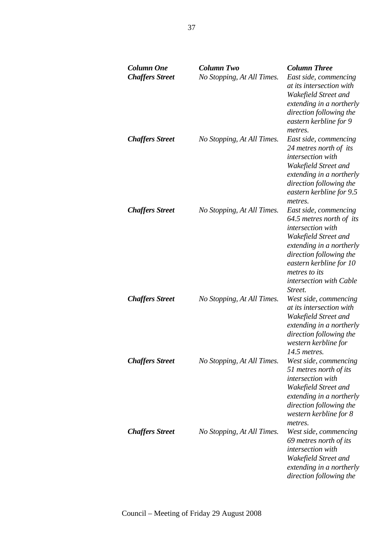| <b>Column One</b><br><b>Chaffers Street</b> | <b>Column Two</b><br>No Stopping, At All Times. | <b>Column Three</b><br>East side, commencing<br>at its intersection with<br>Wakefield Street and<br>extending in a northerly<br>direction following the<br>eastern kerbline for 9<br>metres.                                            |
|---------------------------------------------|-------------------------------------------------|-----------------------------------------------------------------------------------------------------------------------------------------------------------------------------------------------------------------------------------------|
| <b>Chaffers Street</b>                      | No Stopping, At All Times.                      | East side, commencing<br>24 metres north of its<br>intersection with<br>Wakefield Street and<br>extending in a northerly<br>direction following the<br>eastern kerbline for 9.5<br>metres.                                              |
| <b>Chaffers Street</b>                      | No Stopping, At All Times.                      | East side, commencing<br>64.5 metres north of its<br>intersection with<br>Wakefield Street and<br>extending in a northerly<br>direction following the<br>eastern kerbline for 10<br>metres to its<br>intersection with Cable<br>Street. |
| <b>Chaffers Street</b>                      | No Stopping, At All Times.                      | West side, commencing<br>at its intersection with<br>Wakefield Street and<br>extending in a northerly<br>direction following the<br>western kerbline for<br>14.5 metres.                                                                |
| <b>Chaffers Street</b>                      | No Stopping, At All Times.                      | West side, commencing<br>51 metres north of its<br>intersection with<br>Wakefield Street and<br>extending in a northerly<br>direction following the<br>western kerbline for 8<br>metres.                                                |
| <b>Chaffers Street</b>                      | No Stopping, At All Times.                      | West side, commencing<br>69 metres north of its<br>intersection with<br>Wakefield Street and<br>extending in a northerly<br>direction following the                                                                                     |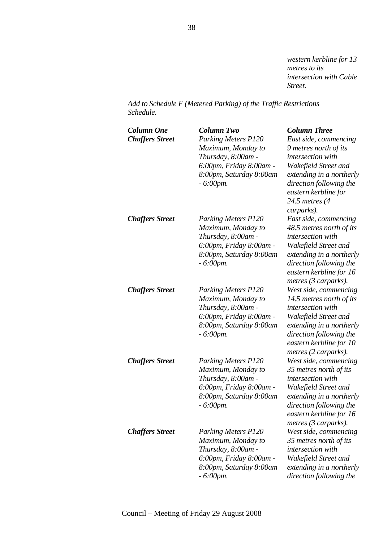*western kerbline for 13 metres to its intersection with Cable Street.* 

*Add to Schedule F (Metered Parking) of the Traffic Restrictions Schedule.* 

| <b>Column One</b><br><b>Chaffers Street</b> | <b>Column Two</b><br>Parking Meters P120<br>Maximum, Monday to<br>Thursday, 8:00am -<br>6:00pm, Friday 8:00am -<br>8:00pm, Saturday 8:00am<br>$-6:00$ pm. | <b>Column Three</b><br>East side, commencing<br>9 metres north of its<br>intersection with<br>Wakefield Street and<br>extending in a northerly<br>direction following the<br>eastern kerbline for<br>24.5 metres (4<br>carparks). |
|---------------------------------------------|-----------------------------------------------------------------------------------------------------------------------------------------------------------|-----------------------------------------------------------------------------------------------------------------------------------------------------------------------------------------------------------------------------------|
| <b>Chaffers Street</b>                      | <b>Parking Meters P120</b><br>Maximum, Monday to<br>Thursday, 8:00am -<br>6:00pm, Friday 8:00am -<br>8:00pm, Saturday 8:00am<br>$-6:00$ pm.               | East side, commencing<br>48.5 metres north of its<br>intersection with<br>Wakefield Street and<br>extending in a northerly<br>direction following the<br>eastern kerbline for 16<br>metres (3 carparks).                          |
| <b>Chaffers Street</b>                      | <b>Parking Meters P120</b><br>Maximum, Monday to<br>Thursday, 8:00am -<br>6:00pm, Friday 8:00am -<br>8:00pm, Saturday 8:00am<br>$-6:00$ pm.               | West side, commencing<br>14.5 metres north of its<br><i>intersection</i> with<br>Wakefield Street and<br>extending in a northerly<br>direction following the<br>eastern kerbline for 10<br>metres (2 carparks).                   |
| <b>Chaffers Street</b>                      | <b>Parking Meters P120</b><br>Maximum, Monday to<br>Thursday, 8:00am -<br>6:00pm, Friday 8:00am -<br>8:00pm, Saturday 8:00am<br>$-6:00$ pm.               | West side, commencing<br>35 metres north of its<br>intersection with<br>Wakefield Street and<br>extending in a northerly<br>direction following the<br>eastern kerbline for 16<br>metres (3 carparks).                            |
| <b>Chaffers Street</b>                      | <b>Parking Meters P120</b><br>Maximum, Monday to<br>Thursday, 8:00am -<br>6:00pm, Friday 8:00am -<br>8:00pm, Saturday 8:00am<br>$-6:00$ pm.               | West side, commencing<br>35 metres north of its<br>intersection with<br>Wakefield Street and<br>extending in a northerly<br>direction following the                                                                               |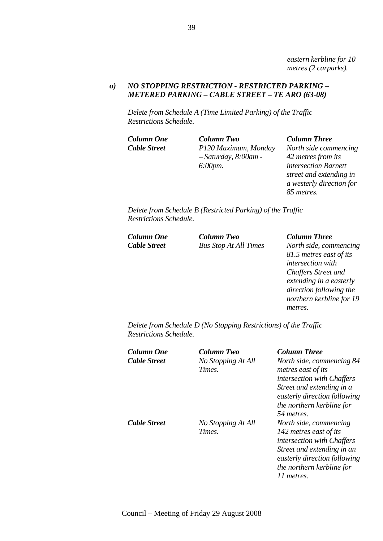*eastern kerbline for 10 metres (2 carparks).* 

### *o) NO STOPPING RESTRICTION - RESTRICTED PARKING – METERED PARKING – CABLE STREET – TE ARO (63-08)*

*Delete from Schedule A (Time Limited Parking) of the Traffic Restrictions Schedule.* 

*Column One Column Two Column Three Cable Street P120 Maximum, Monday – Saturday, 8:00am - 6:00pm.* 

*North side commencing 42 metres from its intersection Barnett street and extending in a westerly direction for 85 metres.* 

*Delete from Schedule B (Restricted Parking) of the Traffic Restrictions Schedule.* 

| Column One          | <b>Column Two</b>            | <b>Column Three</b>     |
|---------------------|------------------------------|-------------------------|
| <b>Cable Street</b> | <b>Bus Stop At All Times</b> | North side, commencing  |
|                     |                              | 21.5 motros gast of its |

*81.5 metres east of its intersection with Chaffers Street and extending in a easterly direction following the northern kerbline for 19 metres.* 

*Delete from Schedule D (No Stopping Restrictions) of the Traffic Restrictions Schedule.* 

*Column One Column Two Column Three Cable Street No Stopping At All Times.* 

*Cable Street No Stopping At All Times.*

*North side, commencing 84 metres east of its intersection with Chaffers Street and extending in a easterly direction following the northern kerbline for 54 metres. North side, commencing 142 metres east of its intersection with Chaffers Street and extending in an easterly direction following the northern kerbline for 11 metres.*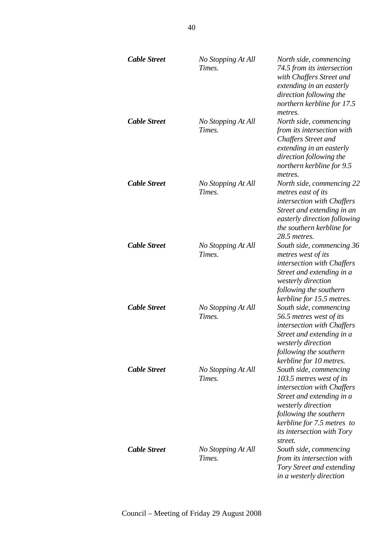| <b>Cable Street</b> | No Stopping At All<br>Times. | North side, commencing<br>74.5 from its intersection<br>with Chaffers Street and<br>extending in an easterly<br>direction following the<br>northern kerbline for 17.5<br>metres.                                                            |
|---------------------|------------------------------|---------------------------------------------------------------------------------------------------------------------------------------------------------------------------------------------------------------------------------------------|
| <b>Cable Street</b> | No Stopping At All<br>Times. | North side, commencing<br>from its intersection with<br><b>Chaffers Street and</b><br>extending in an easterly<br>direction following the<br>northern kerbline for 9.5<br>metres.                                                           |
| Cable Street        | No Stopping At All<br>Times. | North side, commencing 22<br>metres east of its<br>intersection with Chaffers<br>Street and extending in an<br>easterly direction following<br>the southern kerbline for<br>28.5 metres.                                                    |
| <b>Cable Street</b> | No Stopping At All<br>Times. | South side, commencing 36<br>metres west of its<br>intersection with Chaffers<br>Street and extending in a<br>westerly direction<br>following the southern<br>kerbline for 15.5 metres.                                                     |
| <b>Cable Street</b> | No Stopping At All<br>Times. | South side, commencing<br>56.5 metres west of its<br>intersection with Chaffers<br>Street and extending in a<br><i>westerly direction</i><br>following the southern<br>kerbline for 10 metres.                                              |
| <b>Cable Street</b> | No Stopping At All<br>Times. | South side, commencing<br>103.5 metres west of its<br>intersection with Chaffers<br>Street and extending in a<br>westerly direction<br>following the southern<br>kerbline for 7.5 metres to<br><i>its intersection with Tory</i><br>street. |
| Cable Street        | No Stopping At All<br>Times. | South side, commencing<br>from its intersection with<br><b>Tory Street and extending</b><br>in a westerly direction                                                                                                                         |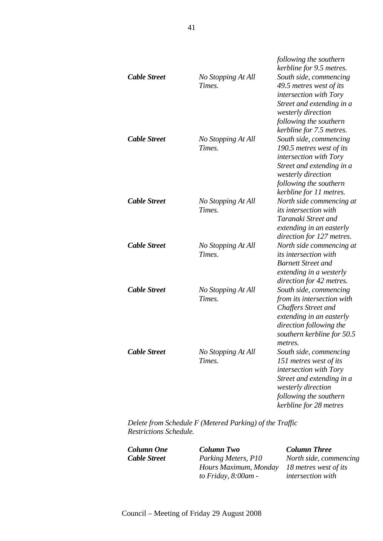|                     |                    | following the southern<br>kerbline for 9.5 metres. |
|---------------------|--------------------|----------------------------------------------------|
| <b>Cable Street</b> | No Stopping At All | South side, commencing                             |
|                     | Times.             | 49.5 metres west of its                            |
|                     |                    | intersection with Tory                             |
|                     |                    | Street and extending in a                          |
|                     |                    | westerly direction                                 |
|                     |                    | following the southern                             |
|                     |                    | kerbline for 7.5 metres.                           |
| <b>Cable Street</b> | No Stopping At All | South side, commencing                             |
|                     | Times.             | 190.5 metres west of its                           |
|                     |                    | intersection with Tory                             |
|                     |                    | Street and extending in a                          |
|                     |                    | westerly direction                                 |
|                     |                    | following the southern                             |
|                     |                    | kerbline for 11 metres.                            |
| <b>Cable Street</b> | No Stopping At All | North side commencing at                           |
|                     | Times.             | <i>its intersection with</i>                       |
|                     |                    | Taranaki Street and                                |
|                     |                    | extending in an easterly                           |
|                     |                    | direction for 127 metres.                          |
| <b>Cable Street</b> | No Stopping At All | North side commencing at                           |
|                     | Times.             | <i>its intersection with</i>                       |
|                     |                    | <b>Barnett Street and</b>                          |
|                     |                    | extending in a westerly                            |
|                     |                    | direction for 42 metres.                           |
| <b>Cable Street</b> | No Stopping At All | South side, commencing                             |
|                     | Times.             | from its intersection with                         |
|                     |                    | <b>Chaffers Street and</b>                         |
|                     |                    | extending in an easterly                           |
|                     |                    | direction following the                            |
|                     |                    | southern kerbline for 50.5                         |
|                     |                    | <i>metres</i>                                      |
| <b>Cable Street</b> | No Stopping At All | South side, commencing                             |
|                     | Times.             | 151 metres west of its                             |
|                     |                    | intersection with Tory                             |
|                     |                    | Street and extending in a                          |
|                     |                    | westerly direction                                 |
|                     |                    | following the southern                             |
|                     |                    | kerbline for 28 metres                             |

*Delete from Schedule F (Metered Parking) of the Traffic Restrictions Schedule.* 

*Column One Column Two Column Three Cable Street Parking Meters, P10 Hours Maximum, Monday to Friday, 8:00am -* 

*North side, commencing 18 metres west of its intersection with*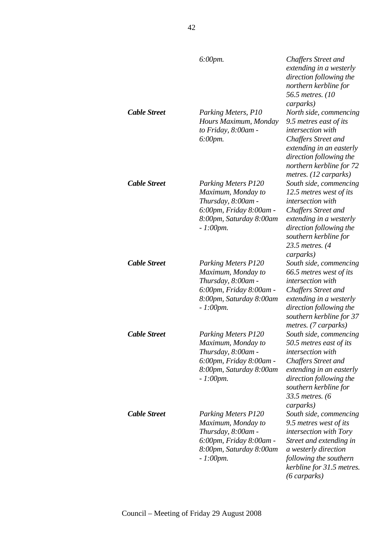|                     | $6:00$ pm.                                                                                                                                  | <b>Chaffers Street and</b><br>extending in a westerly<br>direction following the<br>northern kerbline for<br>56.5 metres. (10)<br>carparks)                                                                              |
|---------------------|---------------------------------------------------------------------------------------------------------------------------------------------|--------------------------------------------------------------------------------------------------------------------------------------------------------------------------------------------------------------------------|
| <b>Cable Street</b> | Parking Meters, P10<br>Hours Maximum, Monday<br>to Friday, 8:00am -<br>6:00pm.                                                              | North side, commencing<br>9.5 metres east of its<br>intersection with<br><b>Chaffers Street and</b><br>extending in an easterly<br>direction following the<br>northern kerbline for 72<br>metres. (12 carparks)          |
| <b>Cable Street</b> | <b>Parking Meters P120</b><br>Maximum, Monday to<br>Thursday, 8:00am -<br>6:00pm, Friday 8:00am -<br>8:00pm, Saturday 8:00am<br>$-1:00$ pm. | South side, commencing<br>12.5 metres west of its<br>intersection with<br><b>Chaffers Street and</b><br>extending in a westerly<br>direction following the<br>southern kerbline for<br>23.5 metres. (4<br>carparks)      |
| <b>Cable Street</b> | <b>Parking Meters P120</b><br>Maximum, Monday to<br>Thursday, 8:00am -<br>6:00pm, Friday 8:00am -<br>8:00pm, Saturday 8:00am<br>$-1:00$ pm. | South side, commencing<br>66.5 metres west of its<br>intersection with<br>Chaffers Street and<br>extending in a westerly<br>direction following the<br>southern kerbline for 37<br>metres. (7 carparks)                  |
| <b>Cable Street</b> | <b>Parking Meters P120</b><br>Maximum, Monday to<br>Thursday, 8:00am -<br>6:00pm, Friday 8:00am -<br>8:00pm, Saturday 8:00am<br>$-1:00$ pm. | South side, commencing<br>50.5 metres east of its<br><i>intersection with</i><br>Chaffers Street and<br>extending in an easterly<br>direction following the<br>southern kerbline for<br>33.5 metres. (6                  |
| <b>Cable Street</b> | <b>Parking Meters P120</b><br>Maximum, Monday to<br>Thursday, 8:00am -<br>6:00pm, Friday 8:00am -<br>8:00pm, Saturday 8:00am<br>$-1:00$ pm. | carparks)<br>South side, commencing<br>9.5 metres west of its<br><i>intersection with Tory</i><br>Street and extending in<br>a westerly direction<br>following the southern<br>kerbline for 31.5 metres.<br>(6 carparks) |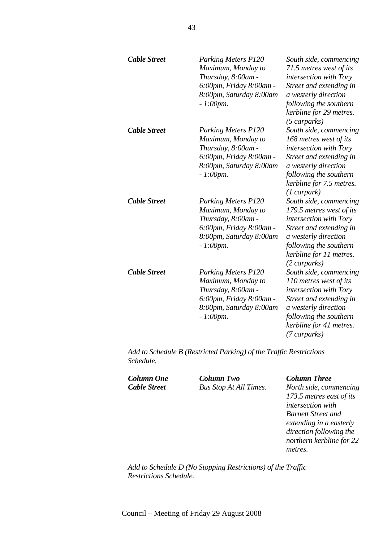| <b>Cable Street</b> | <b>Parking Meters P120</b><br>Maximum, Monday to<br>Thursday, 8:00am -<br>6:00pm, Friday 8:00am -<br>8:00pm, Saturday 8:00am<br>$-1:00$ pm. | South side, commencing<br>71.5 metres west of its<br>intersection with Tory<br>Street and extending in<br>a westerly direction<br>following the southern<br>kerbline for 29 metres.<br>$(5 \text{ carparks})$ |
|---------------------|---------------------------------------------------------------------------------------------------------------------------------------------|---------------------------------------------------------------------------------------------------------------------------------------------------------------------------------------------------------------|
| <b>Cable Street</b> | <b>Parking Meters P120</b><br>Maximum, Monday to<br>Thursday, 8:00am -<br>6:00pm, Friday 8:00am -<br>8:00pm, Saturday 8:00am<br>$-1:00$ pm. | South side, commencing<br>168 metres west of its<br>intersection with Tory<br>Street and extending in<br>a westerly direction<br>following the southern<br>kerbline for 7.5 metres.<br>$(1 \text{ carpark)$   |
| <b>Cable Street</b> | <b>Parking Meters P120</b><br>Maximum, Monday to<br>Thursday, 8:00am -<br>6:00pm, Friday 8:00am -<br>8:00pm, Saturday 8:00am<br>$-1:00$ pm. | South side, commencing<br>179.5 metres west of its<br>intersection with Tory<br>Street and extending in<br>a westerly direction<br>following the southern<br>kerbline for 11 metres.<br>$(2 \text{ carparks)$ |
| <b>Cable Street</b> | <b>Parking Meters P120</b><br>Maximum, Monday to<br>Thursday, 8:00am -<br>6:00pm, Friday 8:00am -<br>8:00pm, Saturday 8:00am<br>$-1:00$ pm. | South side, commencing<br>110 metres west of its<br>intersection with Tory<br>Street and extending in<br>a westerly direction<br>following the southern<br>kerbline for 41 metres.<br>(7 carparks)            |

*Add to Schedule B (Restricted Parking) of the Traffic Restrictions Schedule.* 

*Column One Column Two Column Three*

*Cable Street Bus Stop At All Times. North side, commencing 173.5 metres east of its intersection with Barnett Street and extending in a easterly direction following the northern kerbline for 22 metres.* 

*Add to Schedule D (No Stopping Restrictions) of the Traffic Restrictions Schedule.*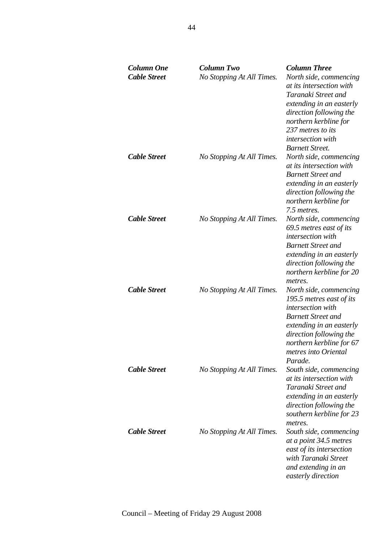| <b>Column One</b><br><b>Cable Street</b> | <b>Column Two</b><br>No Stopping At All Times. | <b>Column Three</b><br>North side, commencing<br>at its intersection with<br>Taranaki Street and<br>extending in an easterly<br>direction following the<br>northern kerbline for<br>237 metres to its<br>intersection with<br><b>Barnett Street.</b> |
|------------------------------------------|------------------------------------------------|------------------------------------------------------------------------------------------------------------------------------------------------------------------------------------------------------------------------------------------------------|
| <b>Cable Street</b>                      | No Stopping At All Times.                      | North side, commencing<br>at its intersection with<br><b>Barnett Street and</b><br>extending in an easterly<br>direction following the<br>northern kerbline for<br>7.5 metres.                                                                       |
| <b>Cable Street</b>                      | No Stopping At All Times.                      | North side, commencing<br>69.5 metres east of its<br>intersection with<br><b>Barnett Street and</b><br>extending in an easterly<br>direction following the<br>northern kerbline for 20<br>metres.                                                    |
| <b>Cable Street</b>                      | No Stopping At All Times.                      | North side, commencing<br>195.5 metres east of its<br>intersection with<br><b>Barnett Street and</b><br>extending in an easterly<br>direction following the<br>northern kerbline for 67<br>metres into Oriental<br>Parade.                           |
| <b>Cable Street</b>                      | No Stopping At All Times.                      | South side, commencing<br>at its intersection with<br>Taranaki Street and<br>extending in an easterly<br>direction following the<br>southern kerbline for 23<br>metres.                                                                              |
| <b>Cable Street</b>                      | No Stopping At All Times.                      | South side, commencing<br>at a point 34.5 metres<br>east of its intersection<br>with Taranaki Street<br>and extending in an<br>easterly direction                                                                                                    |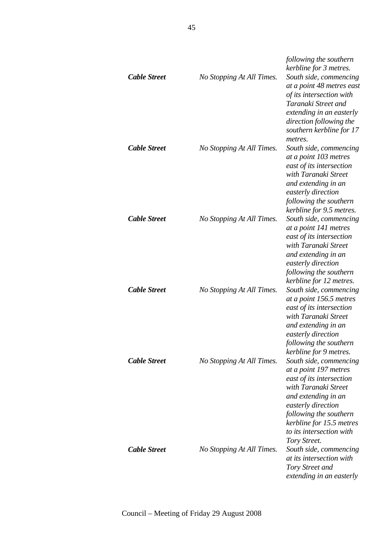| <b>Cable Street</b> | No Stopping At All Times. | following the southern<br>kerbline for 3 metres.<br>South side, commencing<br>at a point 48 metres east<br>of its intersection with<br>Taranaki Street and<br>extending in an easterly<br>direction following the                                            |
|---------------------|---------------------------|--------------------------------------------------------------------------------------------------------------------------------------------------------------------------------------------------------------------------------------------------------------|
| <b>Cable Street</b> | No Stopping At All Times. | southern kerbline for 17<br>metres.<br>South side, commencing<br>at a point 103 metres<br>east of its intersection<br>with Taranaki Street<br>and extending in an<br>easterly direction<br>following the southern                                            |
| <b>Cable Street</b> | No Stopping At All Times. | kerbline for 9.5 metres.<br>South side, commencing<br>at a point 141 metres<br>east of its intersection<br>with Taranaki Street<br>and extending in an<br>easterly direction<br>following the southern                                                       |
| <b>Cable Street</b> | No Stopping At All Times. | kerbline for 12 metres.<br>South side, commencing<br>at a point 156.5 metres<br>east of its intersection<br>with Taranaki Street<br>and extending in an<br>easterly direction<br>following the southern                                                      |
| <b>Cable Street</b> | No Stopping At All Times. | kerbline for 9 metres.<br>South side, commencing<br>at a point 197 metres<br>east of its intersection<br>with Taranaki Street<br>and extending in an<br>easterly direction<br>following the southern<br>kerbline for 15.5 metres<br>to its intersection with |
| <b>Cable Street</b> | No Stopping At All Times. | Tory Street.<br>South side, commencing<br>at its intersection with<br>Tory Street and<br>extending in an easterly                                                                                                                                            |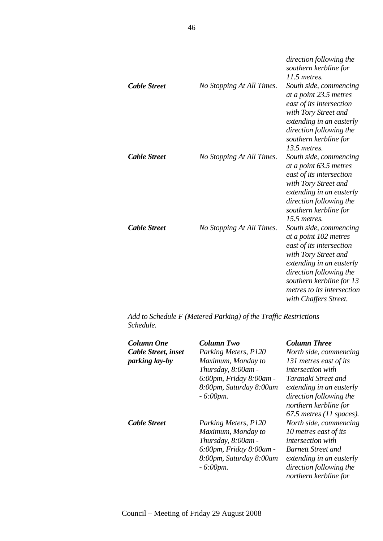|                     |                           | direction following the<br>southern kerbline for<br>11.5 metres.                                                                                                                                                                              |
|---------------------|---------------------------|-----------------------------------------------------------------------------------------------------------------------------------------------------------------------------------------------------------------------------------------------|
| <b>Cable Street</b> | No Stopping At All Times. | South side, commencing<br>at a point 23.5 metres<br>east of its intersection<br>with Tory Street and<br>extending in an easterly<br>direction following the<br>southern kerbline for<br>13.5 metres.                                          |
| <b>Cable Street</b> | No Stopping At All Times. | South side, commencing<br>at a point 63.5 metres<br>east of its intersection<br>with Tory Street and<br>extending in an easterly<br>direction following the<br>southern kerbline for<br>15.5 metres.                                          |
| <b>Cable Street</b> | No Stopping At All Times. | South side, commencing<br>at a point 102 metres<br>east of its intersection<br>with Tory Street and<br>extending in an easterly<br>direction following the<br>southern kerbline for 13<br>metres to its intersection<br>with Chaffers Street. |

*Add to Schedule F (Metered Parking) of the Traffic Restrictions Schedule.* 

| Column One<br>Cable Street, inset<br>parking lay-by | <b>Column Two</b><br>Parking Meters, P120<br>Maximum, Monday to<br>Thursday, 8:00am -<br>6:00pm, Friday 8:00am -<br>8:00pm, Saturday 8:00am<br>$-6:00$ pm. | <b>Column Three</b><br>North side, commencing<br>131 metres east of its<br><i>intersection with</i><br>Taranaki Street and<br>extending in an easterly<br>direction following the<br>northern kerbline for             |
|-----------------------------------------------------|------------------------------------------------------------------------------------------------------------------------------------------------------------|------------------------------------------------------------------------------------------------------------------------------------------------------------------------------------------------------------------------|
| <b>Cable Street</b>                                 | Parking Meters, P120<br>Maximum, Monday to<br>Thursday, 8:00am -<br>6:00pm, Friday 8:00am -<br>8:00pm, Saturday 8:00am<br>$-6:00$ pm.                      | $67.5$ metres (11 spaces).<br>North side, commencing<br>10 metres east of its<br><i>intersection</i> with<br><b>Barnett Street and</b><br>extending in an easterly<br>direction following the<br>northern kerbline for |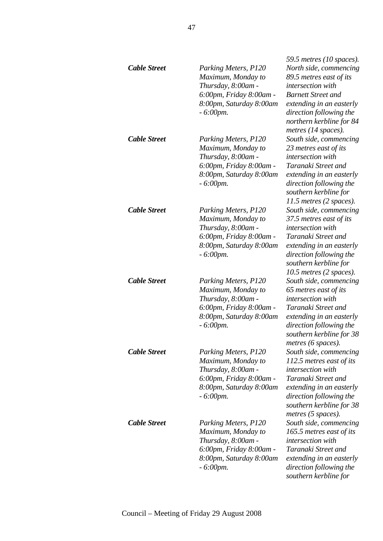|                     |                                                                                                                                       | 59.5 metres (10 spaces).                                                                                                                                                                                       |
|---------------------|---------------------------------------------------------------------------------------------------------------------------------------|----------------------------------------------------------------------------------------------------------------------------------------------------------------------------------------------------------------|
| <b>Cable Street</b> | Parking Meters, P120<br>Maximum, Monday to<br>Thursday, 8:00am -<br>6:00pm, Friday 8:00am -<br>8:00pm, Saturday 8:00am<br>$-6:00$ pm. | North side, commencing<br>89.5 metres east of its<br>intersection with<br><b>Barnett Street and</b><br>extending in an easterly<br>direction following the<br>northern kerbline for 84<br>metres (14 spaces).  |
| <b>Cable Street</b> | Parking Meters, P120<br>Maximum, Monday to<br>Thursday, 8:00am -<br>6:00pm, Friday 8:00am -<br>8:00pm, Saturday 8:00am<br>$-6:00$ pm. | South side, commencing<br>23 metres east of its<br>intersection with<br>Taranaki Street and<br>extending in an easterly<br>direction following the<br>southern kerbline for<br>$11.5$ metres (2 spaces).       |
| <b>Cable Street</b> | Parking Meters, P120<br>Maximum, Monday to<br>Thursday, 8:00am -<br>6:00pm, Friday 8:00am -<br>8:00pm, Saturday 8:00am<br>$-6:00$ pm. | South side, commencing<br>37.5 metres east of its<br>intersection with<br>Taranaki Street and<br>extending in an easterly<br>direction following the<br>southern kerbline for<br>10.5 metres (2 spaces).       |
| <b>Cable Street</b> | Parking Meters, P120<br>Maximum, Monday to<br>Thursday, 8:00am -<br>6:00pm, Friday 8:00am -<br>8:00pm, Saturday 8:00am<br>$-6:00$ pm. | South side, commencing<br>65 metres east of its<br>intersection with<br>Taranaki Street and<br>extending in an easterly<br>direction following the<br>southern kerbline for 38<br>metres (6 spaces).           |
| <b>Cable Street</b> | Parking Meters, P120<br>Maximum, Monday to<br>Thursday, 8:00am -<br>6:00pm, Friday 8:00am -<br>8:00pm, Saturday 8:00am<br>$-6:00$ pm. | South side, commencing<br>112.5 metres east of its<br><i>intersection</i> with<br>Taranaki Street and<br>extending in an easterly<br>direction following the<br>southern kerbline for 38<br>metres (5 spaces). |
| <b>Cable Street</b> | Parking Meters, P120<br>Maximum, Monday to<br>Thursday, 8:00am -<br>6:00pm, Friday 8:00am -<br>8:00pm, Saturday 8:00am<br>$-6:00$ pm. | South side, commencing<br>165.5 metres east of its<br>intersection with<br>Taranaki Street and<br>extending in an easterly<br>direction following the<br>southern kerbline for                                 |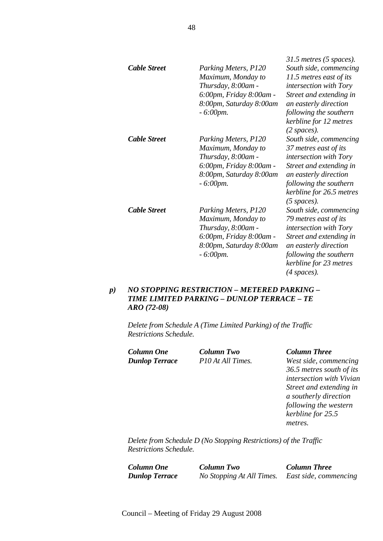| <b>Cable Street</b> | Parking Meters, P120<br>Maximum, Monday to<br>Thursday, 8:00am -<br>6:00pm, Friday 8:00am -<br>8:00pm, Saturday 8:00am<br>$-6:00$ pm. | $31.5$ metres (5 spaces).<br>South side, commencing<br>11.5 metres east of its<br><i>intersection with Tory</i><br>Street and extending in<br>an easterly direction<br>following the southern<br>kerbline for 12 metres |
|---------------------|---------------------------------------------------------------------------------------------------------------------------------------|-------------------------------------------------------------------------------------------------------------------------------------------------------------------------------------------------------------------------|
| <b>Cable Street</b> | Parking Meters, P120<br>Maximum, Monday to<br>Thursday, 8:00am -<br>6:00pm, Friday 8:00am -<br>8:00pm, Saturday 8:00am<br>$-6:00$ pm. | $(2 \text{ spaces}).$<br>South side, commencing<br>37 metres east of its<br>intersection with Tory<br>Street and extending in<br>an easterly direction<br>following the southern<br>kerbline for 26.5 metres            |
| <b>Cable Street</b> | Parking Meters, P120<br>Maximum, Monday to<br>Thursday, 8:00am -<br>6:00pm, Friday 8:00am -<br>8:00pm, Saturday 8:00am<br>$-6:00pm.$  | $(5$ spaces).<br>South side, commencing<br>79 metres east of its<br>intersection with Tory<br>Street and extending in<br>an easterly direction<br>following the southern<br>kerbline for 23 metres<br>$(4$ spaces).     |

# *p) NO STOPPING RESTRICTION – METERED PARKING – TIME LIMITED PARKING – DUNLOP TERRACE – TE ARO (72-08)*

*Delete from Schedule A (Time Limited Parking) of the Traffic Restrictions Schedule.* 

*Column One Column Two Column Three*

*Dunlop Terrace P10 At All Times. West side, commencing 36.5 metres south of its intersection with Vivian Street and extending in a southerly direction following the western kerbline for 25.5 metres.* 

*Delete from Schedule D (No Stopping Restrictions) of the Traffic Restrictions Schedule.* 

*Column One Column Two Column Three Dunlop Terrace No Stopping At All Times. East side, commencing*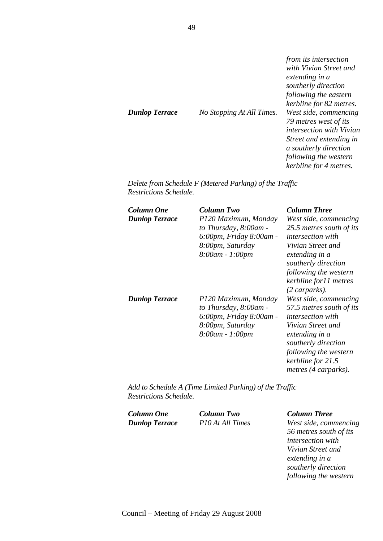| <b>Dunlop Terrace</b> | No Stopping At All Times. | from its intersection<br>with Vivian Street and<br>extending in a<br>southerly direction<br>following the eastern<br>kerbline for 82 metres.<br>West side, commencing<br>79 metres west of its<br><i>intersection with Vivian</i><br>Street and extending in<br>a southerly direction |
|-----------------------|---------------------------|---------------------------------------------------------------------------------------------------------------------------------------------------------------------------------------------------------------------------------------------------------------------------------------|
|                       |                           | following the western<br>kerbline for 4 metres.                                                                                                                                                                                                                                       |

*Delete from Schedule F (Metered Parking) of the Traffic Restrictions Schedule.* 

| Column One<br><b>Dunlop Terrace</b> | Column Two<br>P120 Maximum, Monday<br>to Thursday, 8:00am -<br>6:00pm, Friday 8:00am -<br>8:00pm, Saturday<br>8:00am - 1:00pm | <b>Column Three</b><br>West side, commencing<br>25.5 metres south of its<br><i>intersection with</i><br>Vivian Street and<br>extending in a<br>southerly direction<br>following the western<br>kerbline for11 metres<br>$(2 \text{ carparts).$ |
|-------------------------------------|-------------------------------------------------------------------------------------------------------------------------------|------------------------------------------------------------------------------------------------------------------------------------------------------------------------------------------------------------------------------------------------|
| <b>Dunlop Terrace</b>               | P120 Maximum, Monday<br>to Thursday, 8:00am -<br>6:00pm, Friday 8:00am -<br>8:00pm, Saturday<br>8:00am - 1:00pm               | West side, commencing<br>57.5 metres south of its<br><i>intersection with</i><br>Vivian Street and<br>extending in a<br>southerly direction<br>following the western<br>kerbline for 21.5<br>metres (4 carparks).                              |

*Add to Schedule A (Time Limited Parking) of the Traffic Restrictions Schedule.* 

*Column One Column Two Column Three*

*Dunlop Terrace P10 At All Times West side, commencing 56 metres south of its intersection with Vivian Street and extending in a southerly direction following the western*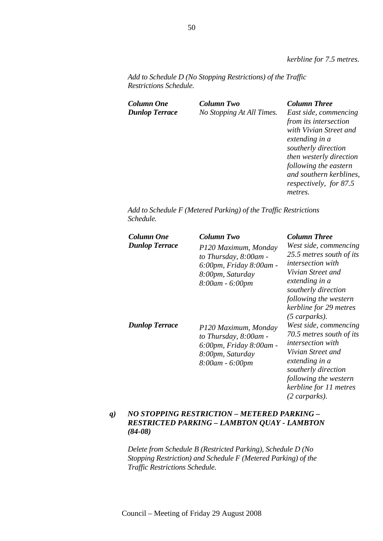*kerbline for 7.5 metres.* 

*Add to Schedule D (No Stopping Restrictions) of the Traffic Restrictions Schedule.* 

| <b>Column Two</b>         | <b>Column Three</b>                                                                                                                                                                              |
|---------------------------|--------------------------------------------------------------------------------------------------------------------------------------------------------------------------------------------------|
| No Stopping At All Times. | East side, commencing<br>from its intersection<br>with Vivian Street and<br>extending in a<br>southerly direction<br>then westerly direction<br>following the eastern<br>and southern kerblines, |
|                           | respectively, for 87.5<br>metres.                                                                                                                                                                |
|                           |                                                                                                                                                                                                  |

*Add to Schedule F (Metered Parking) of the Traffic Restrictions Schedule.* 

| Column One<br><b>Dunlop Terrace</b> | Column Two<br>P120 Maximum, Monday<br>to Thursday, 8:00am -<br>6:00pm, Friday 8:00am -<br>8:00pm, Saturday<br>8:00am - 6:00pm | <b>Column Three</b><br>West side, commencing<br>25.5 metres south of its<br><i>intersection</i> with<br>Vivian Street and<br>extending in a<br>southerly direction<br>following the western<br>kerbline for 29 metres                     |
|-------------------------------------|-------------------------------------------------------------------------------------------------------------------------------|-------------------------------------------------------------------------------------------------------------------------------------------------------------------------------------------------------------------------------------------|
| <b>Dunlop Terrace</b>               | P120 Maximum, Monday<br>to Thursday, 8:00am -<br>6:00pm, Friday 8:00am -<br>8:00pm, Saturday<br>8:00am - 6:00pm               | $(5 \text{ carparks).$<br>West side, commencing<br>70.5 metres south of its<br><i>intersection</i> with<br>Vivian Street and<br>extending in a<br>southerly direction<br>following the western<br>kerbline for 11 metres<br>(2 carparks). |

# *q) NO STOPPING RESTRICTION – METERED PARKING – RESTRICTED PARKING – LAMBTON QUAY - LAMBTON (84-08)*

*Delete from Schedule B (Restricted Parking), Schedule D (No Stopping Restriction) and Schedule F (Metered Parking) of the Traffic Restrictions Schedule.*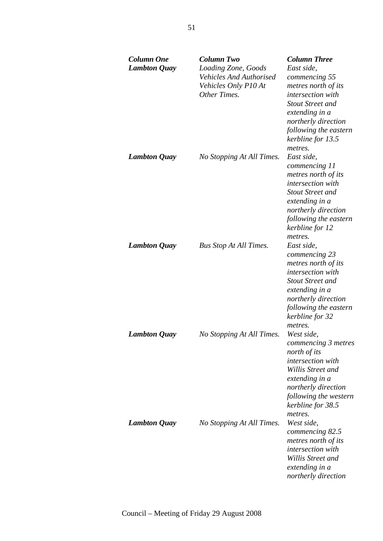| <b>Column One</b><br><b>Lambton Quay</b> | <b>Column Two</b><br>Loading Zone, Goods<br><b>Vehicles And Authorised</b><br>Vehicles Only P10 At<br>Other Times. | <b>Column Three</b><br>East side,<br>commencing 55<br>metres north of its<br>intersection with<br><b>Stout Street and</b><br>extending in a<br>northerly direction<br>following the eastern<br>kerbline for 13.5<br>metres. |
|------------------------------------------|--------------------------------------------------------------------------------------------------------------------|-----------------------------------------------------------------------------------------------------------------------------------------------------------------------------------------------------------------------------|
| <b>Lambton Quay</b>                      | No Stopping At All Times.                                                                                          | East side,<br>commencing 11<br>metres north of its<br>intersection with<br><b>Stout Street and</b><br>extending in a<br>northerly direction<br>following the eastern<br>kerbline for 12<br>metres.                          |
| <b>Lambton Quay</b>                      | <b>Bus Stop At All Times.</b>                                                                                      | East side,<br>commencing 23<br>metres north of its<br>intersection with<br><b>Stout Street and</b><br>extending in a<br>northerly direction<br>following the eastern<br>kerbline for 32<br>metres.                          |
| <b>Lambton Quay</b>                      | No Stopping At All Times.                                                                                          | West side,<br>commencing 3 metres<br>north of its<br>intersection with<br>Willis Street and<br>extending in a<br>northerly direction<br>following the western<br>kerbline for 38.5<br>metres.                               |
| <b>Lambton Quay</b>                      | No Stopping At All Times.                                                                                          | West side.<br>commencing 82.5<br>metres north of its<br>intersection with<br>Willis Street and<br>extending in a<br>northerly direction                                                                                     |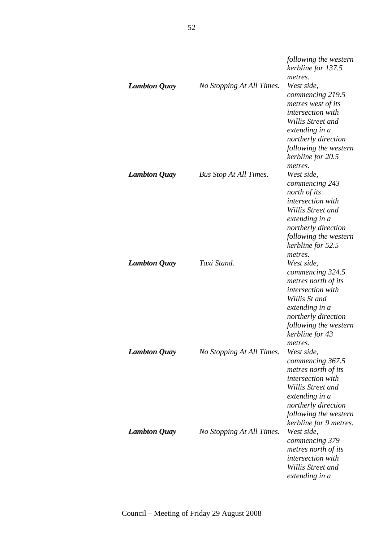| <b>Lambton Quay</b> | No Stopping At All Times.     | following the western<br>kerbline for 137.5<br>metres.<br>West side,<br>commencing 219.5<br>metres west of its<br>intersection with<br>Willis Street and<br>extending in a                                  |
|---------------------|-------------------------------|-------------------------------------------------------------------------------------------------------------------------------------------------------------------------------------------------------------|
| <b>Lambton Quay</b> | <b>Bus Stop At All Times.</b> | northerly direction<br>following the western<br>kerbline for 20.5<br>metres.<br>West side,<br>commencing 243<br>north of its<br>intersection with<br>Willis Street and<br>extending in a                    |
| <b>Lambton Quay</b> | Taxi Stand.                   | northerly direction<br>following the western<br>kerbline for 52.5<br>metres.<br>West side,<br>commencing 324.5<br>metres north of its<br><i>intersection with</i><br>Willis St and<br>extending in a        |
| <b>Lambton Quay</b> | No Stopping At All Times.     | northerly direction<br>following the western<br>kerbline for 43<br>metres.<br>West side,<br>commencing 367.5<br>metres north of its<br>intersection with<br>Willis Street and                               |
| <b>Lambton Quay</b> | No Stopping At All Times.     | extending in a<br>northerly direction<br>following the western<br>kerbline for 9 metres.<br>West side,<br>commencing 379<br>metres north of its<br>intersection with<br>Willis Street and<br>extending in a |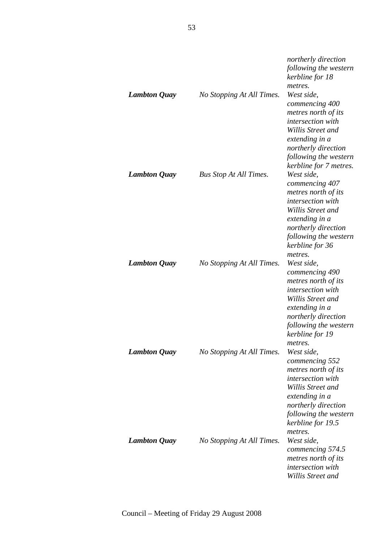| <b>Lambton Quay</b> | No Stopping At All Times.     | northerly direction<br>following the western<br>kerbline for 18<br>metres.<br>West side,<br>commencing 400<br>metres north of its<br>intersection with<br>Willis Street and                                 |
|---------------------|-------------------------------|-------------------------------------------------------------------------------------------------------------------------------------------------------------------------------------------------------------|
| <b>Lambton Quay</b> | <b>Bus Stop At All Times.</b> | extending in a<br>northerly direction<br>following the western<br>kerbline for 7 metres.<br>West side,<br>commencing 407<br>metres north of its<br>intersection with<br>Willis Street and<br>extending in a |
| <b>Lambton Quay</b> | No Stopping At All Times.     | northerly direction<br>following the western<br>kerbline for 36<br>metres.<br>West side,<br>commencing 490<br>metres north of its<br>intersection with<br>Willis Street and                                 |
| <b>Lambton Quay</b> | No Stopping At All Times.     | extending in a<br>northerly direction<br>following the western<br>kerbline for 19<br>metres.<br>West side,<br>commencing 552<br>metres north of its<br><i>intersection with</i><br>Willis Street and        |
| <b>Lambton Quay</b> | No Stopping At All Times.     | extending in a<br>northerly direction<br>following the western<br>kerbline for 19.5<br>metres.<br>West side,<br>commencing 574.5<br>metres north of its<br>intersection with<br>Willis Street and           |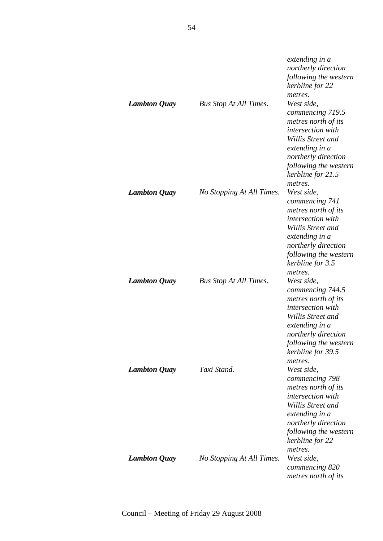| <b>Lambton Quay</b> | <b>Bus Stop At All Times.</b> | extending in a<br>northerly direction<br>following the western<br>kerbline for 22<br>metres.<br>West side,<br>commencing 719.5<br>metres north of its<br>intersection with<br>Willis Street and<br>extending in a<br>northerly direction<br>following the western<br>kerbline for 21.5 |
|---------------------|-------------------------------|----------------------------------------------------------------------------------------------------------------------------------------------------------------------------------------------------------------------------------------------------------------------------------------|
| <b>Lambton Quay</b> | No Stopping At All Times.     | metres.<br>West side,<br>commencing 741<br>metres north of its<br><i>intersection with</i><br>Willis Street and<br>extending in a<br>northerly direction<br>following the western<br>kerbline for 3.5<br>metres.                                                                       |
| <b>Lambton Quay</b> | <b>Bus Stop At All Times.</b> | West side,<br>commencing 744.5<br>metres north of its<br>intersection with<br>Willis Street and<br>extending in a<br>northerly direction<br>following the western<br>kerbline for 39.5<br>metres.                                                                                      |
| <b>Lambton Quay</b> | Taxi Stand.                   | West side,<br>commencing 798<br>metres north of its<br>intersection with<br>Willis Street and<br>extending in a<br>northerly direction<br>following the western<br>kerbline for 22<br>metres.                                                                                          |
| <b>Lambton Quay</b> | No Stopping At All Times.     | West side,<br>commencing 820<br>metres north of its                                                                                                                                                                                                                                    |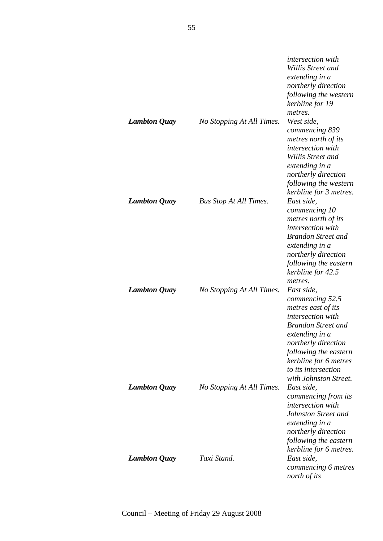|                     |                               | <i>intersection</i> with<br>Willis Street and<br>extending in a<br>northerly direction<br>following the western<br>kerbline for 19<br>metres.                                                                                                           |
|---------------------|-------------------------------|---------------------------------------------------------------------------------------------------------------------------------------------------------------------------------------------------------------------------------------------------------|
| <b>Lambton Quay</b> | No Stopping At All Times.     | West side,<br>commencing 839<br>metres north of its<br>intersection with<br>Willis Street and<br>extending in a<br>northerly direction<br>following the western<br>kerbline for 3 metres.                                                               |
| <b>Lambton Quay</b> | <b>Bus Stop At All Times.</b> | East side,<br>commencing 10<br>metres north of its<br>intersection with<br><b>Brandon Street and</b><br>extending in a<br>northerly direction<br>following the eastern<br>kerbline for 42.5<br>metres.                                                  |
| <b>Lambton Quay</b> | No Stopping At All Times.     | East side,<br>commencing 52.5<br>metres east of its<br><i>intersection with</i><br><b>Brandon Street and</b><br>extending in a<br>northerly direction<br>following the eastern<br>kerbline for 6 metres<br>to its intersection<br>with Johnston Street. |
| <b>Lambton Quay</b> | No Stopping At All Times.     | East side,<br>commencing from its<br>intersection with<br>Johnston Street and<br>extending in a<br>northerly direction<br>following the eastern<br>kerbline for 6 metres.                                                                               |
| <b>Lambton Quay</b> | Taxi Stand.                   | East side,<br>commencing 6 metres<br>north of its                                                                                                                                                                                                       |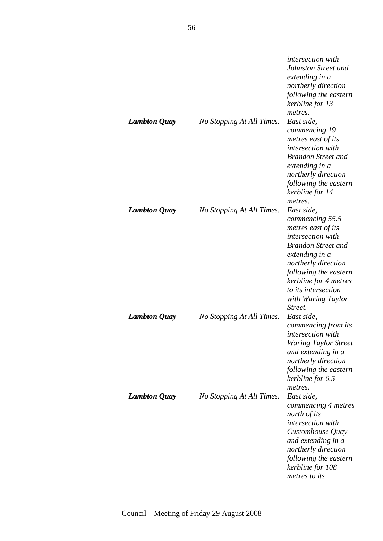| <b>Lambton Quay</b> | No Stopping At All Times. | <i>intersection</i> with<br>Johnston Street and<br>extending in a<br>northerly direction<br>following the eastern<br>kerbline for 13<br>metres.<br>East side,<br>commencing 19<br>metres east of its<br>intersection with<br><b>Brandon Street and</b><br>extending in a<br>northerly direction<br>following the eastern<br>kerbline for 14<br>metres. |
|---------------------|---------------------------|--------------------------------------------------------------------------------------------------------------------------------------------------------------------------------------------------------------------------------------------------------------------------------------------------------------------------------------------------------|
| <b>Lambton Quay</b> | No Stopping At All Times. | East side,<br>commencing 55.5<br>metres east of its<br><i>intersection with</i><br><b>Brandon Street and</b><br>extending in a<br>northerly direction<br>following the eastern<br>kerbline for 4 metres<br>to its intersection<br>with Waring Taylor<br>Street.                                                                                        |
| <b>Lambton Quay</b> | No Stopping At All Times. | East side,<br>commencing from its<br><i>intersection with</i><br><b>Waring Taylor Street</b><br>and extending in a<br>northerly direction<br>following the eastern<br>kerbline for 6.5<br>metres.                                                                                                                                                      |
| <b>Lambton Quay</b> | No Stopping At All Times. | East side,<br>commencing 4 metres<br>north of its<br>intersection with<br>Customhouse Quay<br>and extending in a<br>northerly direction<br>following the eastern<br>kerbline for 108<br>metres to its                                                                                                                                                  |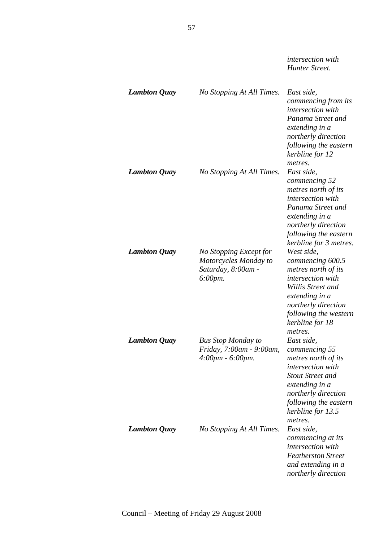*intersection with Hunter Street. Lambton Quay No Stopping At All Times. East side, commencing from its intersection with Panama Street and extending in a northerly direction following the eastern kerbline for 12 metres. Lambton Quay No Stopping At All Times. East side, commencing 52 metres north of its intersection with Panama Street and extending in a northerly direction following the eastern kerbline for 3 metres. Lambton Quay No Stopping Except for Motorcycles Monday to Saturday, 8:00am - 6:00pm. West side, commencing 600.5 metres north of its intersection with Willis Street and extending in a northerly direction following the western kerbline for 18 metres. Lambton Quay Bus Stop Monday to Friday, 7:00am - 9:00am, 4:00pm - 6:00pm. East side, commencing 55 metres north of its intersection with Stout Street and extending in a northerly direction following the eastern kerbline for 13.5* 

*metres. Lambton Quay No Stopping At All Times. East side, commencing at its intersection with Featherston Street and extending in a northerly direction*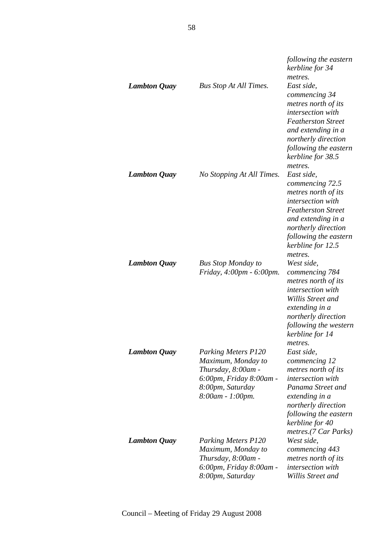|                     |                                                                                                                                           | following the eastern<br>kerbline for 34<br>metres.                                                                                                                                                    |
|---------------------|-------------------------------------------------------------------------------------------------------------------------------------------|--------------------------------------------------------------------------------------------------------------------------------------------------------------------------------------------------------|
| <b>Lambton Quay</b> | <b>Bus Stop At All Times.</b>                                                                                                             | East side,<br>commencing 34<br>metres north of its<br><i>intersection</i> with<br><b>Featherston Street</b><br>and extending in a<br>northerly direction<br>following the eastern<br>kerbline for 38.5 |
| <b>Lambton Quay</b> | No Stopping At All Times.                                                                                                                 | metres.<br>East side,<br>commencing 72.5<br>metres north of its<br><i>intersection</i> with<br><b>Featherston Street</b><br>and extending in a<br>northerly direction                                  |
| <b>Lambton Quay</b> | <b>Bus Stop Monday to</b><br>Friday, 4:00pm - 6:00pm.                                                                                     | following the eastern<br>kerbline for 12.5<br>metres.<br>West side,<br>commencing 784<br>metres north of its<br><i>intersection with</i><br>Willis Street and<br>extending in a                        |
| <b>Lambton Quay</b> | <b>Parking Meters P120</b><br>Maximum, Monday to<br>Thursday, 8:00am -<br>6:00pm, Friday 8:00am -<br>8:00pm, Saturday<br>8:00am - 1:00pm. | northerly direction<br>following the western<br>kerbline for 14<br>metres.<br>East side,<br>commencing 12<br>metres north of its<br><i>intersection</i> with<br>Panama Street and<br>extending in a    |
| <b>Lambton Quay</b> | <b>Parking Meters P120</b><br>Maximum, Monday to<br>Thursday, 8:00am -<br>6:00pm, Friday 8:00am -<br>8:00pm, Saturday                     | northerly direction<br>following the eastern<br>kerbline for 40<br>metres.(7 Car Parks)<br>West side,<br>commencing 443<br>metres north of its<br>intersection with<br>Willis Street and               |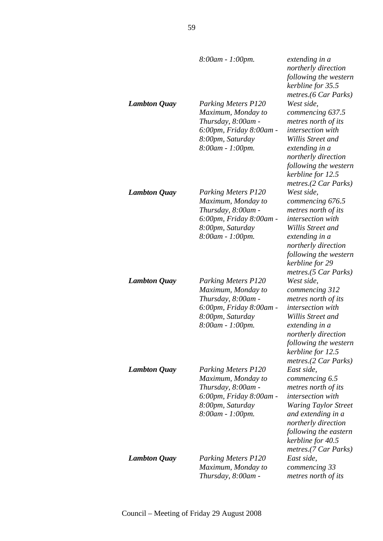|                     | 8:00am - 1:00pm.                                                                                                                             | extending in a<br>northerly direction<br>following the western<br>kerbline for 35.5<br>metres.(6 Car Parks)                                                                                                                       |
|---------------------|----------------------------------------------------------------------------------------------------------------------------------------------|-----------------------------------------------------------------------------------------------------------------------------------------------------------------------------------------------------------------------------------|
| <b>Lambton Quay</b> | <b>Parking Meters P120</b><br>Maximum, Monday to<br>Thursday, 8:00am -<br>6:00pm, Friday 8:00am -<br>8:00pm, Saturday<br>8:00am - 1:00pm.    | West side,<br>commencing 637.5<br>metres north of its<br>intersection with<br>Willis Street and<br>extending in a<br>northerly direction<br>following the western<br>kerbline for 12.5<br>metres.(2 Car Parks)                    |
| <b>Lambton Quay</b> | <b>Parking Meters P120</b><br>Maximum, Monday to<br>Thursday, 8:00am -<br>6:00pm, Friday 8:00am -<br>8:00pm, Saturday<br>$8:00$ am - 1:00pm. | West side.<br>commencing 676.5<br>metres north of its<br><i>intersection with</i><br>Willis Street and<br>extending in a<br>northerly direction<br>following the western<br>kerbline for 29<br>metres.(5 Car Parks)               |
| <b>Lambton Quay</b> | <b>Parking Meters P120</b><br>Maximum, Monday to<br>Thursday, 8:00am -<br>6:00pm, Friday 8:00am -<br>8:00pm, Saturday<br>8:00am - 1:00pm.    | West side,<br>commencing 312<br>metres north of its<br>intersection with<br>Willis Street and<br>extending in a<br>northerly direction<br>following the western<br>kerbline for 12.5<br>metres.(2 Car Parks)                      |
| <b>Lambton Quay</b> | <b>Parking Meters P120</b><br>Maximum, Monday to<br>Thursday, 8:00am -<br>6:00pm, Friday 8:00am -<br>8:00pm, Saturday<br>8:00am - 1:00pm.    | East side,<br>commencing 6.5<br>metres north of its<br><i>intersection with</i><br><b>Waring Taylor Street</b><br>and extending in a<br>northerly direction<br>following the eastern<br>kerbline for 40.5<br>metres.(7 Car Parks) |
| <b>Lambton Quay</b> | <b>Parking Meters P120</b><br>Maximum, Monday to<br>Thursday, 8:00am -                                                                       | East side,<br>commencing 33<br>metres north of its                                                                                                                                                                                |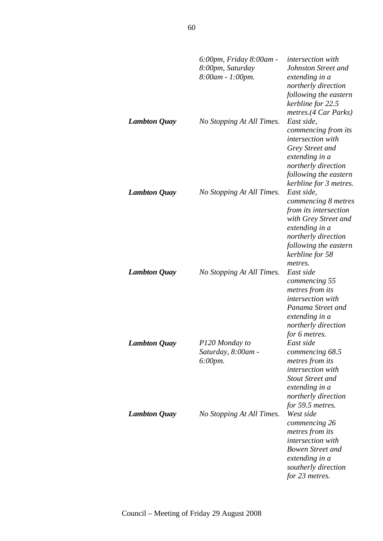|                     | 6:00pm, Friday 8:00am -<br>8:00pm, Saturday<br>8:00am - 1:00pm. | <i>intersection</i> with<br>Johnston Street and<br>extending in a<br>northerly direction<br>following the eastern<br>kerbline for 22.5<br>metres.(4 Car Parks)                     |
|---------------------|-----------------------------------------------------------------|------------------------------------------------------------------------------------------------------------------------------------------------------------------------------------|
| <b>Lambton Quay</b> | No Stopping At All Times.                                       | East side,<br>commencing from its<br>intersection with<br>Grey Street and<br>extending in a<br>northerly direction<br>following the eastern<br>kerbline for 3 metres.              |
| <b>Lambton Quay</b> | No Stopping At All Times.                                       | East side.<br>commencing 8 metres<br>from its intersection<br>with Grey Street and<br>extending in a<br>northerly direction<br>following the eastern<br>kerbline for 58<br>metres. |
| <b>Lambton Quay</b> | No Stopping At All Times.                                       | East side<br>commencing 55<br>metres from its<br>intersection with<br>Panama Street and<br>extending in a<br>northerly direction<br>for 6 metres.                                  |
| <b>Lambton Quay</b> | P120 Monday to<br>Saturday, 8:00am -<br>$6:00 \, \text{pm}.$    | East side<br>commencing 68.5<br>metres from its<br>intersection with<br><b>Stout Street and</b><br>extending in a<br>northerly direction<br>for 59.5 metres.                       |
| <b>Lambton Quay</b> | No Stopping At All Times.                                       | West side<br>commencing 26<br>metres from its<br>intersection with<br><b>Bowen Street and</b><br>extending in a<br>southerly direction<br>for 23 metres.                           |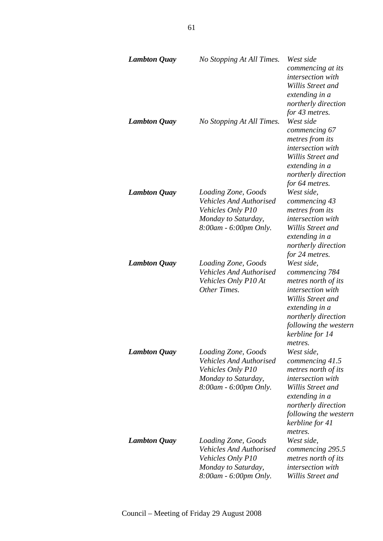| <b>Lambton Quay</b> | No Stopping At All Times.                                                                                                  | West side<br>commencing at its<br><i>intersection with</i><br>Willis Street and<br>extending in a<br>northerly direction<br>for 43 metres.                                                     |
|---------------------|----------------------------------------------------------------------------------------------------------------------------|------------------------------------------------------------------------------------------------------------------------------------------------------------------------------------------------|
| <b>Lambton Quay</b> | No Stopping At All Times.                                                                                                  | West side<br>commencing 67<br>metres from its<br>intersection with<br>Willis Street and<br>extending in a<br>northerly direction<br>for 64 metres.                                             |
| <b>Lambton Quay</b> | Loading Zone, Goods<br><b>Vehicles And Authorised</b><br>Vehicles Only P10<br>Monday to Saturday,<br>8:00am - 6:00pm Only. | West side,<br>commencing 43<br>metres from its<br>intersection with<br>Willis Street and<br>extending in a<br>northerly direction<br>for 24 metres.                                            |
| <b>Lambton Quay</b> | Loading Zone, Goods<br><b>Vehicles And Authorised</b><br>Vehicles Only P10 At<br>Other Times.                              | West side,<br>commencing 784<br>metres north of its<br>intersection with<br>Willis Street and<br>extending in a<br>northerly direction<br>following the western<br>kerbline for 14<br>metres.  |
| <b>Lambton Quay</b> | Loading Zone, Goods<br><b>Vehicles And Authorised</b><br>Vehicles Only P10<br>Monday to Saturday,<br>8:00am - 6:00pm Only. | West side,<br>commencing 41.5<br>metres north of its<br>intersection with<br>Willis Street and<br>extending in a<br>northerly direction<br>following the western<br>kerbline for 41<br>metres. |
| <b>Lambton Quay</b> | Loading Zone, Goods<br><b>Vehicles And Authorised</b><br>Vehicles Only P10<br>Monday to Saturday,<br>8:00am - 6:00pm Only. | West side,<br>commencing 295.5<br>metres north of its<br>intersection with<br>Willis Street and                                                                                                |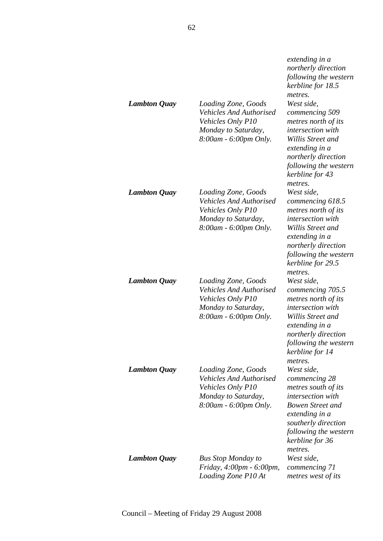|                     |                                                                                                                            | extending in a<br>northerly direction<br>following the western<br>kerbline for 18.5<br>metres.                                                                                                            |
|---------------------|----------------------------------------------------------------------------------------------------------------------------|-----------------------------------------------------------------------------------------------------------------------------------------------------------------------------------------------------------|
| <b>Lambton Quay</b> | Loading Zone, Goods<br><b>Vehicles And Authorised</b><br>Vehicles Only P10<br>Monday to Saturday,<br>8:00am - 6:00pm Only. | West side,<br>commencing 509<br>metres north of its<br><i>intersection with</i><br>Willis Street and<br>extending in a<br>northerly direction<br>following the western<br>kerbline for 43<br>metres.      |
| <b>Lambton Quay</b> | Loading Zone, Goods<br><b>Vehicles And Authorised</b><br>Vehicles Only P10<br>Monday to Saturday,<br>8:00am - 6:00pm Only. | West side,<br>commencing 618.5<br>metres north of its<br>intersection with<br>Willis Street and<br>extending in a<br>northerly direction<br>following the western<br>kerbline for 29.5<br>metres.         |
| <b>Lambton Quay</b> | Loading Zone, Goods<br><b>Vehicles And Authorised</b><br>Vehicles Only P10<br>Monday to Saturday,<br>8:00am - 6:00pm Only. | West side,<br>commencing 705.5<br>metres north of its<br>intersection with<br>Willis Street and<br>extending in a<br>northerly direction<br>following the western<br>kerbline for 14<br>metres.           |
| <b>Lambton Quay</b> | Loading Zone, Goods<br><b>Vehicles And Authorised</b><br>Vehicles Only P10<br>Monday to Saturday,<br>8:00am - 6:00pm Only. | West side,<br>commencing 28<br>metres south of its<br><i>intersection with</i><br><b>Bowen Street and</b><br>extending in a<br>southerly direction<br>following the western<br>kerbline for 36<br>metres. |
| <b>Lambton Quay</b> | <b>Bus Stop Monday to</b><br>Friday, 4:00pm - 6:00pm,<br>Loading Zone P10 At                                               | West side,<br>commencing 71<br>metres west of its                                                                                                                                                         |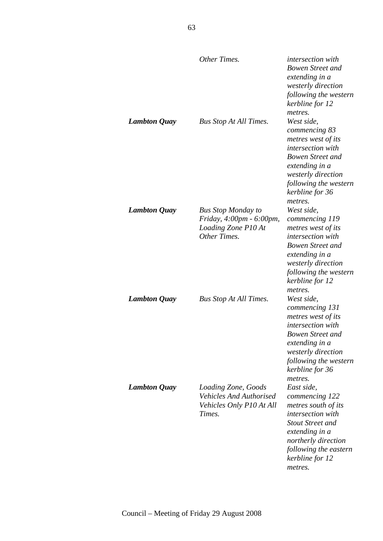|                     | Other Times.                                                                                 | <i>intersection with</i><br><b>Bowen Street and</b><br>extending in a<br>westerly direction<br>following the western<br>kerbline for 12<br>metres.                                                       |
|---------------------|----------------------------------------------------------------------------------------------|----------------------------------------------------------------------------------------------------------------------------------------------------------------------------------------------------------|
| <b>Lambton Quay</b> | <b>Bus Stop At All Times.</b>                                                                | West side,<br>commencing 83<br>metres west of its<br>intersection with<br><b>Bowen Street and</b><br>extending in a<br>westerly direction<br>following the western<br>kerbline for 36<br>metres.         |
| <b>Lambton Quay</b> | <b>Bus Stop Monday to</b><br>Friday, 4:00pm - 6:00pm,<br>Loading Zone P10 At<br>Other Times. | West side.<br>commencing 119<br>metres west of its<br><i>intersection with</i><br><b>Bowen Street and</b><br>extending in a<br>westerly direction<br>following the western<br>kerbline for 12<br>metres. |
| <b>Lambton Quay</b> | <b>Bus Stop At All Times.</b>                                                                | West side,<br>commencing 131<br>metres west of its<br><i>intersection with</i><br><b>Bowen Street and</b><br>extending in a<br>westerly direction<br>following the western<br>kerbline for 36<br>metres. |
| <b>Lambton Quay</b> | Loading Zone, Goods<br><b>Vehicles And Authorised</b><br>Vehicles Only P10 At All<br>Times.  | East side,<br>commencing 122<br>metres south of its<br>intersection with<br><b>Stout Street and</b><br>extending in a<br>northerly direction<br>following the eastern<br>kerbline for 12<br>metres.      |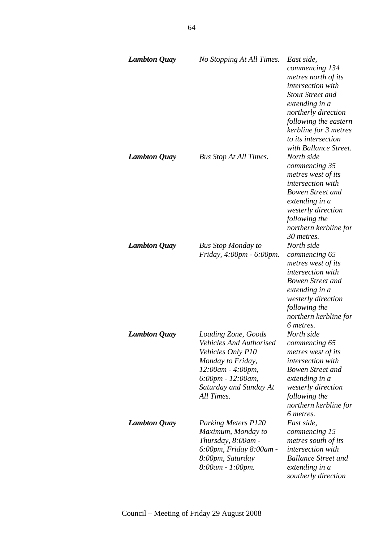| <b>Lambton Quay</b> | No Stopping At All Times.                                                                                                                                                  | East side,<br>commencing 134<br>metres north of its<br>intersection with<br><b>Stout Street and</b><br>extending in a<br>northerly direction<br>following the eastern<br>kerbline for 3 metres<br>to its intersection      |
|---------------------|----------------------------------------------------------------------------------------------------------------------------------------------------------------------------|----------------------------------------------------------------------------------------------------------------------------------------------------------------------------------------------------------------------------|
| <b>Lambton Quay</b> | <b>Bus Stop At All Times.</b>                                                                                                                                              | with Ballance Street.<br>North side<br>commencing 35<br>metres west of its<br>intersection with<br><b>Bowen Street and</b><br>extending in a<br>westerly direction<br>following the<br>northern kerbline for<br>30 metres. |
| <b>Lambton Quay</b> | <b>Bus Stop Monday to</b><br>Friday, 4:00pm - 6:00pm.                                                                                                                      | North side<br>commencing 65<br>metres west of its<br>intersection with<br><b>Bowen Street and</b><br>extending in a<br>westerly direction<br>following the<br>northern kerbline for<br>6 metres.                           |
| <b>Lambton Quay</b> | Loading Zone, Goods<br>Vehicles And Authorised<br>Vehicles Only P10<br>Monday to Friday,<br>12:00am - 4:00pm,<br>6:00pm - 12:00am,<br>Saturday and Sunday At<br>All Times. | North side<br>commencing 65<br>metres west of its<br><i>intersection</i> with<br><b>Bowen Street and</b><br>extending in a<br>westerly direction<br>following the<br>northern kerbline for<br>6 metres.                    |
| <b>Lambton Quay</b> | <b>Parking Meters P120</b><br>Maximum, Monday to<br>Thursday, 8:00am -<br>6:00pm, Friday 8:00am -<br>8:00pm, Saturday<br>8:00am - 1:00pm.                                  | East side,<br>commencing 15<br>metres south of its<br><i>intersection with</i><br><b>Ballance Street and</b><br>extending in a<br>southerly direction                                                                      |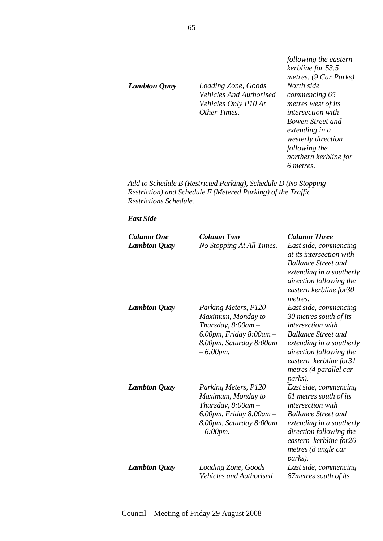*Lambton Quay Loading Zone, Goods Vehicles And Authorised Vehicles Only P10 At Other Times.* 

*following the eastern kerbline for 53.5 metres. (9 Car Parks) North side commencing 65 metres west of its intersection with Bowen Street and extending in a westerly direction following the northern kerbline for 6 metres.* 

*Add to Schedule B (Restricted Parking), Schedule D (No Stopping Restriction) and Schedule F (Metered Parking) of the Traffic Restrictions Schedule.* 

#### *East Side*

| <b>Column One</b>   | Column Two                     | <b>Column Three</b>        |
|---------------------|--------------------------------|----------------------------|
| <b>Lambton Quay</b> | No Stopping At All Times.      | East side, commencing      |
|                     |                                | at its intersection with   |
|                     |                                | <b>Ballance Street and</b> |
|                     |                                | extending in a southerly   |
|                     |                                | direction following the    |
|                     |                                | eastern kerbline for30     |
|                     |                                | metres.                    |
| <b>Lambton Quay</b> | Parking Meters, P120           | East side, commencing      |
|                     | Maximum, Monday to             | 30 metres south of its     |
|                     | Thursday, $8:00$ am $-$        | intersection with          |
|                     | $6.00$ pm, Friday $8:00$ am -  | <b>Ballance Street and</b> |
|                     | 8.00pm, Saturday 8:00am        | extending in a southerly   |
|                     | $-6:00$ pm.                    | direction following the    |
|                     |                                | eastern kerbline for31     |
|                     |                                | metres (4 parallel car     |
|                     |                                | <i>parks</i> ).            |
| <b>Lambton Quay</b> | Parking Meters, P120           | East side, commencing      |
|                     | Maximum, Monday to             | 61 metres south of its     |
|                     | Thursday, 8:00am-              | intersection with          |
|                     | 6.00pm, Friday 8:00am -        | <b>Ballance Street and</b> |
|                     | 8.00pm, Saturday 8:00am        | extending in a southerly   |
|                     | $-6:00$ pm.                    | direction following the    |
|                     |                                | eastern kerbline for26     |
|                     |                                | metres (8 angle car        |
|                     |                                | parks).                    |
| <b>Lambton Quay</b> | Loading Zone, Goods            | East side, commencing      |
|                     | <b>Vehicles and Authorised</b> | 87 metres south of its     |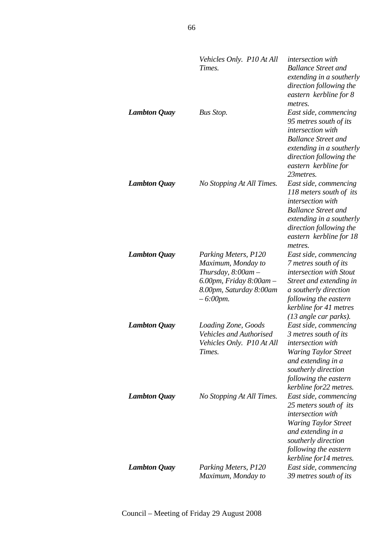|                     | Vehicles Only. P10 At All<br>Times.                                                                                                                | <i>intersection</i> with<br><b>Ballance Street and</b><br>extending in a southerly<br>direction following the<br>eastern kerbline for 8<br>metres.                                                        |
|---------------------|----------------------------------------------------------------------------------------------------------------------------------------------------|-----------------------------------------------------------------------------------------------------------------------------------------------------------------------------------------------------------|
| <b>Lambton Quay</b> | Bus Stop.                                                                                                                                          | East side, commencing<br>95 metres south of its<br>intersection with<br><b>Ballance Street and</b><br>extending in a southerly<br>direction following the<br>eastern kerbline for<br>23 metres.           |
| <b>Lambton Quay</b> | No Stopping At All Times.                                                                                                                          | East side, commencing<br>118 meters south of its<br>intersection with<br><b>Ballance Street and</b><br>extending in a southerly<br>direction following the<br>eastern kerbline for 18<br>metres.          |
| <b>Lambton Quay</b> | Parking Meters, P120<br>Maximum, Monday to<br>Thursday, $8:00$ am $-$<br>$6.00$ pm, Friday $8:00$ am $-$<br>8.00pm, Saturday 8:00am<br>$-6:00$ pm. | East side, commencing<br>7 metres south of its<br>intersection with Stout<br>Street and extending in<br>a southerly direction<br>following the eastern<br>kerbline for 41 metres<br>(13 angle car parks). |
| <b>Lambton Quay</b> | Loading Zone, Goods<br><b>Vehicles and Authorised</b><br>Vehicles Only. P10 At All<br>Times.                                                       | East side, commencing<br>3 metres south of its<br>intersection with<br><b>Waring Taylor Street</b><br>and extending in a<br>southerly direction<br>following the eastern<br>kerbline for22 metres.        |
| <b>Lambton Quay</b> | No Stopping At All Times.                                                                                                                          | East side, commencing<br>25 meters south of its<br>intersection with<br>Waring Taylor Street<br>and extending in a<br>southerly direction<br>following the eastern<br>kerbline for 14 metres.             |
| <b>Lambton Quay</b> | Parking Meters, P120<br>Maximum, Monday to                                                                                                         | East side, commencing<br>39 metres south of its                                                                                                                                                           |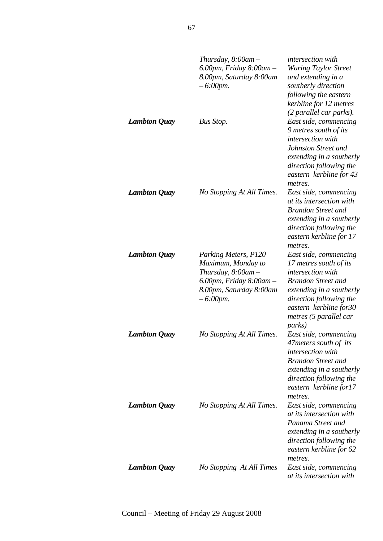|                     | Thursday, $8:00$ am $-$<br>$6.00$ pm, Friday $8:00$ am $-$<br>8.00pm, Saturday 8:00am<br>$-6:00$ pm.                                               | <i>intersection</i> with<br><b>Waring Taylor Street</b><br>and extending in a<br>southerly direction<br>following the eastern<br>kerbline for 12 metres                                                                         |
|---------------------|----------------------------------------------------------------------------------------------------------------------------------------------------|---------------------------------------------------------------------------------------------------------------------------------------------------------------------------------------------------------------------------------|
| <b>Lambton Quay</b> | Bus Stop.                                                                                                                                          | (2 parallel car parks).<br>East side, commencing<br>9 metres south of its<br>intersection with<br>Johnston Street and<br>extending in a southerly<br>direction following the<br>eastern kerbline for 43<br>metres.              |
| <b>Lambton Quay</b> | No Stopping At All Times.                                                                                                                          | East side, commencing<br>at its intersection with<br><b>Brandon Street and</b><br>extending in a southerly<br>direction following the<br>eastern kerbline for 17<br>metres.                                                     |
| <b>Lambton Quay</b> | Parking Meters, P120<br>Maximum, Monday to<br>Thursday, $8:00$ am $-$<br>$6.00$ pm, Friday $8:00$ am $-$<br>8.00pm, Saturday 8:00am<br>$-6:00$ pm. | East side, commencing<br>17 metres south of its<br>intersection with<br><b>Brandon Street and</b><br>extending in a southerly<br>direction following the<br>eastern kerbline for 30<br>metres (5 parallel car<br><i>parks</i> ) |
| <b>Lambton Quay</b> | No Stopping At All Times.                                                                                                                          | East side, commencing<br>47 meters south of its<br>intersection with<br><b>Brandon Street and</b><br>extending in a southerly<br>direction following the<br>eastern kerbline for17<br>metres.                                   |
| <b>Lambton Quay</b> | No Stopping At All Times.                                                                                                                          | East side, commencing<br>at its intersection with<br>Panama Street and<br>extending in a southerly<br>direction following the<br>eastern kerbline for 62<br>metres.                                                             |
| <b>Lambton Quay</b> | No Stopping At All Times                                                                                                                           | East side, commencing<br>at its intersection with                                                                                                                                                                               |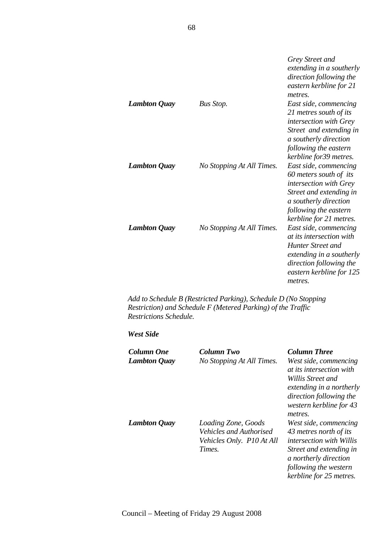| <b>Lambton Quay</b> | Bus Stop.                 | Grey Street and<br>extending in a southerly<br>direction following the<br>eastern kerbline for 21<br>metres.<br>East side, commencing<br>21 metres south of its<br><i>intersection with Grey</i><br>Street and extending in<br>a southerly direction<br>following the eastern |
|---------------------|---------------------------|-------------------------------------------------------------------------------------------------------------------------------------------------------------------------------------------------------------------------------------------------------------------------------|
| <b>Lambton Quay</b> | No Stopping At All Times. | kerbline for 39 metres.<br>East side, commencing<br>60 meters south of its<br>intersection with Grey<br>Street and extending in<br>a southerly direction<br>following the eastern                                                                                             |
| <b>Lambton Quay</b> | No Stopping At All Times. | kerbline for 21 metres.<br>East side, commencing<br><i>at its intersection with</i><br>Hunter Street and<br>extending in a southerly<br>direction following the<br>eastern kerbline for 125<br>metres.                                                                        |

*Add to Schedule B (Restricted Parking), Schedule D (No Stopping Restriction) and Schedule F (Metered Parking) of the Traffic Restrictions Schedule.* 

## *West Side*

| <b>Column One</b><br><b>Lambton Quay</b> | Column Two<br>No Stopping At All Times.                                               | <b>Column Three</b><br>West side, commencing<br><i>at its intersection with</i><br>Willis Street and<br>extending in a northerly<br>direction following the<br>western kerbline for 43<br>metres. |
|------------------------------------------|---------------------------------------------------------------------------------------|---------------------------------------------------------------------------------------------------------------------------------------------------------------------------------------------------|
| <b>Lambton Quay</b>                      | Loading Zone, Goods<br>Vehicles and Authorised<br>Vehicles Only. P10 At All<br>Times. | West side, commencing<br>43 metres north of its<br><i>intersection with Willis</i><br>Street and extending in<br>a northerly direction<br>following the western<br>kerbline for 25 metres.        |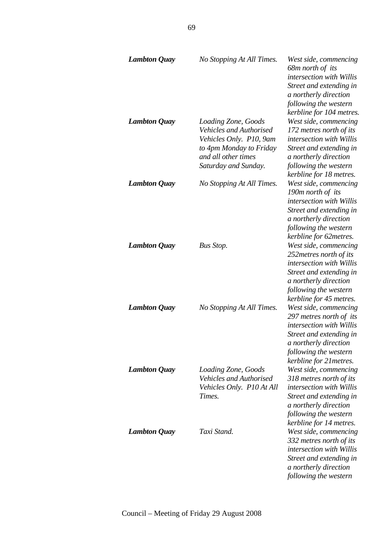| <b>Lambton Quay</b> | No Stopping At All Times.                                                                                                                                  | West side, commencing<br>68m north of its<br><i>intersection with Willis</i><br>Street and extending in<br>a northerly direction<br>following the western<br>kerbline for 104 metres.       |
|---------------------|------------------------------------------------------------------------------------------------------------------------------------------------------------|---------------------------------------------------------------------------------------------------------------------------------------------------------------------------------------------|
| <b>Lambton Quay</b> | Loading Zone, Goods<br><b>Vehicles and Authorised</b><br>Vehicles Only. P10, 9am<br>to 4pm Monday to Friday<br>and all other times<br>Saturday and Sunday. | West side, commencing<br>172 metres north of its<br><i>intersection with Willis</i><br>Street and extending in<br>a northerly direction<br>following the western<br>kerbline for 18 metres. |
| <b>Lambton Quay</b> | No Stopping At All Times.                                                                                                                                  | West side, commencing<br>190m north of its<br>intersection with Willis<br>Street and extending in<br>a northerly direction<br>following the western<br>kerbline for 62metres.               |
| <b>Lambton Quay</b> | <b>Bus Stop.</b>                                                                                                                                           | West side, commencing<br>252 metres north of its<br><i>intersection with Willis</i><br>Street and extending in<br>a northerly direction<br>following the western<br>kerbline for 45 metres. |
| <b>Lambton Quay</b> | No Stopping At All Times.                                                                                                                                  | West side, commencing<br>297 metres north of its<br>intersection with Willis<br>Street and extending in<br>a northerly direction<br>following the western<br>kerbline for 21 metres.        |
| <b>Lambton Quay</b> | Loading Zone, Goods<br>Vehicles and Authorised<br>Vehicles Only. P10 At All<br>Times.                                                                      | West side, commencing<br>318 metres north of its<br><i>intersection with Willis</i><br>Street and extending in<br>a northerly direction<br>following the western<br>kerbline for 14 metres. |
| <b>Lambton Quay</b> | Taxi Stand.                                                                                                                                                | West side, commencing<br>332 metres north of its<br><i>intersection with Willis</i><br>Street and extending in<br>a northerly direction<br>following the western                            |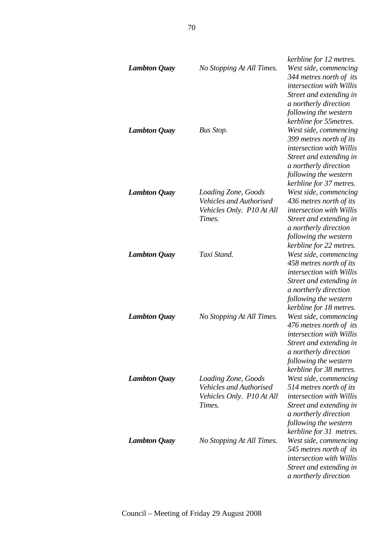|                     |                                | kerbline for 12 metres.                          |
|---------------------|--------------------------------|--------------------------------------------------|
| <b>Lambton Quay</b> | No Stopping At All Times.      | West side, commencing                            |
|                     |                                | 344 metres north of its                          |
|                     |                                | intersection with Willis                         |
|                     |                                | Street and extending in                          |
|                     |                                | a northerly direction                            |
|                     |                                | following the western                            |
|                     |                                | kerbline for 55metres.                           |
| <b>Lambton Quay</b> | Bus Stop.                      | West side, commencing                            |
|                     |                                | 399 metres north of its                          |
|                     |                                | intersection with Willis                         |
|                     |                                | Street and extending in                          |
|                     |                                | a northerly direction                            |
|                     |                                | following the western                            |
|                     |                                | kerbline for 37 metres.                          |
| <b>Lambton Quay</b> | Loading Zone, Goods            | West side, commencing                            |
|                     | <b>Vehicles and Authorised</b> | 436 metres north of its                          |
|                     | Vehicles Only. P10 At All      | intersection with Willis                         |
|                     | Times.                         | Street and extending in                          |
|                     |                                | a northerly direction                            |
|                     |                                | following the western                            |
|                     |                                | kerbline for 22 metres.                          |
| <b>Lambton Quay</b> | Taxi Stand.                    | West side, commencing                            |
|                     |                                | 458 metres north of its                          |
|                     |                                | intersection with Willis                         |
|                     |                                |                                                  |
|                     |                                | Street and extending in<br>a northerly direction |
|                     |                                | following the western                            |
|                     |                                | kerbline for 18 metres.                          |
| <b>Lambton Quay</b> | No Stopping At All Times.      | West side, commencing                            |
|                     |                                | 476 metres north of its                          |
|                     |                                | intersection with Willis                         |
|                     |                                | Street and extending in                          |
|                     |                                | a northerly direction                            |
|                     |                                | following the western                            |
|                     |                                | kerbline for 38 metres.                          |
| <b>Lambton Quay</b> | Loading Zone, Goods            | West side, commencing                            |
|                     | <b>Vehicles and Authorised</b> | 514 metres north of its                          |
|                     | Vehicles Only. P10 At All      | intersection with Willis                         |
|                     | Times.                         | Street and extending in                          |
|                     |                                | a northerly direction                            |
|                     |                                | following the western                            |
|                     |                                | kerbline for 31 metres.                          |
| <b>Lambton Quay</b> | No Stopping At All Times.      | West side, commencing                            |
|                     |                                | 545 metres north of its                          |
|                     |                                | <i>intersection with Willis</i>                  |
|                     |                                | Street and extending in                          |
|                     |                                | a northerly direction                            |
|                     |                                |                                                  |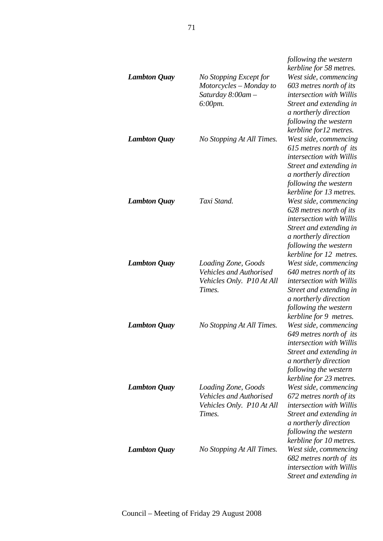| <b>Lambton Quay</b> | No Stopping Except for<br>Motorcycles - Monday to<br>Saturday 8:00am -<br>$6:00$ pm.         | following the western<br>kerbline for 58 metres.<br>West side, commencing<br>603 metres north of its<br>intersection with Willis<br>Street and extending in<br>a northerly direction<br>following the western<br>kerbline for12 metres. |
|---------------------|----------------------------------------------------------------------------------------------|-----------------------------------------------------------------------------------------------------------------------------------------------------------------------------------------------------------------------------------------|
| <b>Lambton Quay</b> | No Stopping At All Times.                                                                    | West side, commencing<br>615 metres north of its<br>intersection with Willis<br>Street and extending in<br>a northerly direction<br>following the western<br>kerbline for 13 metres.                                                    |
| <b>Lambton Quay</b> | Taxi Stand.                                                                                  | West side, commencing<br>628 metres north of its<br><i>intersection with Willis</i><br>Street and extending in<br>a northerly direction<br>following the western<br>kerbline for 12 metres.                                             |
| <b>Lambton Quay</b> | Loading Zone, Goods<br><b>Vehicles and Authorised</b><br>Vehicles Only. P10 At All<br>Times. | West side, commencing<br>640 metres north of its<br><i>intersection with Willis</i><br>Street and extending in<br>a northerly direction<br>following the western<br>kerbline for 9 metres.                                              |
| <b>Lambton Quay</b> | No Stopping At All Times.                                                                    | West side, commencing<br>649 metres north of its<br><i>intersection with Willis</i><br>Street and extending in<br>a northerly direction<br>following the western<br>kerbline for 23 metres.                                             |
| <b>Lambton Quay</b> | Loading Zone, Goods<br><b>Vehicles and Authorised</b><br>Vehicles Only. P10 At All<br>Times. | West side, commencing<br>672 metres north of its<br><i>intersection with Willis</i><br>Street and extending in<br>a northerly direction<br>following the western<br>kerbline for 10 metres.                                             |
| <b>Lambton Quay</b> | No Stopping At All Times.                                                                    | West side, commencing<br>682 metres north of its<br><i>intersection with Willis</i><br>Street and extending in                                                                                                                          |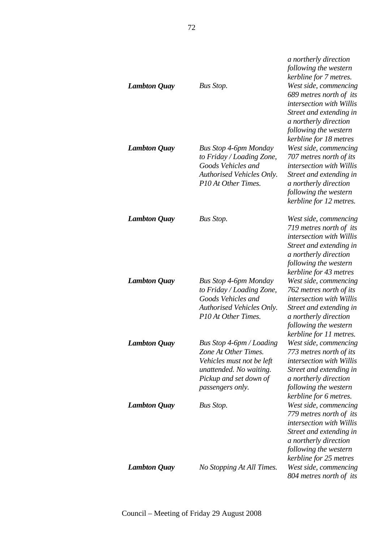| <b>Lambton Quay</b> | Bus Stop.                                                                                                                                              | a northerly direction<br>following the western<br>kerbline for 7 metres.<br>West side, commencing<br>689 metres north of its<br>intersection with Willis<br>Street and extending in<br>a northerly direction<br>following the western<br>kerbline for 18 metres |
|---------------------|--------------------------------------------------------------------------------------------------------------------------------------------------------|-----------------------------------------------------------------------------------------------------------------------------------------------------------------------------------------------------------------------------------------------------------------|
| <b>Lambton Quay</b> | <b>Bus Stop 4-6pm Monday</b><br>to Friday / Loading Zone,<br>Goods Vehicles and<br>Authorised Vehicles Only.<br>P10 At Other Times.                    | West side, commencing<br>707 metres north of its<br>intersection with Willis<br>Street and extending in<br>a northerly direction<br>following the western<br>kerbline for 12 metres.                                                                            |
| <b>Lambton Quay</b> | <b>Bus Stop.</b>                                                                                                                                       | West side, commencing<br>719 metres north of its<br><i>intersection with Willis</i><br>Street and extending in<br>a northerly direction<br>following the western<br>kerbline for 43 metres                                                                      |
| <b>Lambton Quay</b> | <b>Bus Stop 4-6pm Monday</b><br>to Friday / Loading Zone,<br>Goods Vehicles and<br>Authorised Vehicles Only.<br>P10 At Other Times.                    | West side, commencing<br>762 metres north of its<br>intersection with Willis<br>Street and extending in<br>a northerly direction<br>following the western<br>kerbline for 11 metres.                                                                            |
| <b>Lambton Quay</b> | Bus Stop 4-6pm / Loading<br>Zone At Other Times.<br>Vehicles must not be left<br>unattended. No waiting.<br>Pickup and set down of<br>passengers only. | West side, commencing<br>773 metres north of its<br>intersection with Willis<br>Street and extending in<br>a northerly direction<br>following the western<br>kerbline for 6 metres.                                                                             |
| <b>Lambton Quay</b> | <b>Bus Stop.</b>                                                                                                                                       | West side, commencing<br>779 metres north of its<br>intersection with Willis<br>Street and extending in<br>a northerly direction<br>following the western<br>kerbline for 25 metres                                                                             |
| <b>Lambton Quay</b> | No Stopping At All Times.                                                                                                                              | West side, commencing<br>804 metres north of its                                                                                                                                                                                                                |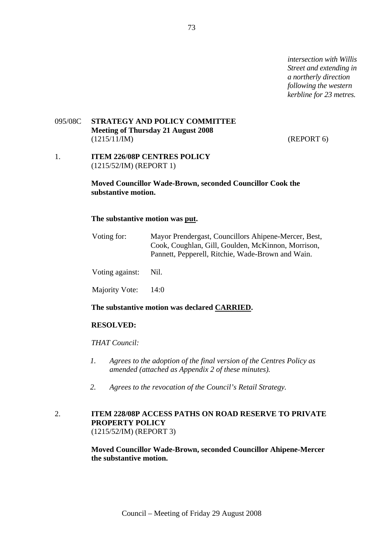*intersection with Willis Street and extending in a northerly direction following the western kerbline for 23 metres.* 

### 095/08C **STRATEGY AND POLICY COMMITTEE Meeting of Thursday 21 August 2008**  (1215/11/IM) (REPORT 6)

1. **ITEM 226/08P CENTRES POLICY** (1215/52/IM) (REPORT 1)

### **Moved Councillor Wade-Brown, seconded Councillor Cook the substantive motion.**

### **The substantive motion was put.**

| Voting for:          | Mayor Prendergast, Councillors Ahipene-Mercer, Best,<br>Cook, Coughlan, Gill, Goulden, McKinnon, Morrison,<br>Pannett, Pepperell, Ritchie, Wade-Brown and Wain. |
|----------------------|-----------------------------------------------------------------------------------------------------------------------------------------------------------------|
| Voting against: Nil. |                                                                                                                                                                 |
| Majority Vote: 14:0  |                                                                                                                                                                 |

## **The substantive motion was declared CARRIED.**

#### **RESOLVED:**

*THAT Council:* 

- *1. Agrees to the adoption of the final version of the Centres Policy as amended (attached as Appendix 2 of these minutes).*
- *2. Agrees to the revocation of the Council's Retail Strategy.*

# 2. **ITEM 228/08P ACCESS PATHS ON ROAD RESERVE TO PRIVATE PROPERTY POLICY** (1215/52/IM) (REPORT 3)

**Moved Councillor Wade-Brown, seconded Councillor Ahipene-Mercer the substantive motion.**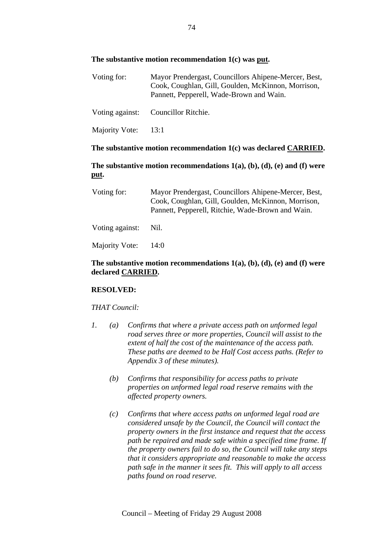# **The substantive motion recommendation 1(c) was put.**

| Voting for:     | Mayor Prendergast, Councillors Ahipene-Mercer, Best,<br>Cook, Coughlan, Gill, Goulden, McKinnon, Morrison,<br>Pannett, Pepperell, Wade-Brown and Wain. |
|-----------------|--------------------------------------------------------------------------------------------------------------------------------------------------------|
| Voting against: | Councillor Ritchie.                                                                                                                                    |

Majority Vote: 13:1

### **The substantive motion recommendation 1(c) was declared CARRIED.**

# **The substantive motion recommendations 1(a), (b), (d), (e) and (f) were put.**

| Voting for:     | Mayor Prendergast, Councillors Ahipene-Mercer, Best,<br>Cook, Coughlan, Gill, Goulden, McKinnon, Morrison,<br>Pannett, Pepperell, Ritchie, Wade-Brown and Wain. |
|-----------------|-----------------------------------------------------------------------------------------------------------------------------------------------------------------|
| Voting against: | Nil.                                                                                                                                                            |
| Majority Vote:  | 14:0                                                                                                                                                            |

# **The substantive motion recommendations 1(a), (b), (d), (e) and (f) were declared CARRIED.**

### **RESOLVED:**

### *THAT Council:*

- *1. (a) Confirms that where a private access path on unformed legal road serves three or more properties, Council will assist to the extent of half the cost of the maintenance of the access path. These paths are deemed to be Half Cost access paths. (Refer to Appendix 3 of these minutes).* 
	- *(b) Confirms that responsibility for access paths to private properties on unformed legal road reserve remains with the affected property owners.*
	- *(c) Confirms that where access paths on unformed legal road are considered unsafe by the Council, the Council will contact the property owners in the first instance and request that the access path be repaired and made safe within a specified time frame. If the property owners fail to do so, the Council will take any steps that it considers appropriate and reasonable to make the access path safe in the manner it sees fit. This will apply to all access paths found on road reserve.*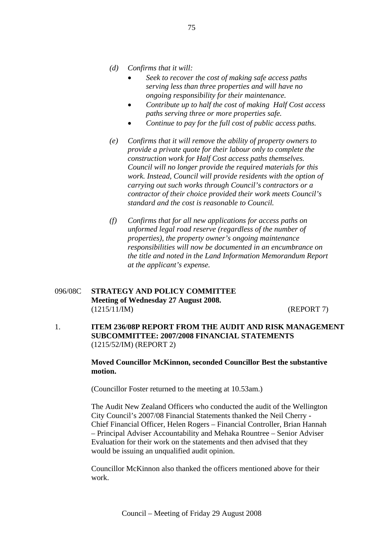- *(d) Confirms that it will:* 
	- *Seek to recover the cost of making safe access paths serving less than three properties and will have no ongoing responsibility for their maintenance.*
	- *Contribute up to half the cost of making Half Cost access paths serving three or more properties safe.*
	- *Continue to pay for the full cost of public access paths.*
- *(e) Confirms that it will remove the ability of property owners to provide a private quote for their labour only to complete the construction work for Half Cost access paths themselves. Council will no longer provide the required materials for this work. Instead, Council will provide residents with the option of carrying out such works through Council's contractors or a contractor of their choice provided their work meets Council's standard and the cost is reasonable to Council.*
- *(f) Confirms that for all new applications for access paths on unformed legal road reserve (regardless of the number of properties), the property owner's ongoing maintenance responsibilities will now be documented in an encumbrance on the title and noted in the Land Information Memorandum Report at the applicant's expense.*

# 096/08C **STRATEGY AND POLICY COMMITTEE Meeting of Wednesday 27 August 2008.**  (1215/11/IM) (REPORT 7)

1. **ITEM 236/08P REPORT FROM THE AUDIT AND RISK MANAGEMENT SUBCOMMITTEE: 2007/2008 FINANCIAL STATEMENTS** (1215/52/IM) (REPORT 2)

> **Moved Councillor McKinnon, seconded Councillor Best the substantive motion.**

(Councillor Foster returned to the meeting at 10.53am.)

The Audit New Zealand Officers who conducted the audit of the Wellington City Council's 2007/08 Financial Statements thanked the Neil Cherry - Chief Financial Officer, Helen Rogers – Financial Controller, Brian Hannah – Principal Adviser Accountability and Mehaka Rountree – Senior Adviser Evaluation for their work on the statements and then advised that they would be issuing an unqualified audit opinion.

Councillor McKinnon also thanked the officers mentioned above for their work.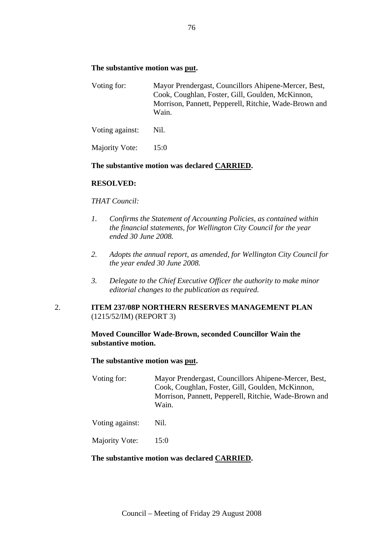### **The substantive motion was put.**

| Voting for: | Mayor Prendergast, Councillors Ahipene-Mercer, Best,  |
|-------------|-------------------------------------------------------|
|             | Cook, Coughlan, Foster, Gill, Goulden, McKinnon,      |
|             | Morrison, Pannett, Pepperell, Ritchie, Wade-Brown and |
|             | Wain.                                                 |
|             |                                                       |

Voting against: Nil.

Majority Vote: 15:0

### **The substantive motion was declared CARRIED.**

### **RESOLVED:**

### *THAT Council:*

- *1. Confirms the Statement of Accounting Policies, as contained within the financial statements, for Wellington City Council for the year ended 30 June 2008.*
- *2. Adopts the annual report, as amended, for Wellington City Council for the year ended 30 June 2008.*
- *3. Delegate to the Chief Executive Officer the authority to make minor editorial changes to the publication as required.*

# 2. **ITEM 237/08P NORTHERN RESERVES MANAGEMENT PLAN** (1215/52/IM) (REPORT 3)

### **Moved Councillor Wade-Brown, seconded Councillor Wain the substantive motion.**

### **The substantive motion was put.**

Voting for: Mayor Prendergast, Councillors Ahipene-Mercer, Best, Cook, Coughlan, Foster, Gill, Goulden, McKinnon, Morrison, Pannett, Pepperell, Ritchie, Wade-Brown and Wain.

Voting against: Nil.

Majority Vote: 15:0

### **The substantive motion was declared CARRIED.**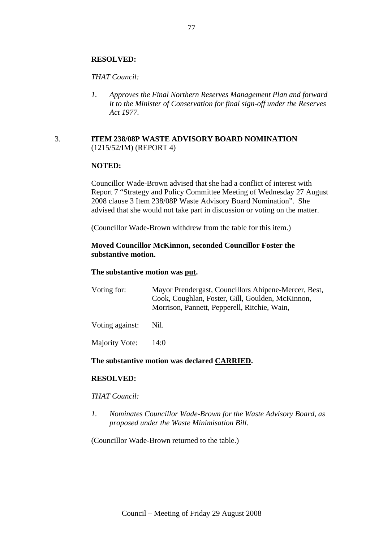# **RESOLVED:**

### *THAT Council:*

*1. Approves the Final Northern Reserves Management Plan and forward it to the Minister of Conservation for final sign-off under the Reserves Act 1977.* 

### 3. **ITEM 238/08P WASTE ADVISORY BOARD NOMINATION** (1215/52/IM) (REPORT 4)

## **NOTED:**

Councillor Wade-Brown advised that she had a conflict of interest with Report 7 "Strategy and Policy Committee Meeting of Wednesday 27 August 2008 clause 3 Item 238/08P Waste Advisory Board Nomination". She advised that she would not take part in discussion or voting on the matter.

(Councillor Wade-Brown withdrew from the table for this item.)

## **Moved Councillor McKinnon, seconded Councillor Foster the substantive motion.**

### **The substantive motion was put.**

| Voting for: | Mayor Prendergast, Councillors Ahipene-Mercer, Best, |
|-------------|------------------------------------------------------|
|             | Cook, Coughlan, Foster, Gill, Goulden, McKinnon,     |
|             | Morrison, Pannett, Pepperell, Ritchie, Wain,         |
|             |                                                      |

Voting against: Nil.

Majority Vote: 14:0

# **The substantive motion was declared CARRIED.**

### **RESOLVED:**

### *THAT Council:*

*1. Nominates Councillor Wade-Brown for the Waste Advisory Board, as proposed under the Waste Minimisation Bill.* 

(Councillor Wade-Brown returned to the table.)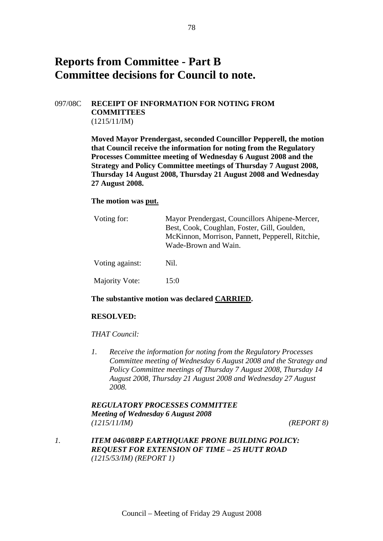# **Reports from Committee - Part B Committee decisions for Council to note.**

# 097/08C **RECEIPT OF INFORMATION FOR NOTING FROM COMMITTEES**  (1215/11/IM)

**Moved Mayor Prendergast, seconded Councillor Pepperell, the motion that Council receive the information for noting from the Regulatory Processes Committee meeting of Wednesday 6 August 2008 and the Strategy and Policy Committee meetings of Thursday 7 August 2008, Thursday 14 August 2008, Thursday 21 August 2008 and Wednesday 27 August 2008.** 

### **The motion was put.**

| Voting for:     | Mayor Prendergast, Councillors Ahipene-Mercer,<br>Best, Cook, Coughlan, Foster, Gill, Goulden,<br>McKinnon, Morrison, Pannett, Pepperell, Ritchie,<br>Wade-Brown and Wain. |
|-----------------|----------------------------------------------------------------------------------------------------------------------------------------------------------------------------|
| Voting against: | Nil.                                                                                                                                                                       |
| Majority Vote:  | 15:0                                                                                                                                                                       |

### **The substantive motion was declared CARRIED.**

### **RESOLVED:**

### *THAT Council:*

*1. Receive the information for noting from the Regulatory Processes Committee meeting of Wednesday 6 August 2008 and the Strategy and Policy Committee meetings of Thursday 7 August 2008, Thursday 14 August 2008, Thursday 21 August 2008 and Wednesday 27 August 2008.* 

# *REGULATORY PROCESSES COMMITTEE Meeting of Wednesday 6 August 2008 (1215/11/IM) (REPORT 8)*

*1. ITEM 046/08RP EARTHQUAKE PRONE BUILDING POLICY: REQUEST FOR EXTENSION OF TIME – 25 HUTT ROAD (1215/53/IM) (REPORT 1)*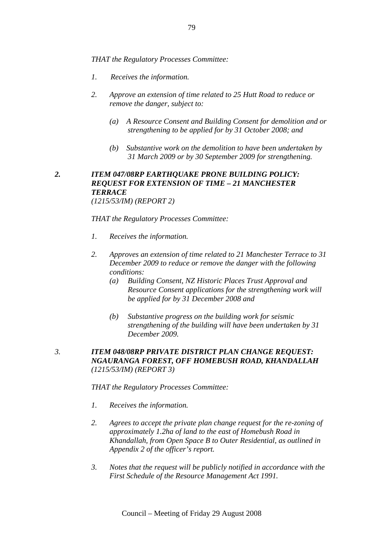*THAT the Regulatory Processes Committee:* 

- *1. Receives the information.*
- *2. Approve an extension of time related to 25 Hutt Road to reduce or remove the danger, subject to:* 
	- *(a) A Resource Consent and Building Consent for demolition and or strengthening to be applied for by 31 October 2008; and*
	- *(b) Substantive work on the demolition to have been undertaken by 31 March 2009 or by 30 September 2009 for strengthening.*

### *2. ITEM 047/08RP EARTHQUAKE PRONE BUILDING POLICY: REQUEST FOR EXTENSION OF TIME – 21 MANCHESTER TERRACE (1215/53/IM) (REPORT 2)*

*THAT the Regulatory Processes Committee:* 

- *1. Receives the information.*
- *2. Approves an extension of time related to 21 Manchester Terrace to 31 December 2009 to reduce or remove the danger with the following conditions:* 
	- *(a) Building Consent, NZ Historic Places Trust Approval and Resource Consent applications for the strengthening work will be applied for by 31 December 2008 and*
	- *(b) Substantive progress on the building work for seismic strengthening of the building will have been undertaken by 31 December 2009.*
- *3. ITEM 048/08RP PRIVATE DISTRICT PLAN CHANGE REQUEST: NGAURANGA FOREST, OFF HOMEBUSH ROAD, KHANDALLAH (1215/53/IM) (REPORT 3)*

*THAT the Regulatory Processes Committee:* 

- *1. Receives the information.*
- *2. Agrees to accept the private plan change request for the re-zoning of approximately 1.2ha of land to the east of Homebush Road in Khandallah, from Open Space B to Outer Residential, as outlined in Appendix 2 of the officer's report.*
- *3. Notes that the request will be publicly notified in accordance with the First Schedule of the Resource Management Act 1991.*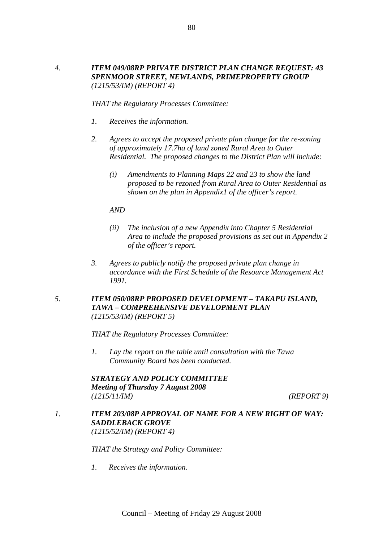*THAT the Regulatory Processes Committee:* 

- *1. Receives the information.*
- *2. Agrees to accept the proposed private plan change for the re-zoning of approximately 17.7ha of land zoned Rural Area to Outer Residential. The proposed changes to the District Plan will include:* 
	- *(i) Amendments to Planning Maps 22 and 23 to show the land proposed to be rezoned from Rural Area to Outer Residential as shown on the plan in Appendix1 of the officer's report.*

*AND* 

- *(ii) The inclusion of a new Appendix into Chapter 5 Residential Area to include the proposed provisions as set out in Appendix 2 of the officer's report.*
- *3. Agrees to publicly notify the proposed private plan change in accordance with the First Schedule of the Resource Management Act 1991.*
- *5. ITEM 050/08RP PROPOSED DEVELOPMENT TAKAPU ISLAND, TAWA – COMPREHENSIVE DEVELOPMENT PLAN (1215/53/IM) (REPORT 5)*

*THAT the Regulatory Processes Committee:* 

*1. Lay the report on the table until consultation with the Tawa Community Board has been conducted.* 

*STRATEGY AND POLICY COMMITTEE Meeting of Thursday 7 August 2008 (1215/11/IM) (REPORT 9)* 

*1. ITEM 203/08P APPROVAL OF NAME FOR A NEW RIGHT OF WAY: SADDLEBACK GROVE (1215/52/IM) (REPORT 4)* 

*THAT the Strategy and Policy Committee:* 

*1. Receives the information.*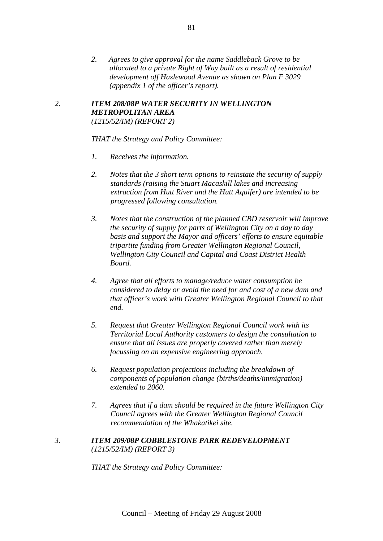*2. Agrees to give approval for the name Saddleback Grove to be allocated to a private Right of Way built as a result of residential development off Hazlewood Avenue as shown on Plan F 3029 (appendix 1 of the officer's report).* 

# *2. ITEM 208/08P WATER SECURITY IN WELLINGTON METROPOLITAN AREA (1215/52/IM) (REPORT 2)*

*THAT the Strategy and Policy Committee:* 

- *1. Receives the information.*
- *2. Notes that the 3 short term options to reinstate the security of supply standards (raising the Stuart Macaskill lakes and increasing extraction from Hutt River and the Hutt Aquifer) are intended to be progressed following consultation.*
- *3. Notes that the construction of the planned CBD reservoir will improve the security of supply for parts of Wellington City on a day to day basis and support the Mayor and officers' efforts to ensure equitable tripartite funding from Greater Wellington Regional Council, Wellington City Council and Capital and Coast District Health Board.*
- *4. Agree that all efforts to manage/reduce water consumption be considered to delay or avoid the need for and cost of a new dam and that officer's work with Greater Wellington Regional Council to that end.*
- *5. Request that Greater Wellington Regional Council work with its Territorial Local Authority customers to design the consultation to ensure that all issues are properly covered rather than merely focussing on an expensive engineering approach.*
- *6. Request population projections including the breakdown of components of population change (births/deaths/immigration) extended to 2060.*
- *7. Agrees that if a dam should be required in the future Wellington City Council agrees with the Greater Wellington Regional Council recommendation of the Whakatikei site.*

### *3. ITEM 209/08P COBBLESTONE PARK REDEVELOPMENT (1215/52/IM) (REPORT 3)*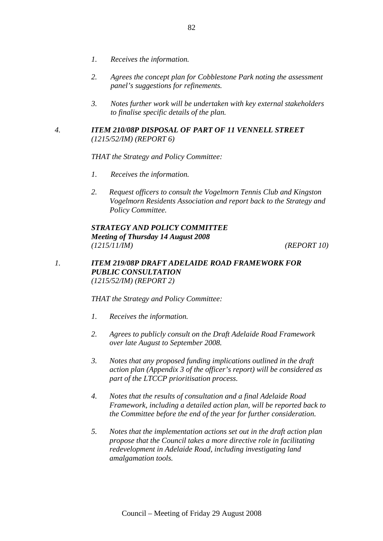- *1. Receives the information.*
- *2. Agrees the concept plan for Cobblestone Park noting the assessment panel's suggestions for refinements.*
- *3. Notes further work will be undertaken with key external stakeholders to finalise specific details of the plan.*

# *4. ITEM 210/08P DISPOSAL OF PART OF 11 VENNELL STREET (1215/52/IM) (REPORT 6)*

*THAT the Strategy and Policy Committee:* 

- *1. Receives the information.*
- *2. Request officers to consult the Vogelmorn Tennis Club and Kingston Vogelmorn Residents Association and report back to the Strategy and Policy Committee.*

# *STRATEGY AND POLICY COMMITTEE Meeting of Thursday 14 August 2008 (1215/11/IM) (REPORT 10)*

## *1. ITEM 219/08P DRAFT ADELAIDE ROAD FRAMEWORK FOR PUBLIC CONSULTATION (1215/52/IM) (REPORT 2)*

- *1. Receives the information.*
- *2. Agrees to publicly consult on the Draft Adelaide Road Framework over late August to September 2008.*
- *3. Notes that any proposed funding implications outlined in the draft action plan (Appendix 3 of the officer's report) will be considered as part of the LTCCP prioritisation process.*
- *4. Notes that the results of consultation and a final Adelaide Road Framework, including a detailed action plan, will be reported back to the Committee before the end of the year for further consideration.*
- *5. Notes that the implementation actions set out in the draft action plan propose that the Council takes a more directive role in facilitating redevelopment in Adelaide Road, including investigating land amalgamation tools.*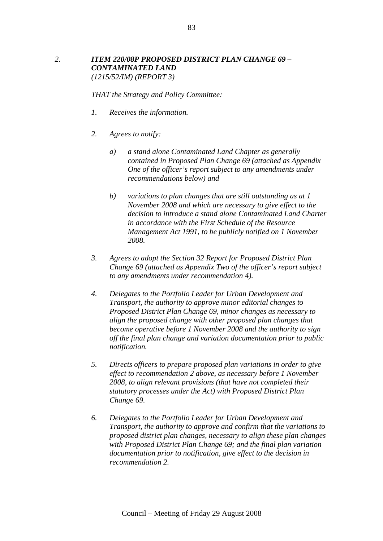# *2. ITEM 220/08P PROPOSED DISTRICT PLAN CHANGE 69 – CONTAMINATED LAND (1215/52/IM) (REPORT 3)*

- *1. Receives the information.*
- *2. Agrees to notify:* 
	- *a) a stand alone Contaminated Land Chapter as generally contained in Proposed Plan Change 69 (attached as Appendix One of the officer's report subject to any amendments under recommendations below) and*
	- *b) variations to plan changes that are still outstanding as at 1 November 2008 and which are necessary to give effect to the decision to introduce a stand alone Contaminated Land Charter in accordance with the First Schedule of the Resource Management Act 1991, to be publicly notified on 1 November 2008.*
- *3. Agrees to adopt the Section 32 Report for Proposed District Plan Change 69 (attached as Appendix Two of the officer's report subject to any amendments under recommendation 4).*
- *4. Delegates to the Portfolio Leader for Urban Development and Transport, the authority to approve minor editorial changes to Proposed District Plan Change 69, minor changes as necessary to align the proposed change with other proposed plan changes that become operative before 1 November 2008 and the authority to sign off the final plan change and variation documentation prior to public notification.*
- *5. Directs officers to prepare proposed plan variations in order to give effect to recommendation 2 above, as necessary before 1 November 2008, to align relevant provisions (that have not completed their statutory processes under the Act) with Proposed District Plan Change 69.*
- *6. Delegates to the Portfolio Leader for Urban Development and Transport, the authority to approve and confirm that the variations to proposed district plan changes, necessary to align these plan changes with Proposed District Plan Change 69; and the final plan variation documentation prior to notification, give effect to the decision in recommendation 2.*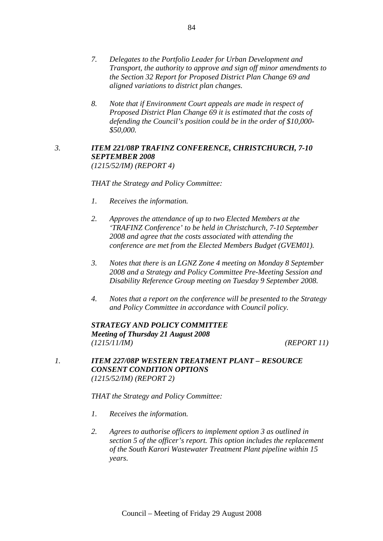- *7. Delegates to the Portfolio Leader for Urban Development and Transport, the authority to approve and sign off minor amendments to the Section 32 Report for Proposed District Plan Change 69 and aligned variations to district plan changes.*
- *8. Note that if Environment Court appeals are made in respect of Proposed District Plan Change 69 it is estimated that the costs of defending the Council's position could be in the order of \$10,000- \$50,000.*

### *3. ITEM 221/08P TRAFINZ CONFERENCE, CHRISTCHURCH, 7-10 SEPTEMBER 2008 (1215/52/IM) (REPORT 4)*

*THAT the Strategy and Policy Committee:* 

- *1. Receives the information.*
- *2. Approves the attendance of up to two Elected Members at the 'TRAFINZ Conference' to be held in Christchurch, 7-10 September 2008 and agree that the costs associated with attending the conference are met from the Elected Members Budget (GVEM01).*
- *3. Notes that there is an LGNZ Zone 4 meeting on Monday 8 September 2008 and a Strategy and Policy Committee Pre-Meeting Session and Disability Reference Group meeting on Tuesday 9 September 2008.*
- *4. Notes that a report on the conference will be presented to the Strategy and Policy Committee in accordance with Council policy.*

*STRATEGY AND POLICY COMMITTEE Meeting of Thursday 21 August 2008 (1215/11/IM) (REPORT 11)* 

*1. ITEM 227/08P WESTERN TREATMENT PLANT – RESOURCE CONSENT CONDITION OPTIONS (1215/52/IM) (REPORT 2)* 

- *1. Receives the information.*
- *2. Agrees to authorise officers to implement option 3 as outlined in section 5 of the officer's report. This option includes the replacement of the South Karori Wastewater Treatment Plant pipeline within 15 years.*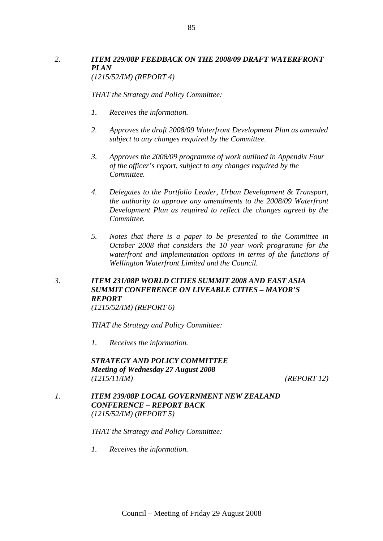# *2. ITEM 229/08P FEEDBACK ON THE 2008/09 DRAFT WATERFRONT PLAN (1215/52/IM) (REPORT 4)*

*THAT the Strategy and Policy Committee:* 

- *1. Receives the information.*
- *2. Approves the draft 2008/09 Waterfront Development Plan as amended subject to any changes required by the Committee.*
- *3. Approves the 2008/09 programme of work outlined in Appendix Four of the officer's report, subject to any changes required by the Committee.*
- *4. Delegates to the Portfolio Leader, Urban Development & Transport, the authority to approve any amendments to the 2008/09 Waterfront Development Plan as required to reflect the changes agreed by the Committee.*
- *5. Notes that there is a paper to be presented to the Committee in October 2008 that considers the 10 year work programme for the waterfront and implementation options in terms of the functions of Wellington Waterfront Limited and the Council.*

# *3. ITEM 231/08P WORLD CITIES SUMMIT 2008 AND EAST ASIA SUMMIT CONFERENCE ON LIVEABLE CITIES – MAYOR'S REPORT*

*(1215/52/IM) (REPORT 6)* 

*THAT the Strategy and Policy Committee:* 

*1. Receives the information.* 

*STRATEGY AND POLICY COMMITTEE Meeting of Wednesday 27 August 2008 (1215/11/IM) (REPORT 12)* 

*1. ITEM 239/08P LOCAL GOVERNMENT NEW ZEALAND CONFERENCE – REPORT BACK (1215/52/IM) (REPORT 5)* 

*THAT the Strategy and Policy Committee:* 

*1. Receives the information.*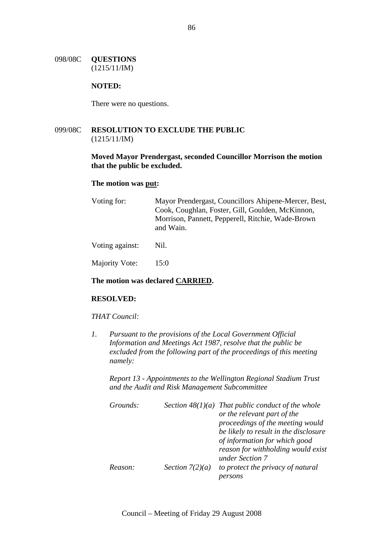### 098/08C **QUESTIONS**  (1215/11/IM)

### **NOTED:**

There were no questions.

# 099/08C **RESOLUTION TO EXCLUDE THE PUBLIC**  (1215/11/IM)

### **Moved Mayor Prendergast, seconded Councillor Morrison the motion that the public be excluded.**

### **The motion was put:**

| Voting for: | Mayor Prendergast, Councillors Ahipene-Mercer, Best,           |
|-------------|----------------------------------------------------------------|
|             | Cook, Coughlan, Foster, Gill, Goulden, McKinnon,               |
|             | Morrison, Pannett, Pepperell, Ritchie, Wade-Brown<br>and Wain. |
|             |                                                                |

Voting against: Nil.

Majority Vote: 15:0

## **The motion was declared CARRIED.**

### **RESOLVED:**

### *THAT Council:*

*1. Pursuant to the provisions of the Local Government Official Information and Meetings Act 1987, resolve that the public be excluded from the following part of the proceedings of this meeting namely:* 

*Report 13 - Appointments to the Wellington Regional Stadium Trust and the Audit and Risk Management Subcommittee* 

| Grounds: |                   | Section $48(1)(a)$ That public conduct of the whole |
|----------|-------------------|-----------------------------------------------------|
|          |                   | or the relevant part of the                         |
|          |                   | proceedings of the meeting would                    |
|          |                   | be likely to result in the disclosure               |
|          |                   | of information for which good                       |
|          |                   | reason for withholding would exist                  |
|          |                   | under Section 7                                     |
| Reason:  | Section $7(2)(a)$ | to protect the privacy of natural                   |
|          |                   |                                                     |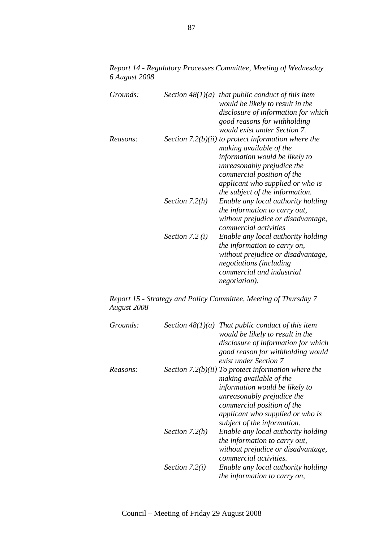*Report 14 - Regulatory Processes Committee, Meeting of Wednesday 6 August 2008* 

| Grounds: |                   | Section $48(1)(a)$ that public conduct of this item<br>would be likely to result in the<br>disclosure of information for which<br>good reasons for withholding                                                                                                                        |
|----------|-------------------|---------------------------------------------------------------------------------------------------------------------------------------------------------------------------------------------------------------------------------------------------------------------------------------|
| Reasons: |                   | would exist under Section 7.<br>Section $7.2(b)(ii)$ to protect information where the<br>making available of the<br>information would be likely to<br>unreasonably prejudice the<br>commercial position of the<br>applicant who supplied or who is<br>the subject of the information. |
|          | Section $7.2(h)$  | Enable any local authority holding<br>the information to carry out,<br>without prejudice or disadvantage,<br>commercial activities                                                                                                                                                    |
|          | Section 7.2 $(i)$ | Enable any local authority holding<br>the information to carry on,<br>without prejudice or disadvantage,<br>negotiations (including<br>commercial and industrial<br>negotiation).                                                                                                     |

*Report 15 - Strategy and Policy Committee, Meeting of Thursday 7 August 2008* 

| Grounds: |                  | Section $48(1)(a)$ That public conduct of this item<br>would be likely to result in the<br>disclosure of information for which<br>good reason for withholding would<br>exist under Section 7                                                    |
|----------|------------------|-------------------------------------------------------------------------------------------------------------------------------------------------------------------------------------------------------------------------------------------------|
| Reasons: |                  | Section 7.2(b)(ii) To protect information where the<br>making available of the<br>information would be likely to<br>unreasonably prejudice the<br>commercial position of the<br>applicant who supplied or who is<br>subject of the information. |
|          | Section $7.2(h)$ | Enable any local authority holding<br><i>the information to carry out,</i><br>without prejudice or disadvantage,<br><i>commercial activities.</i>                                                                                               |
|          | Section $7.2(i)$ | Enable any local authority holding<br><i>the information to carry on,</i>                                                                                                                                                                       |